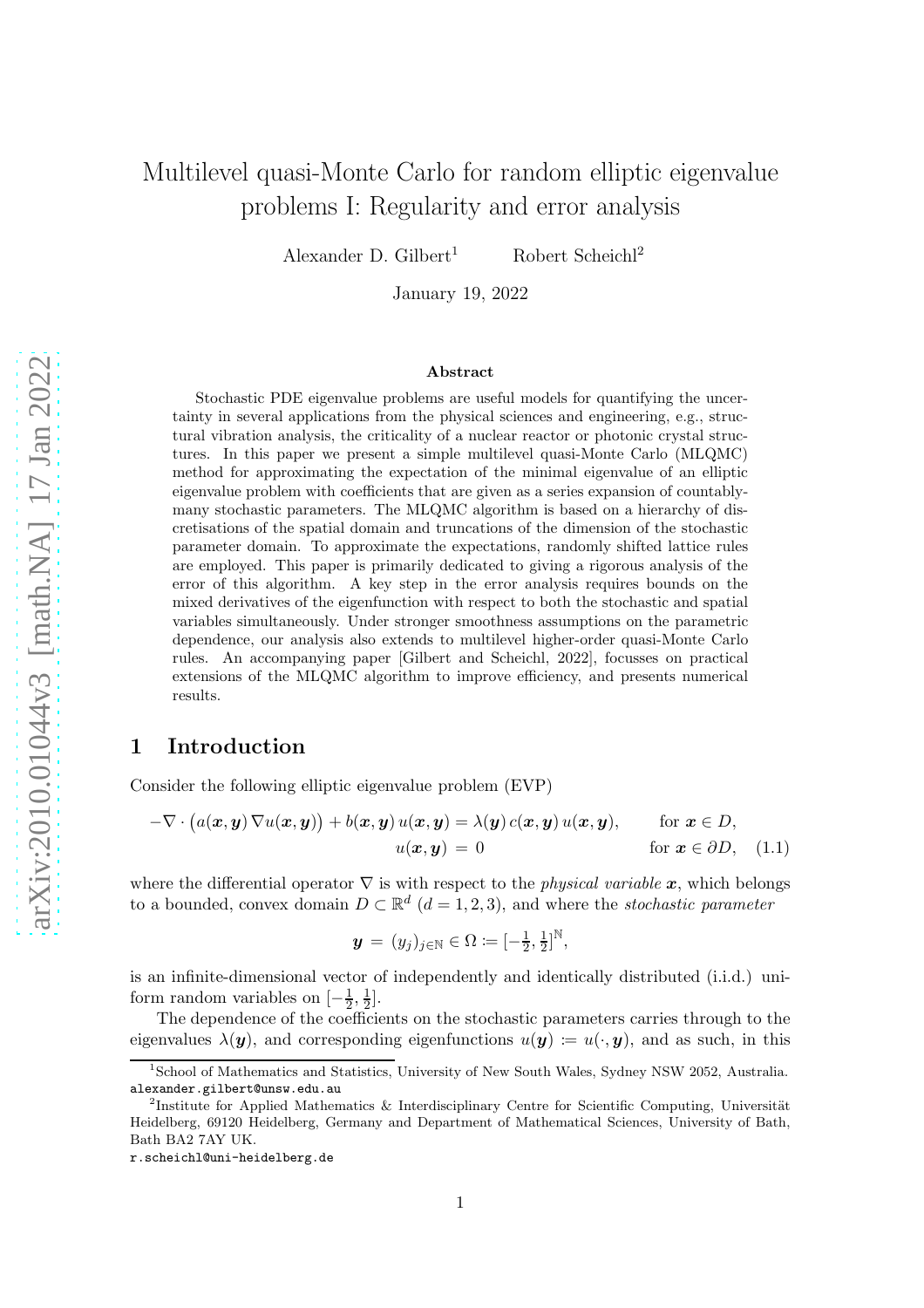# Multilevel quasi-Monte Carlo for random elliptic eigenvalue problems I: Regularity and error analysis

Alexander D. Gilbert<sup>1</sup> Robert Scheichl<sup>2</sup>

January 19, 2022

#### Abstract

Stochastic PDE eigenvalue problems are useful models for quantifying the uncertainty in several applications from the physical sciences and engineering, e.g., structural vibration analysis, the criticality of a nuclear reactor or photonic crystal structures. In this paper we present a simple multilevel quasi-Monte Carlo (MLQMC) method for approximating the expectation of the minimal eigenvalue of an elliptic eigenvalue problem with coefficients that are given as a series expansion of countablymany stochastic parameters. The MLQMC algorithm is based on a hierarchy of discretisations of the spatial domain and truncations of the dimension of the stochastic parameter domain. To approximate the expectations, randomly shifted lattice rules are employed. This paper is primarily dedicated to giving a rigorous analysis of the error of this algorithm. A key step in the error analysis requires bounds on the mixed derivatives of the eigenfunction with respect to both the stochastic and spatial variables simultaneously. Under stronger smoothness assumptions on the parametric dependence, our analysis also extends to multilevel higher-order quasi-Monte Carlo rules. An accompanying paper [Gilbert and Scheichl, 2022], focusses on practical extensions of the MLQMC algorithm to improve efficiency, and presents numerical results.

## 1 Introduction

Consider the following elliptic eigenvalue problem (EVP)

$$
-\nabla \cdot (a(\boldsymbol{x}, \boldsymbol{y}) \nabla u(\boldsymbol{x}, \boldsymbol{y})) + b(\boldsymbol{x}, \boldsymbol{y}) u(\boldsymbol{x}, \boldsymbol{y}) = \lambda(\boldsymbol{y}) c(\boldsymbol{x}, \boldsymbol{y}) u(\boldsymbol{x}, \boldsymbol{y}), \quad \text{for } \boldsymbol{x} \in D, u(\boldsymbol{x}, \boldsymbol{y}) = 0 \quad \text{for } \boldsymbol{x} \in \partial D, \quad (1.1)
$$

where the differential operator  $\nabla$  is with respect to the *physical variable* x, which belongs to a bounded, convex domain  $D \subset \mathbb{R}^d$   $(d = 1, 2, 3)$ , and where the *stochastic parameter* 

<span id="page-0-0"></span>
$$
\boldsymbol{y} \,=\, (y_j)_{j\in\mathbb{N}}\in \Omega \coloneqq [-\tfrac{1}{2},\tfrac{1}{2}]^\mathbb{N},
$$

is an infinite-dimensional vector of independently and identically distributed (i.i.d.) uniform random variables on  $\left[-\frac{1}{2},\frac{1}{2}\right]$  $\frac{1}{2}$ .

The dependence of the coefficients on the stochastic parameters carries through to the eigenvalues  $\lambda(\mathbf{y})$ , and corresponding eigenfunctions  $u(\mathbf{y}) := u(\cdot, \mathbf{y})$ , and as such, in this

<sup>1</sup> School of Mathematics and Statistics, University of New South Wales, Sydney NSW 2052, Australia. alexander.gilbert@unsw.edu.au

<sup>&</sup>lt;sup>2</sup>Institute for Applied Mathematics & Interdisciplinary Centre for Scientific Computing, Universität Heidelberg, 69120 Heidelberg, Germany and Department of Mathematical Sciences, University of Bath, Bath BA2 7AY UK.

r.scheichl@uni-heidelberg.de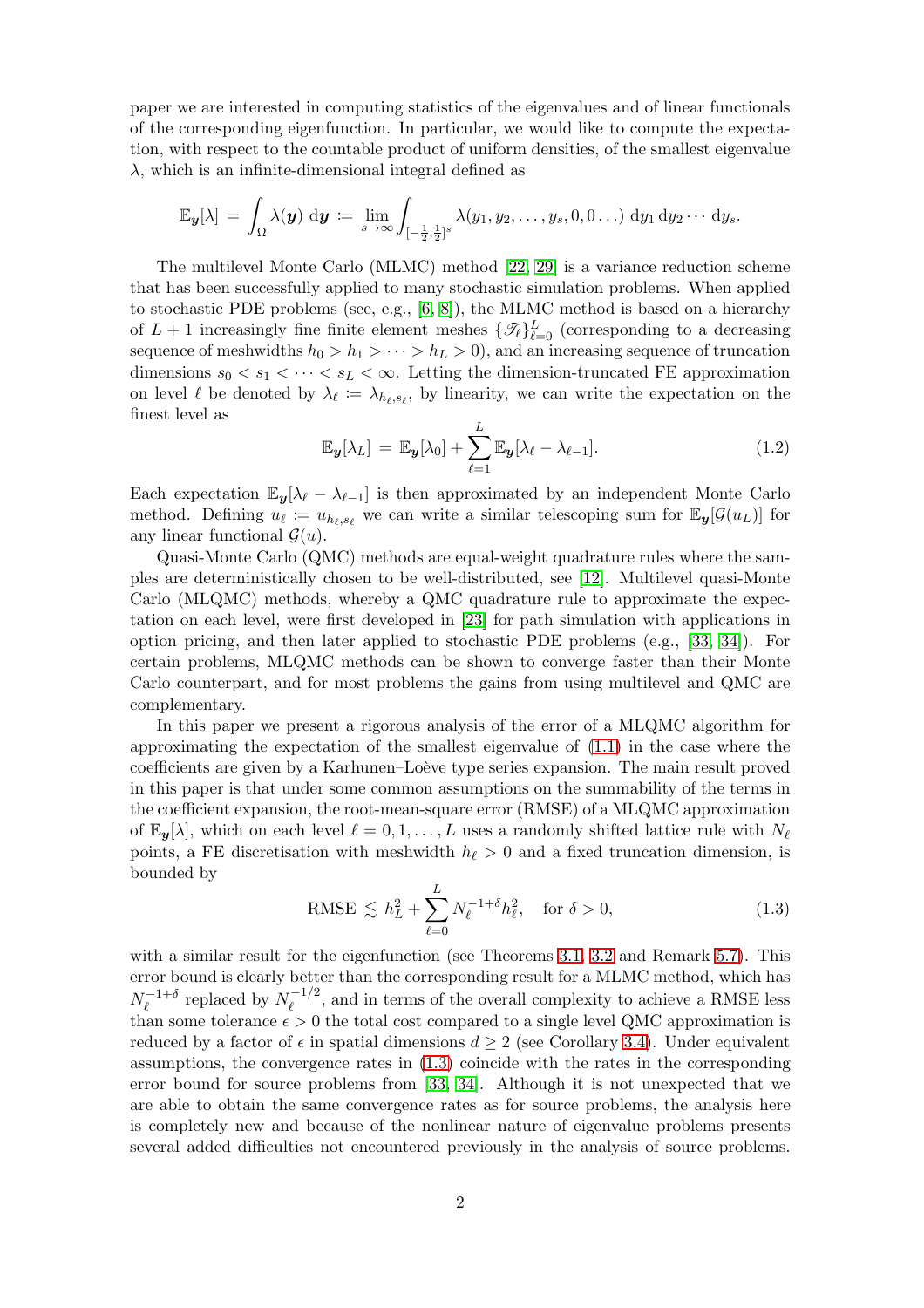paper we are interested in computing statistics of the eigenvalues and of linear functionals of the corresponding eigenfunction. In particular, we would like to compute the expectation, with respect to the countable product of uniform densities, of the smallest eigenvalue  $\lambda$ , which is an infinite-dimensional integral defined as

$$
\mathbb{E}_{\boldsymbol{y}}[\lambda] = \int_{\Omega} \lambda(\boldsymbol{y}) \, \mathrm{d}\boldsymbol{y} \coloneqq \lim_{s \to \infty} \int_{[-\frac{1}{2},\frac{1}{2}]^s} \lambda(y_1, y_2, \dots, y_s, 0, 0 \dots) \, \mathrm{d}y_1 \, \mathrm{d}y_2 \cdots \mathrm{d}y_s.
$$

The multilevel Monte Carlo (MLMC) method [\[22,](#page-24-0) [29\]](#page-25-0) is a variance reduction scheme that has been successfully applied to many stochastic simulation problems. When applied to stochastic PDE problems (see, e.g., [\[6,](#page-23-0) [8\]](#page-24-1)), the MLMC method is based on a hierarchy of  $L+1$  increasingly fine finite element meshes  $\{\mathscr{T}_{\ell}\}_{\ell=0}^{L}$  (corresponding to a decreasing sequence of meshwidths  $h_0 > h_1 > \cdots > h_L > 0$ , and an increasing sequence of truncation dimensions  $s_0 < s_1 < \cdots < s_L < \infty$ . Letting the dimension-truncated FE approximation on level  $\ell$  be denoted by  $\lambda_{\ell} := \lambda_{h_{\ell}, s_{\ell}}$ , by linearity, we can write the expectation on the finest level as

<span id="page-1-1"></span>
$$
\mathbb{E}_{\boldsymbol{y}}[\lambda_L] = \mathbb{E}_{\boldsymbol{y}}[\lambda_0] + \sum_{\ell=1}^L \mathbb{E}_{\boldsymbol{y}}[\lambda_\ell - \lambda_{\ell-1}]. \tag{1.2}
$$

Each expectation  $\mathbb{E}_{y}[\lambda_{\ell} - \lambda_{\ell-1}]$  is then approximated by an independent Monte Carlo method. Defining  $u_{\ell} := u_{h_{\ell},s_{\ell}}$  we can write a similar telescoping sum for  $\mathbb{E}_{y}[\mathcal{G}(u_L)]$  for any linear functional  $\mathcal{G}(u)$ .

Quasi-Monte Carlo (QMC) methods are equal-weight quadrature rules where the samples are deterministically chosen to be well-distributed, see [\[12\]](#page-24-2). Multilevel quasi-Monte Carlo (MLQMC) methods, whereby a QMC quadrature rule to approximate the expectation on each level, were first developed in [\[23\]](#page-24-3) for path simulation with applications in option pricing, and then later applied to stochastic PDE problems (e.g., [\[33,](#page-25-1) [34\]](#page-25-2)). For certain problems, MLQMC methods can be shown to converge faster than their Monte Carlo counterpart, and for most problems the gains from using multilevel and QMC are complementary.

In this paper we present a rigorous analysis of the error of a MLQMC algorithm for approximating the expectation of the smallest eigenvalue of [\(1.1\)](#page-0-0) in the case where the coefficients are given by a Karhunen–Loève type series expansion. The main result proved in this paper is that under some common assumptions on the summability of the terms in the coefficient expansion, the root-mean-square error (RMSE) of a MLQMC approximation of  $\mathbb{E}_{y}[\lambda]$ , which on each level  $\ell = 0, 1, \ldots, L$  uses a randomly shifted lattice rule with  $N_{\ell}$ points, a FE discretisation with meshwidth  $h_{\ell} > 0$  and a fixed truncation dimension, is bounded by

<span id="page-1-0"></span>
$$
\text{RMSE} \lesssim h_L^2 + \sum_{\ell=0}^L N_{\ell}^{-1+\delta} h_{\ell}^2, \quad \text{for } \delta > 0,
$$
\n
$$
(1.3)
$$

with a similar result for the eigenfunction (see Theorems [3.1,](#page-8-0) [3.2](#page-9-0) and Remark [5.7\)](#page-21-0). This error bound is clearly better than the corresponding result for a MLMC method, which has  $N_\ell^{-1+\delta}$  $\ell_{\ell}^{-1+\delta}$  replaced by  $N_{\ell}^{-1/2}$  $\ell_{\ell}^{(-1/2)}$ , and in terms of the overall complexity to achieve a RMSE less than some tolerance  $\epsilon > 0$  the total cost compared to a single level QMC approximation is reduced by a factor of  $\epsilon$  in spatial dimensions  $d \geq 2$  (see Corollary [3.4\)](#page-9-1). Under equivalent assumptions, the convergence rates in [\(1.3\)](#page-1-0) coincide with the rates in the corresponding error bound for source problems from [\[33,](#page-25-1) [34\]](#page-25-2). Although it is not unexpected that we are able to obtain the same convergence rates as for source problems, the analysis here is completely new and because of the nonlinear nature of eigenvalue problems presents several added difficulties not encountered previously in the analysis of source problems.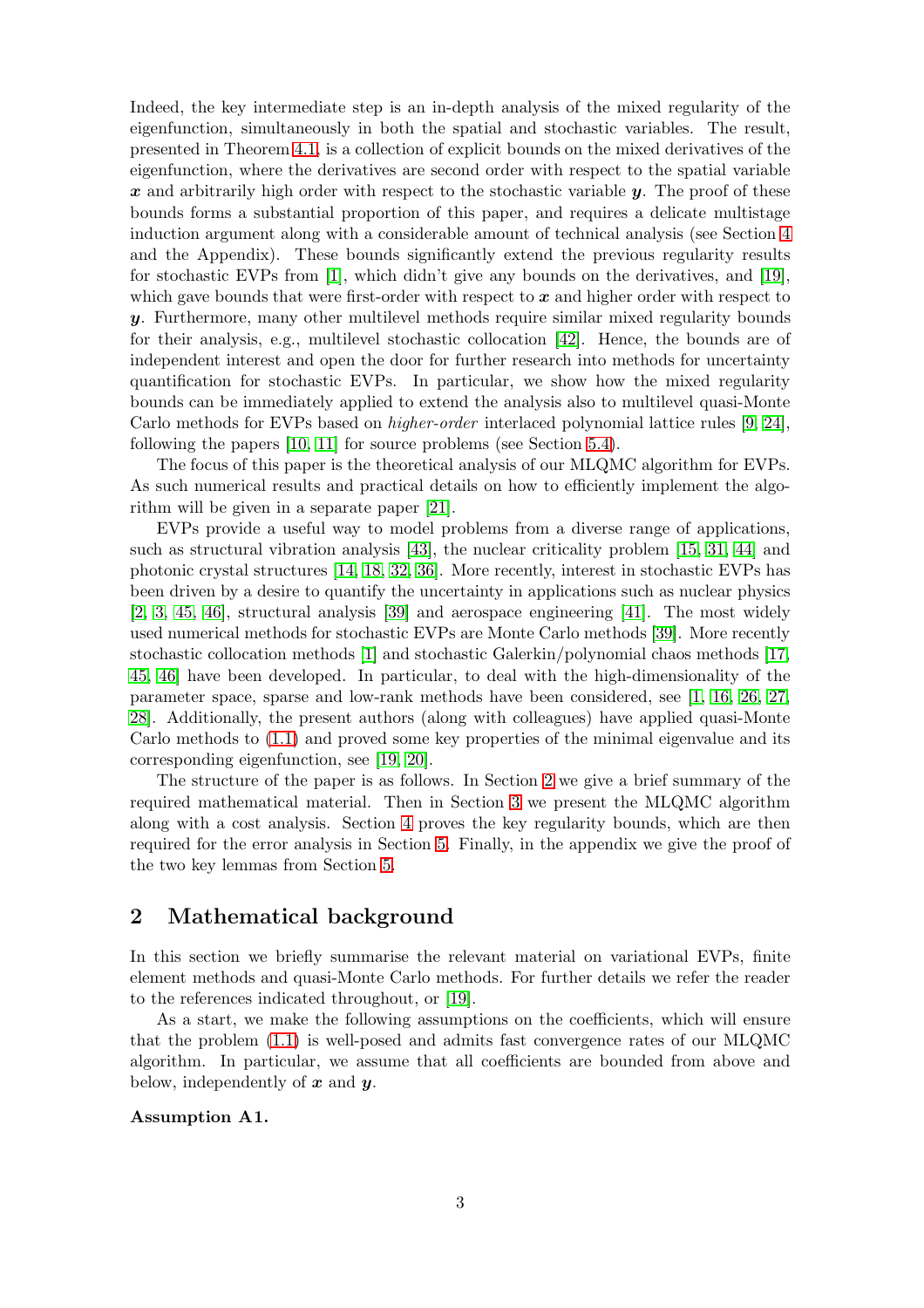Indeed, the key intermediate step is an in-depth analysis of the mixed regularity of the eigenfunction, simultaneously in both the spatial and stochastic variables. The result, presented in Theorem [4.1,](#page-10-0) is a collection of explicit bounds on the mixed derivatives of the eigenfunction, where the derivatives are second order with respect to the spatial variable  $x$  and arbitrarily high order with respect to the stochastic variable  $y$ . The proof of these bounds forms a substantial proportion of this paper, and requires a delicate multistage induction argument along with a considerable amount of technical analysis (see Section [4](#page-9-2) and the Appendix). These bounds significantly extend the previous regularity results for stochastic EVPs from [\[1\]](#page-23-1), which didn't give any bounds on the derivatives, and [\[19\]](#page-24-4), which gave bounds that were first-order with respect to  $x$  and higher order with respect to y. Furthermore, many other multilevel methods require similar mixed regularity bounds for their analysis, e.g., multilevel stochastic collocation [\[42\]](#page-25-3). Hence, the bounds are of independent interest and open the door for further research into methods for uncertainty quantification for stochastic EVPs. In particular, we show how the mixed regularity bounds can be immediately applied to extend the analysis also to multilevel quasi-Monte Carlo methods for EVPs based on higher-order interlaced polynomial lattice rules [\[9,](#page-24-5) [24\]](#page-24-6), following the papers [\[10,](#page-24-7) [11\]](#page-24-8) for source problems (see Section [5.4\)](#page-21-1).

The focus of this paper is the theoretical analysis of our MLQMC algorithm for EVPs. As such numerical results and practical details on how to efficiently implement the algorithm will be given in a separate paper [\[21\]](#page-24-9).

EVPs provide a useful way to model problems from a diverse range of applications, such as structural vibration analysis [\[43\]](#page-25-4), the nuclear criticality problem [\[15,](#page-24-10) [31,](#page-25-5) [44\]](#page-25-6) and photonic crystal structures [\[14,](#page-24-11) [18,](#page-24-12) [32,](#page-25-7) [36\]](#page-25-8). More recently, interest in stochastic EVPs has been driven by a desire to quantify the uncertainty in applications such as nuclear physics [\[2,](#page-23-2) [3,](#page-23-3) [45,](#page-25-9) [46\]](#page-25-10), structural analysis [\[39\]](#page-25-11) and aerospace engineering [\[41\]](#page-25-12). The most widely used numerical methods for stochastic EVPs are Monte Carlo methods [\[39\]](#page-25-11). More recently stochastic collocation methods [\[1\]](#page-23-1) and stochastic Galerkin/polynomial chaos methods [\[17,](#page-24-13) [45,](#page-25-9) [46\]](#page-25-10) have been developed. In particular, to deal with the high-dimensionality of the parameter space, sparse and low-rank methods have been considered, see [\[1,](#page-23-1) [16,](#page-24-14) [26,](#page-24-15) [27,](#page-25-13) [28\]](#page-25-14). Additionally, the present authors (along with colleagues) have applied quasi-Monte Carlo methods to [\(1.1\)](#page-0-0) and proved some key properties of the minimal eigenvalue and its corresponding eigenfunction, see [\[19,](#page-24-4) [20\]](#page-24-16).

The structure of the paper is as follows. In Section [2](#page-2-0) we give a brief summary of the required mathematical material. Then in Section [3](#page-8-1) we present the MLQMC algorithm along with a cost analysis. Section [4](#page-9-2) proves the key regularity bounds, which are then required for the error analysis in Section [5.](#page-13-0) Finally, in the appendix we give the proof of the two key lemmas from Section [5.](#page-13-0)

# <span id="page-2-0"></span>2 Mathematical background

In this section we briefly summarise the relevant material on variational EVPs, finite element methods and quasi-Monte Carlo methods. For further details we refer the reader to the references indicated throughout, or [\[19\]](#page-24-4).

As a start, we make the following assumptions on the coefficients, which will ensure that the problem [\(1.1\)](#page-0-0) is well-posed and admits fast convergence rates of our MLQMC algorithm. In particular, we assume that all coefficients are bounded from above and below, independently of  $x$  and  $y$ .

#### <span id="page-2-1"></span>Assumption A1.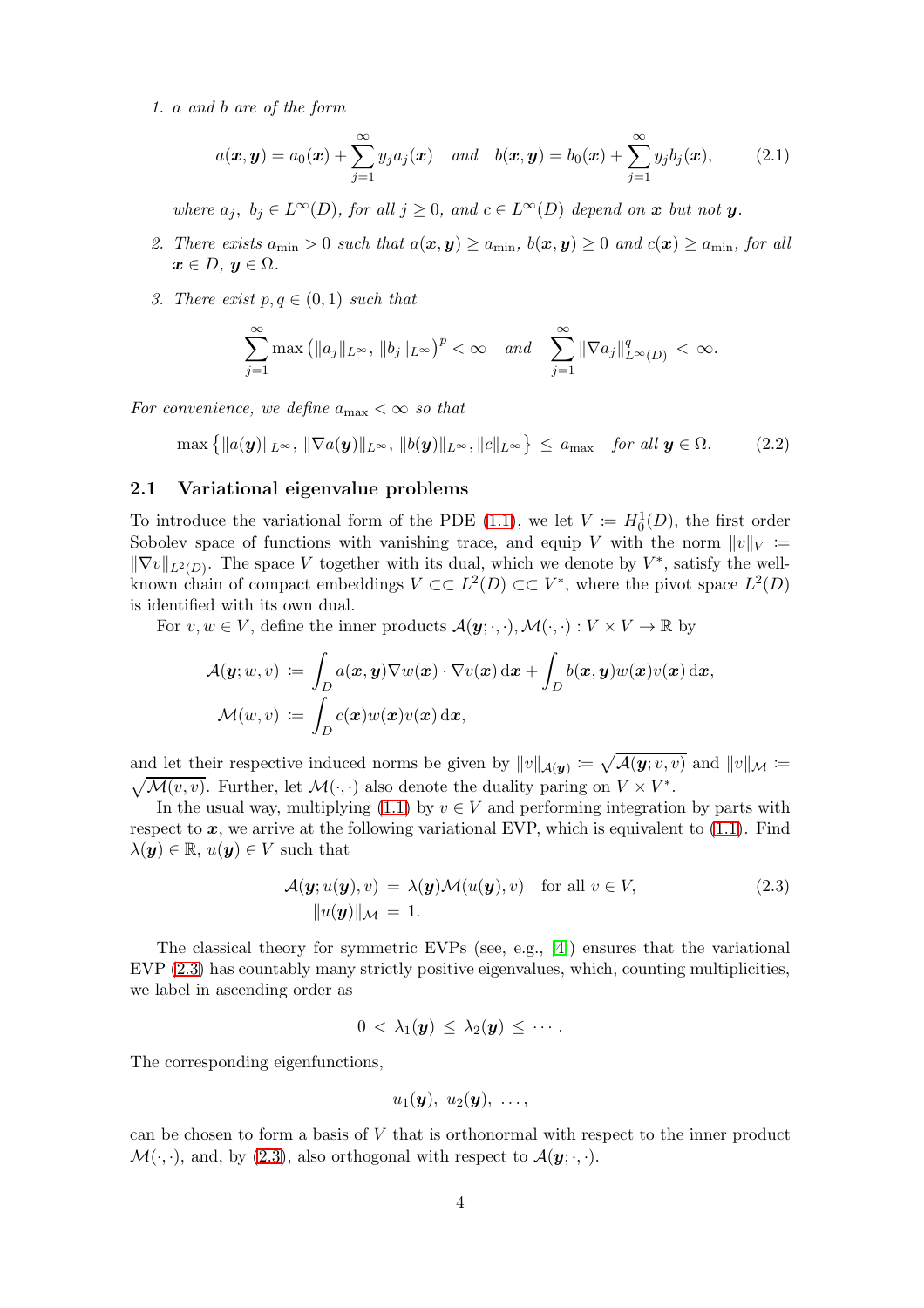1. a and b are of the form

$$
a(\boldsymbol{x},\boldsymbol{y})=a_0(\boldsymbol{x})+\sum_{j=1}^{\infty}y_ja_j(\boldsymbol{x})\quad and\quad b(\boldsymbol{x},\boldsymbol{y})=b_0(\boldsymbol{x})+\sum_{j=1}^{\infty}y_jb_j(\boldsymbol{x}),\quad (2.1)
$$

where  $a_j, b_j \in L^{\infty}(D)$ , for all  $j \geq 0$ , and  $c \in L^{\infty}(D)$  depend on x but not y.

- <span id="page-3-2"></span>2. There exists  $a_{\min} > 0$  such that  $a(\mathbf{x}, \mathbf{y}) \ge a_{\min}$ ,  $b(\mathbf{x}, \mathbf{y}) \ge 0$  and  $c(\mathbf{x}) \ge a_{\min}$ , for all  $x \in D$ ,  $y \in \Omega$ .
- 3. There exist  $p, q \in (0, 1)$  such that

$$
\sum_{j=1}^{\infty} \max\left( \|a_j\|_{L^{\infty}},\|b_j\|_{L^{\infty}} \right)^p < \infty \quad \text{and} \quad \sum_{j=1}^{\infty} \|\nabla a_j\|_{L^{\infty}(D)}^q < \infty.
$$

For convenience, we define  $a_{\text{max}} < \infty$  so that

<span id="page-3-1"></span>
$$
\max\left\{\|a(\boldsymbol{y})\|_{L^{\infty}},\|\nabla a(\boldsymbol{y})\|_{L^{\infty}},\|b(\boldsymbol{y})\|_{L^{\infty}},\|c\|_{L^{\infty}}\right\} \le a_{\max} \quad \text{for all } \boldsymbol{y} \in \Omega. \tag{2.2}
$$

### 2.1 Variational eigenvalue problems

To introduce the variational form of the PDE [\(1.1\)](#page-0-0), we let  $V := H_0^1(D)$ , the first order Sobolev space of functions with vanishing trace, and equip V with the norm  $||v||_V :=$  $\|\nabla v\|_{L^2(D)}$ . The space V together with its dual, which we denote by  $V^*$ , satisfy the wellknown chain of compact embeddings  $V \subset L^2(D) \subset \subset V^*$ , where the pivot space  $L^2(D)$ is identified with its own dual.

For  $v, w \in V$ , define the inner products  $\mathcal{A}(\mathbf{y}; \cdot, \cdot), \mathcal{M}(\cdot, \cdot) : V \times V \to \mathbb{R}$  by

$$
\begin{aligned} \mathcal{A}(\bm{y};w,v) &\coloneqq \int_D a(\bm{x},\bm{y}) \nabla w(\bm{x}) \cdot \nabla v(\bm{x}) \,\mathrm{d}\bm{x} + \int_D b(\bm{x},\bm{y}) w(\bm{x}) v(\bm{x}) \,\mathrm{d}\bm{x}, \\ \mathcal{M}(w,v) &\coloneqq \int_D c(\bm{x}) w(\bm{x}) v(\bm{x}) \,\mathrm{d}\bm{x}, \end{aligned}
$$

and let their respective induced norms be given by  $||v||_{\mathcal{A}(y)} := \sqrt{\mathcal{A}(y; v, v)}$  and  $||v||_{\mathcal{M}} := \sqrt{\mathcal{M}(v, v)}$ . Further, let  $\mathcal{M}(\cdot, \cdot)$  also denote the duality paring on  $V \times V^*$ . ∗ .

In the usual way, multiplying [\(1.1\)](#page-0-0) by  $v \in V$  and performing integration by parts with respect to  $x$ , we arrive at the following variational EVP, which is equivalent to  $(1.1)$ . Find  $\lambda(\boldsymbol{y}) \in \mathbb{R}, u(\boldsymbol{y}) \in V$  such that

$$
\mathcal{A}(\mathbf{y}; u(\mathbf{y}), v) = \lambda(\mathbf{y}) \mathcal{M}(u(\mathbf{y}), v) \quad \text{for all } v \in V,
$$
\n
$$
\|u(\mathbf{y})\|_{\mathcal{M}} = 1.
$$
\n(2.3)

The classical theory for symmetric EVPs (see, e.g., [\[4\]](#page-23-4)) ensures that the variational EVP [\(2.3\)](#page-3-0) has countably many strictly positive eigenvalues, which, counting multiplicities, we label in ascending order as

$$
0 \, < \, \lambda_1(\boldsymbol{y}) \, \leq \, \lambda_2(\boldsymbol{y}) \, \leq \, \cdots.
$$

The corresponding eigenfunctions,

<span id="page-3-0"></span>
$$
u_1(\boldsymbol{y}),\; u_2(\boldsymbol{y}),\; \ldots,
$$

can be chosen to form a basis of  $V$  that is orthonormal with respect to the inner product  $\mathcal{M}(\cdot, \cdot)$ , and, by [\(2.3\)](#page-3-0), also orthogonal with respect to  $\mathcal{A}(\mathbf{y}; \cdot, \cdot)$ .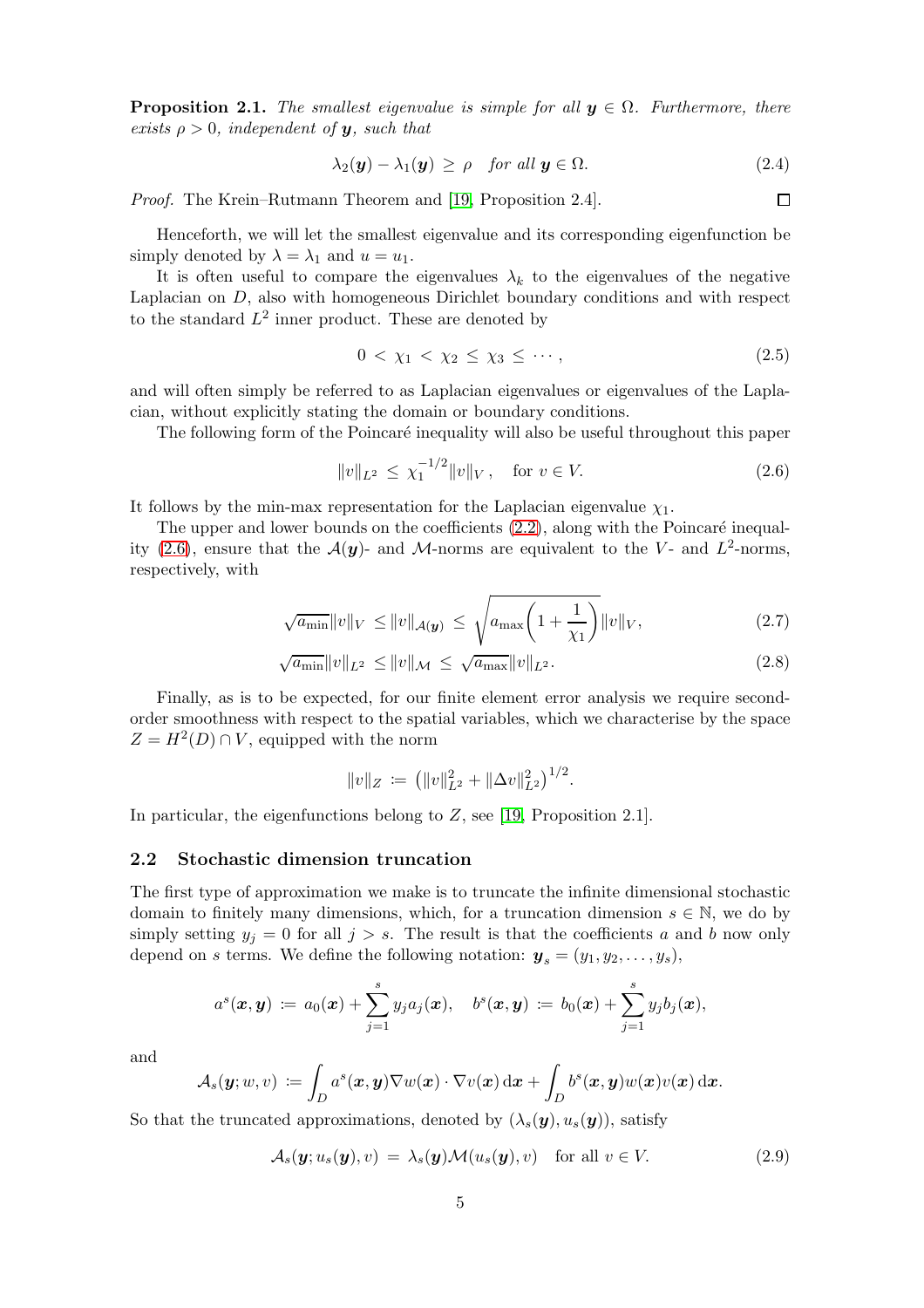**Proposition 2.1.** The smallest eigenvalue is simple for all  $y \in \Omega$ . Furthermore, there exists  $\rho > 0$ , independent of **y**, such that

$$
\lambda_2(\mathbf{y}) - \lambda_1(\mathbf{y}) \ge \rho \quad \text{for all } \mathbf{y} \in \Omega. \tag{2.4}
$$

Proof. The Krein–Rutmann Theorem and [\[19,](#page-24-4) Proposition 2.4].

Henceforth, we will let the smallest eigenvalue and its corresponding eigenfunction be simply denoted by  $\lambda = \lambda_1$  and  $u = u_1$ .

It is often useful to compare the eigenvalues  $\lambda_k$  to the eigenvalues of the negative Laplacian on D, also with homogeneous Dirichlet boundary conditions and with respect to the standard  $L^2$  inner product. These are denoted by

$$
0 < \chi_1 < \chi_2 \leq \chi_3 \leq \cdots,\tag{2.5}
$$

and will often simply be referred to as Laplacian eigenvalues or eigenvalues of the Laplacian, without explicitly stating the domain or boundary conditions.

The following form of the Poincaré inequality will also be useful throughout this paper

$$
||v||_{L^2} \le \chi_1^{-1/2} ||v||_V, \quad \text{for } v \in V.
$$
 (2.6)

It follows by the min-max representation for the Laplacian eigenvalue  $\chi_1$ .

The upper and lower bounds on the coefficients  $(2.2)$ , along with the Poincaré inequal-ity [\(2.6\)](#page-4-0), ensure that the  $\mathcal{A}(y)$ - and M-norms are equivalent to the V- and  $L^2$ -norms, respectively, with

$$
\sqrt{a_{\min}} \|v\|_{V} \le \|v\|_{\mathcal{A}(\mathbf{y})} \le \sqrt{a_{\max} \left(1 + \frac{1}{\chi_{1}}\right)} \|v\|_{V}, \tag{2.7}
$$

$$
\sqrt{a_{\min}} \|v\|_{L^2} \le \|v\|_{\mathcal{M}} \le \sqrt{a_{\max}} \|v\|_{L^2}.
$$
\n(2.8)

Finally, as is to be expected, for our finite element error analysis we require secondorder smoothness with respect to the spatial variables, which we characterise by the space  $Z = H^2(D) \cap V$ , equipped with the norm

<span id="page-4-3"></span>
$$
||v||_Z := (||v||_{L^2}^2 + ||\Delta v||_{L^2}^2)^{1/2}.
$$

In particular, the eigenfunctions belong to Z, see [\[19,](#page-24-4) Proposition 2.1].

### 2.2 Stochastic dimension truncation

The first type of approximation we make is to truncate the infinite dimensional stochastic domain to finitely many dimensions, which, for a truncation dimension  $s \in \mathbb{N}$ , we do by simply setting  $y_j = 0$  for all  $j > s$ . The result is that the coefficients a and b now only depend on s terms. We define the following notation:  $y_s = (y_1, y_2, \ldots, y_s)$ ,

$$
a^s(\bm x, \bm y) \ := \ a_0(\bm x) + \sum_{j=1}^s y_j a_j(\bm x), \quad b^s(\bm x, \bm y) \ := \ b_0(\bm x) + \sum_{j=1}^s y_j b_j(\bm x),
$$

and

$$
\mathcal{A}_s(\boldsymbol{y}; w, v) \coloneqq \int_D a^s(\boldsymbol{x}, \boldsymbol{y}) \nabla w(\boldsymbol{x}) \cdot \nabla v(\boldsymbol{x}) \, d\boldsymbol{x} + \int_D b^s(\boldsymbol{x}, \boldsymbol{y}) w(\boldsymbol{x}) v(\boldsymbol{x}) \, d\boldsymbol{x}.
$$

So that the truncated approximations, denoted by  $(\lambda_s(\boldsymbol{y}), u_s(\boldsymbol{y}))$ , satisfy

<span id="page-4-1"></span>
$$
\mathcal{A}_s(\mathbf{y}; u_s(\mathbf{y}), v) = \lambda_s(\mathbf{y}) \mathcal{M}(u_s(\mathbf{y}), v) \quad \text{for all } v \in V. \tag{2.9}
$$

<span id="page-4-2"></span><span id="page-4-0"></span> $\Box$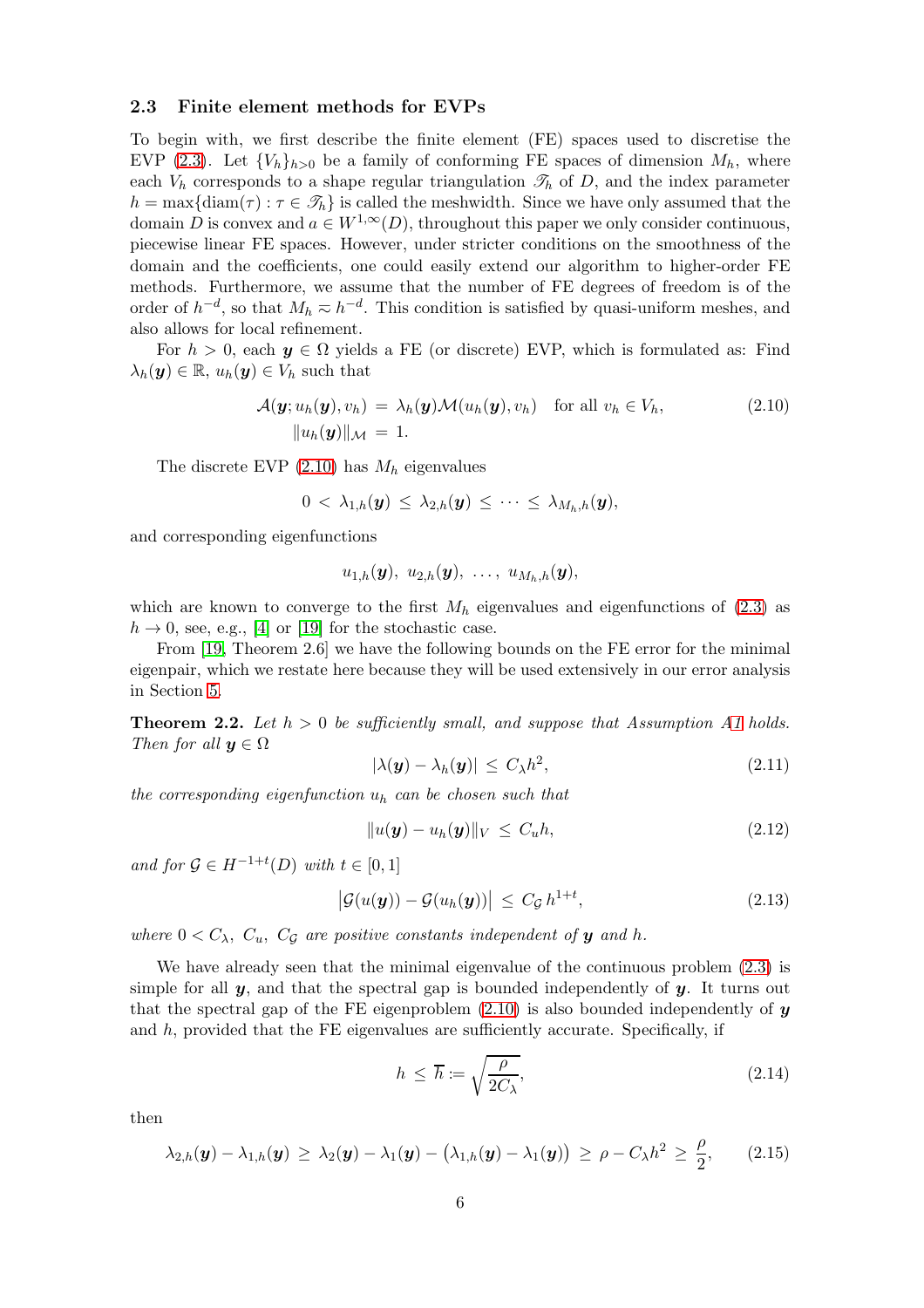#### 2.3 Finite element methods for EVPs

To begin with, we first describe the finite element (FE) spaces used to discretise the EVP [\(2.3\)](#page-3-0). Let  ${V_h}_{h>0}$  be a family of conforming FE spaces of dimension  $M_h$ , where each  $V_h$  corresponds to a shape regular triangulation  $\mathcal{T}_h$  of D, and the index parameter  $h = \max\{\text{diam}(\tau) : \tau \in \mathcal{T}_h\}$  is called the meshwidth. Since we have only assumed that the domain D is convex and  $a \in W^{1,\infty}(D)$ , throughout this paper we only consider continuous, piecewise linear FE spaces. However, under stricter conditions on the smoothness of the domain and the coefficients, one could easily extend our algorithm to higher-order FE methods. Furthermore, we assume that the number of FE degrees of freedom is of the order of  $h^{-d}$ , so that  $M_h \approx h^{-d}$ . This condition is satisfied by quasi-uniform meshes, and also allows for local refinement.

For  $h > 0$ , each  $y \in \Omega$  yields a FE (or discrete) EVP, which is formulated as: Find  $\lambda_h(\mathbf{y}) \in \mathbb{R}, u_h(\mathbf{y}) \in V_h$  such that

$$
\mathcal{A}(\mathbf{y}; u_h(\mathbf{y}), v_h) = \lambda_h(\mathbf{y}) \mathcal{M}(u_h(\mathbf{y}), v_h) \quad \text{for all } v_h \in V_h,
$$
\n
$$
\|u_h(\mathbf{y})\|_{\mathcal{M}} = 1.
$$
\n(2.10)

The discrete EVP  $(2.10)$  has  $M_h$  eigenvalues

$$
0\,<\,\lambda_{1,h}(\boldsymbol{y})\,\leq\,\lambda_{2,h}(\boldsymbol{y})\,\leq\,\cdots\,\leq\,\lambda_{M_h,h}(\boldsymbol{y}),
$$

and corresponding eigenfunctions

<span id="page-5-0"></span>
$$
u_{1,h}(\boldsymbol{y}),\,\,u_{2,h}(\boldsymbol{y}),\,\,\ldots,\,\,u_{M_h,h}(\boldsymbol{y}),
$$

which are known to converge to the first  $M_h$  eigenvalues and eigenfunctions of  $(2.3)$  as  $h \to 0$ , see, e.g., [\[4\]](#page-23-4) or [\[19\]](#page-24-4) for the stochastic case.

From [\[19,](#page-24-4) Theorem 2.6] we have the following bounds on the FE error for the minimal eigenpair, which we restate here because they will be used extensively in our error analysis in Section [5.](#page-13-0)

<span id="page-5-3"></span>**Theorem 2.2.** Let  $h > 0$  be sufficiently small, and suppose that Assumption [A1](#page-2-1) holds. Then for all  $y \in \Omega$ 

<span id="page-5-1"></span>
$$
|\lambda(\boldsymbol{y}) - \lambda_h(\boldsymbol{y})| \le C_\lambda h^2, \tag{2.11}
$$

the corresponding eigenfunction  $u_h$  can be chosen such that

<span id="page-5-5"></span>
$$
||u(\mathbf{y}) - u_h(\mathbf{y})||_V \le C_u h, \tag{2.12}
$$

and for  $\mathcal{G} \in H^{-1+t}(D)$  with  $t \in [0,1]$ 

$$
\left| \mathcal{G}(u(\boldsymbol{y})) - \mathcal{G}(u_h(\boldsymbol{y})) \right| \leq C_{\mathcal{G}} h^{1+t}, \tag{2.13}
$$

where  $0 < C_{\lambda}$ ,  $C_{u}$ ,  $C_{\mathcal{G}}$  are positive constants independent of **y** and h.

We have already seen that the minimal eigenvalue of the continuous problem [\(2.3\)](#page-3-0) is simple for all  $y$ , and that the spectral gap is bounded independently of  $y$ . It turns out that the spectral gap of the FE eigenproblem  $(2.10)$  is also bounded independently of y and  $h$ , provided that the FE eigenvalues are sufficiently accurate. Specifically, if

<span id="page-5-4"></span>
$$
h \le \overline{h} := \sqrt{\frac{\rho}{2C_{\lambda}}},\tag{2.14}
$$

then

<span id="page-5-2"></span>
$$
\lambda_{2,h}(\boldsymbol{y}) - \lambda_{1,h}(\boldsymbol{y}) \geq \lambda_2(\boldsymbol{y}) - \lambda_1(\boldsymbol{y}) - (\lambda_{1,h}(\boldsymbol{y}) - \lambda_1(\boldsymbol{y})) \geq \rho - C_{\lambda}h^2 \geq \frac{\rho}{2}, \qquad (2.15)
$$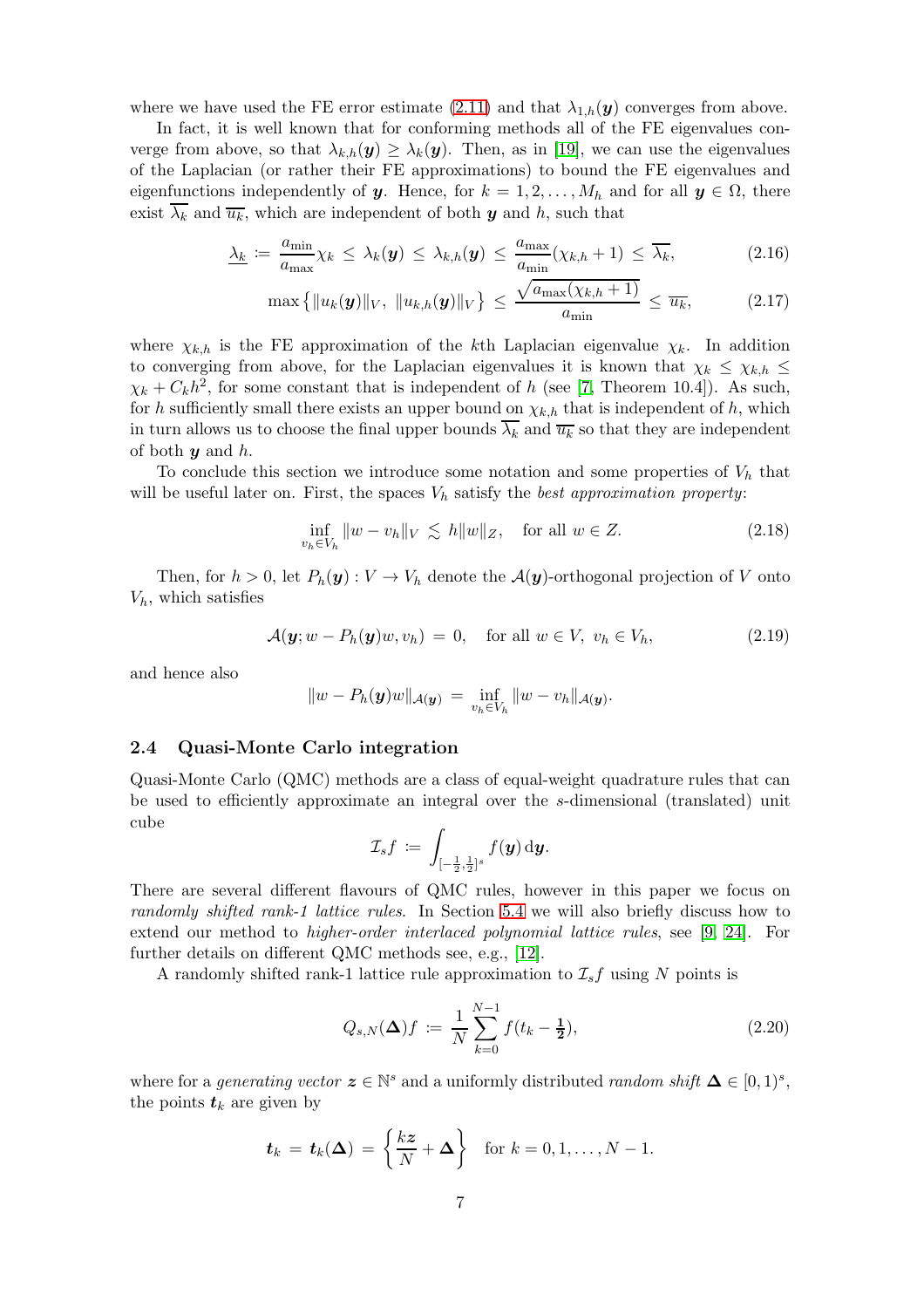where we have used the FE error estimate [\(2.11\)](#page-5-1) and that  $\lambda_{1,h}(y)$  converges from above.

In fact, it is well known that for conforming methods all of the FE eigenvalues converge from above, so that  $\lambda_{k,h}(\mathbf{y}) \geq \lambda_k(\mathbf{y})$ . Then, as in [\[19\]](#page-24-4), we can use the eigenvalues of the Laplacian (or rather their FE approximations) to bound the FE eigenvalues and eigenfunctions independently of y. Hence, for  $k = 1, 2, ..., M_h$  and for all  $y \in \Omega$ , there exist  $\lambda_k$  and  $\overline{u_k}$ , which are independent of both y and h, such that

$$
\underline{\lambda_k} := \frac{a_{\min}}{a_{\max}} \chi_k \leq \lambda_k(\mathbf{y}) \leq \lambda_{k,h}(\mathbf{y}) \leq \frac{a_{\max}}{a_{\min}} (\chi_{k,h} + 1) \leq \overline{\lambda_k},
$$
\n(2.16)

<span id="page-6-3"></span><span id="page-6-2"></span>
$$
\max\left\{\|u_k(\boldsymbol{y})\|_V, \|u_{k,h}(\boldsymbol{y})\|_V\right\} \le \frac{\sqrt{a_{\max}(\chi_{k,h}+1)}}{a_{\min}} \le \overline{u_k},\tag{2.17}
$$

where  $\chi_{k,h}$  is the FE approximation of the kth Laplacian eigenvalue  $\chi_k$ . In addition to converging from above, for the Laplacian eigenvalues it is known that  $\chi_k \leq \chi_{k,h} \leq$  $\chi_k + C_k h^2$ , for some constant that is independent of h (see [\[7,](#page-24-17) Theorem 10.4]). As such, for h sufficiently small there exists an upper bound on  $\chi_{k,h}$  that is independent of h, which in turn allows us to choose the final upper bounds  $\lambda_k$  and  $\overline{u_k}$  so that they are independent of both  $y$  and  $h$ .

To conclude this section we introduce some notation and some properties of  $V<sub>h</sub>$  that will be useful later on. First, the spaces  $V<sub>h</sub>$  satisfy the *best approximation property*:

<span id="page-6-4"></span>
$$
\inf_{v_h \in V_h} \|w - v_h\|_V \lesssim h\|w\|_Z, \quad \text{for all } w \in Z.
$$
\n(2.18)

Then, for  $h > 0$ , let  $P_h(\mathbf{y}) : V \to V_h$  denote the  $\mathcal{A}(\mathbf{y})$ -orthogonal projection of V onto  $V_h$ , which satisfies

$$
\mathcal{A}(\mathbf{y}; w - P_h(\mathbf{y})w, v_h) = 0, \quad \text{for all } w \in V, \ v_h \in V_h,
$$
\n(2.19)

and hence also

$$
||w - P_h(\boldsymbol{y})w||_{\mathcal{A}(\boldsymbol{y})} = \inf_{v_h \in V_h} ||w - v_h||_{\mathcal{A}(\boldsymbol{y})}.
$$

### <span id="page-6-1"></span>2.4 Quasi-Monte Carlo integration

Quasi-Monte Carlo (QMC) methods are a class of equal-weight quadrature rules that can be used to efficiently approximate an integral over the s-dimensional (translated) unit cube

$$
\mathcal{I}_s f \coloneqq \int_{[-\frac{1}{2},\frac{1}{2}]^s} f(\boldsymbol{y}) \, \mathrm{d} \boldsymbol{y}.
$$

There are several different flavours of QMC rules, however in this paper we focus on randomly shifted rank-1 lattice rules. In Section [5.4](#page-21-1) we will also briefly discuss how to extend our method to higher-order interlaced polynomial lattice rules, see [\[9,](#page-24-5) [24\]](#page-24-6). For further details on different QMC methods see, e.g., [\[12\]](#page-24-2).

A randomly shifted rank-1 lattice rule approximation to  $\mathcal{I}_s f$  using N points is

<span id="page-6-0"></span>
$$
Q_{s,N}(\Delta)f := \frac{1}{N} \sum_{k=0}^{N-1} f(t_k - \frac{1}{2}),
$$
\n(2.20)

where for a *generating vector*  $z \in \mathbb{N}^s$  and a uniformly distributed *random shift*  $\Delta \in [0,1)^s$ , the points  $t_k$  are given by

$$
\boldsymbol{t}_k = \boldsymbol{t}_k(\boldsymbol{\Delta}) = \left\{ \frac{k \boldsymbol{z}}{N} + \boldsymbol{\Delta} \right\} \text{ for } k = 0, 1, \ldots, N-1.
$$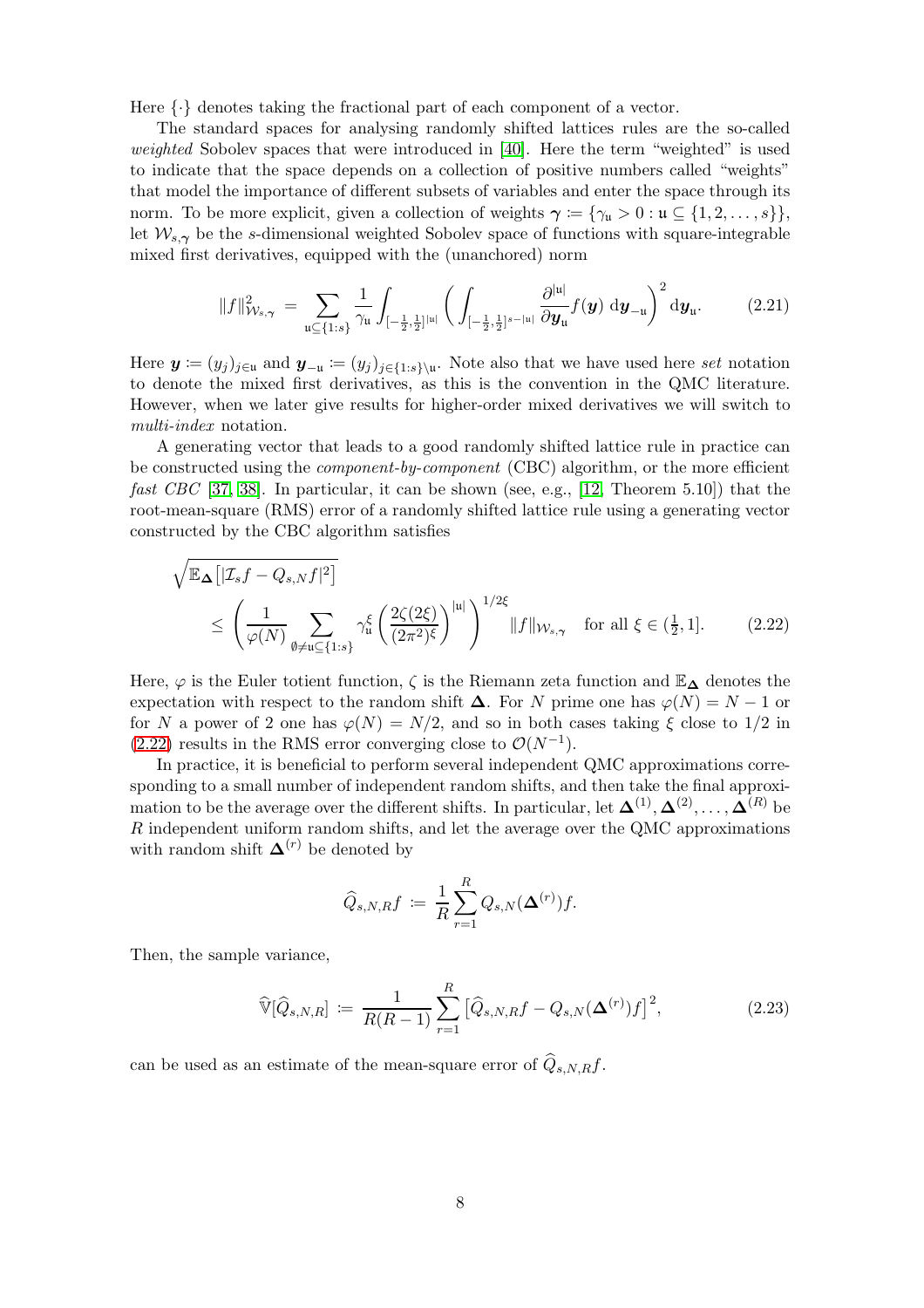Here  $\{\cdot\}$  denotes taking the fractional part of each component of a vector.

The standard spaces for analysing randomly shifted lattices rules are the so-called weighted Sobolev spaces that were introduced in [\[40\]](#page-25-15). Here the term "weighted" is used to indicate that the space depends on a collection of positive numbers called "weights" that model the importance of different subsets of variables and enter the space through its norm. To be more explicit, given a collection of weights  $\gamma := {\gamma_u > 0 : u \subseteq {1, 2, ..., s}}$ , let  $W_{s,\gamma}$  be the s-dimensional weighted Sobolev space of functions with square-integrable mixed first derivatives, equipped with the (unanchored) norm

<span id="page-7-1"></span>
$$
||f||_{W_{s,\gamma}}^2 = \sum_{\mathfrak{u} \subseteq \{1:s\}} \frac{1}{\gamma_{\mathfrak{u}}} \int_{[-\frac{1}{2},\frac{1}{2}]^{|\mathfrak{u}|}} \bigg( \int_{[-\frac{1}{2},\frac{1}{2}]^{s-|\mathfrak{u}|}} \frac{\partial^{|\mathfrak{u}|}}{\partial y_{\mathfrak{u}}} f(\mathfrak{y}) \, \mathrm{d} \mathfrak{y}_{-\mathfrak{u}} \bigg)^2 \mathrm{d} y_{\mathfrak{u}}. \tag{2.21}
$$

Here  $y = (y_j)_{j \in \mathfrak{u}}$  and  $y_{-\mathfrak{u}} = (y_j)_{j \in \{1:s\}\setminus \mathfrak{u}}$ . Note also that we have used here set notation to denote the mixed first derivatives, as this is the convention in the QMC literature. However, when we later give results for higher-order mixed derivatives we will switch to multi-index notation.

A generating vector that leads to a good randomly shifted lattice rule in practice can be constructed using the *component-by-component* (CBC) algorithm, or the more efficient *fast CBC* [\[37,](#page-25-16) [38\]](#page-25-17). In particular, it can be shown (see, e.g., [\[12,](#page-24-2) Theorem 5.10]) that the root-mean-square (RMS) error of a randomly shifted lattice rule using a generating vector constructed by the CBC algorithm satisfies

$$
\sqrt{\mathbb{E}_{\Delta}\left[|\mathcal{I}_{s}f - Q_{s,N}f|^{2}\right]}
$$
\n
$$
\leq \left(\frac{1}{\varphi(N)}\sum_{\emptyset \neq \mathfrak{u} \subseteq \{1:s\}} \gamma_{\mathfrak{u}}^{\xi}\left(\frac{2\zeta(2\xi)}{(2\pi^{2})^{\xi}}\right)^{|\mathfrak{u}|}\right)^{1/2\xi} \|f\|_{\mathcal{W}_{s,\gamma}} \quad \text{for all } \xi \in (\frac{1}{2}, 1].
$$
\n(2.22)

Here,  $\varphi$  is the Euler totient function,  $\zeta$  is the Riemann zeta function and  $\mathbb{E}_{\Delta}$  denotes the expectation with respect to the random shift  $\Delta$ . For N prime one has  $\varphi(N) = N - 1$  or for N a power of 2 one has  $\varphi(N) = N/2$ , and so in both cases taking  $\xi$  close to 1/2 in [\(2.22\)](#page-7-0) results in the RMS error converging close to  $\mathcal{O}(N^{-1})$ .

In practice, it is beneficial to perform several independent QMC approximations corresponding to a small number of independent random shifts, and then take the final approximation to be the average over the different shifts. In particular, let  $\mathbf{\Delta}^{(1)},\mathbf{\Delta}^{(2)},\ldots,\mathbf{\Delta}^{(R)}$  be R independent uniform random shifts, and let the average over the QMC approximations with random shift  $\mathbf{\Delta}^{(r)}$  be denoted by

<span id="page-7-0"></span>
$$
\widehat{Q}_{s,N,R}f \coloneqq \frac{1}{R} \sum_{r=1}^R Q_{s,N}(\mathbf{\Delta}^{(r)})f.
$$

Then, the sample variance,

$$
\widehat{\mathbb{V}}[\widehat{Q}_{s,N,R}] := \frac{1}{R(R-1)} \sum_{r=1}^{R} \left[ \widehat{Q}_{s,N,R} f - Q_{s,N}(\mathbf{\Delta}^{(r)}) f \right]^2, \tag{2.23}
$$

can be used as an estimate of the mean-square error of  $\hat{Q}_{s,N,R}f$ .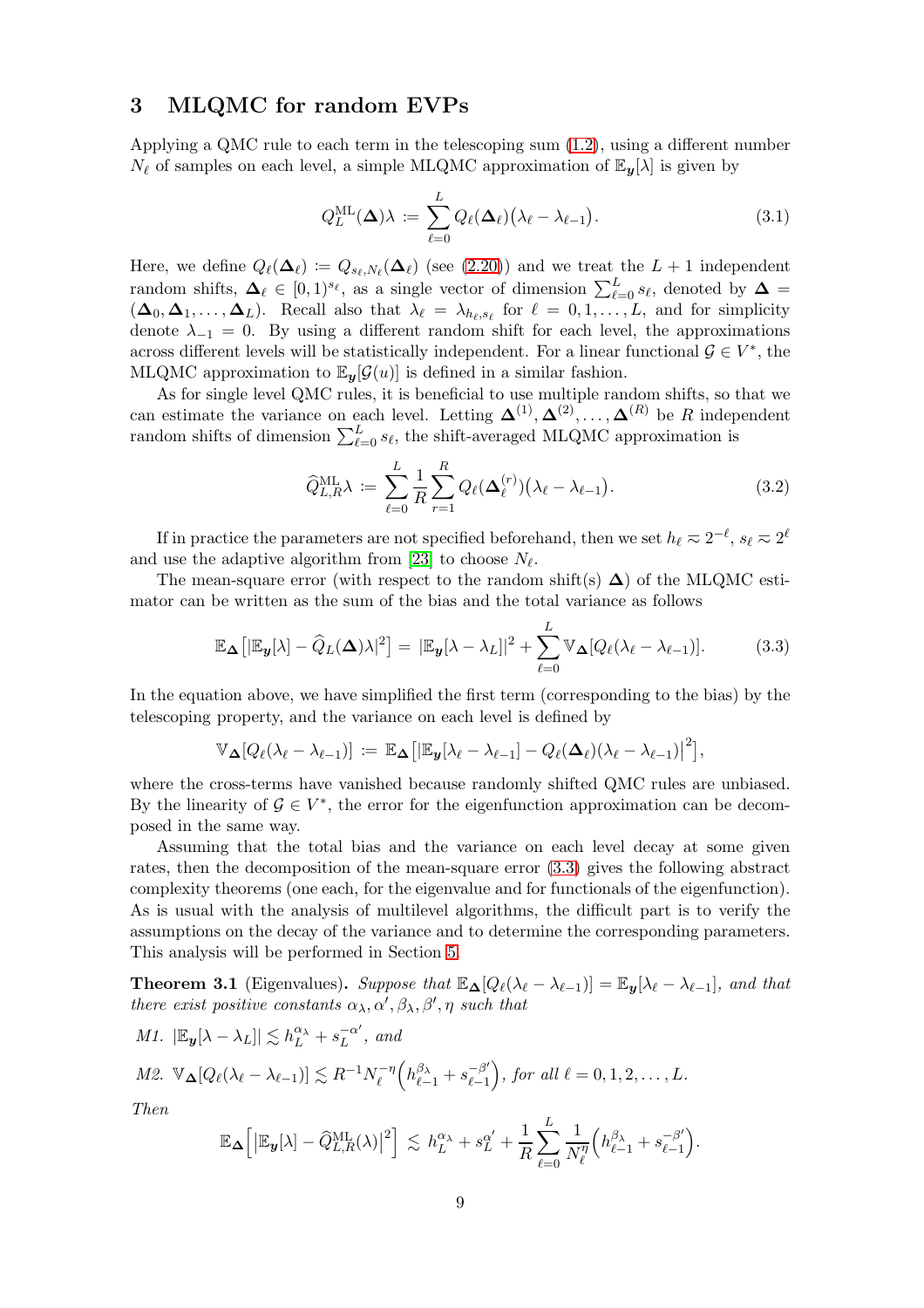### <span id="page-8-1"></span>3 MLQMC for random EVPs

Applying a QMC rule to each term in the telescoping sum [\(1.2\)](#page-1-1), using a different number  $N_{\ell}$  of samples on each level, a simple MLQMC approximation of  $\mathbb{E}_{\mathbf{y}}[\lambda]$  is given by

<span id="page-8-3"></span>
$$
Q_L^{\text{ML}}(\Delta)\lambda := \sum_{\ell=0}^L Q_{\ell}(\Delta_{\ell}) (\lambda_{\ell} - \lambda_{\ell-1}). \tag{3.1}
$$

Here, we define  $Q_{\ell}(\mathbf{\Delta}_{\ell}) \coloneqq Q_{s_{\ell},N_{\ell}}(\mathbf{\Delta}_{\ell})$  (see [\(2.20\)](#page-6-0)) and we treat the  $L+1$  independent random shifts,  $\Delta_{\ell} \in [0,1)^{s_{\ell}}$ , as a single vector of dimension  $\sum_{\ell=0}^{L} s_{\ell}$ , denoted by  $\Delta =$  $(\mathbf{\Delta}_0, \mathbf{\Delta}_1, \dots, \mathbf{\Delta}_L)$ . Recall also that  $\lambda_{\ell} = \lambda_{h_{\ell}, s_{\ell}}$  for  $\ell = 0, 1, \dots, L$ , and for simplicity denote  $\lambda_{-1} = 0$ . By using a different random shift for each level, the approximations across different levels will be statistically independent. For a linear functional  $\mathcal{G} \in V^*$ , the MLQMC approximation to  $\mathbb{E}_{u}[\mathcal{G}(u)]$  is defined in a similar fashion.

As for single level QMC rules, it is beneficial to use multiple random shifts, so that we can estimate the variance on each level. Letting  $\mathbf{\Delta}^{(1)}, \mathbf{\Delta}^{(2)}, \ldots, \mathbf{\Delta}^{(R)}$  be R independent random shifts of dimension  $\sum_{\ell=0}^{L} s_{\ell}$ , the shift-averaged MLQMC approximation is

$$
\widehat{Q}_{L,R}^{\text{ML}}\lambda \coloneqq \sum_{\ell=0}^{L} \frac{1}{R} \sum_{r=1}^{R} Q_{\ell}(\boldsymbol{\Delta}_{\ell}^{(r)}) \big(\lambda_{\ell} - \lambda_{\ell-1}\big). \tag{3.2}
$$

If in practice the parameters are not specified beforehand, then we set  $h_\ell \approx 2^{-\ell}, s_\ell \approx 2^{\ell}$ and use the adaptive algorithm from [\[23\]](#page-24-3) to choose  $N_{\ell}$ .

The mean-square error (with respect to the random shift(s)  $\Delta$ ) of the MLQMC estimator can be written as the sum of the bias and the total variance as follows

<span id="page-8-2"></span>
$$
\mathbb{E}_{\boldsymbol{\Delta}}\big[|\mathbb{E}_{\boldsymbol{y}}[\lambda] - \widehat{Q}_L(\boldsymbol{\Delta})\lambda|^2\big] = |\mathbb{E}_{\boldsymbol{y}}[\lambda - \lambda_L]|^2 + \sum_{\ell=0}^L \mathbb{V}_{\boldsymbol{\Delta}}[Q_\ell(\lambda_\ell - \lambda_{\ell-1})].\tag{3.3}
$$

In the equation above, we have simplified the first term (corresponding to the bias) by the telescoping property, and the variance on each level is defined by

$$
\mathbb{V}_{\mathbf{\Delta}}[Q_{\ell}(\lambda_{\ell}-\lambda_{\ell-1})]:=\mathbb{E}_{\mathbf{\Delta}}\big[\vert \mathbb{E}_{\mathbf{y}}[\lambda_{\ell}-\lambda_{\ell-1}]-Q_{\ell}(\mathbf{\Delta}_{\ell})(\lambda_{\ell}-\lambda_{\ell-1})\vert^2\big],
$$

where the cross-terms have vanished because randomly shifted QMC rules are unbiased. By the linearity of  $\mathcal{G} \in V^*$ , the error for the eigenfunction approximation can be decomposed in the same way.

Assuming that the total bias and the variance on each level decay at some given rates, then the decomposition of the mean-square error [\(3.3\)](#page-8-2) gives the following abstract complexity theorems (one each, for the eigenvalue and for functionals of the eigenfunction). As is usual with the analysis of multilevel algorithms, the difficult part is to verify the assumptions on the decay of the variance and to determine the corresponding parameters. This analysis will be performed in Section [5.](#page-13-0)

<span id="page-8-0"></span>**Theorem 3.1** (Eigenvalues). Suppose that  $\mathbb{E}_{\Delta}[Q_{\ell}(\lambda_{\ell} - \lambda_{\ell-1})] = \mathbb{E}_{y}[\lambda_{\ell} - \lambda_{\ell-1}],$  and that there exist positive constants  $\alpha_{\lambda}, \alpha', \beta_{\lambda}, \beta', \eta$  such that

M1. 
$$
|\mathbb{E}_{\mathbf{y}}[\lambda - \lambda_L]| \lesssim h_L^{\alpha_{\lambda}} + s_L^{-\alpha'}
$$
, and  
M2.  $\mathbb{V}_{\mathbf{\Delta}}[Q_{\ell}(\lambda_{\ell} - \lambda_{\ell-1})] \lesssim R^{-1} N_{\ell}^{-\eta} \left( h_{\ell-1}^{\beta_{\lambda}} + s_{\ell-1}^{-\beta'} \right)$ , for all  $\ell = 0, 1, 2, ..., L$ .

Then

$$
\mathbb{E}_{\boldsymbol{\Delta}}\Big[\big|\mathbb{E}_{\boldsymbol{y}}[\lambda] - \widehat{Q}_{L,R}^{\textrm{ML}}(\lambda)\big|^2\Big] \,\lesssim\, h_L^{\alpha_\lambda} + s_L^{\alpha'} + \frac{1}{R}\sum_{\ell=0}^L \frac{1}{N_\ell^{\eta}} \Big(h_{\ell-1}^{\beta_\lambda} + s_{\ell-1}^{-\beta'}\Big).
$$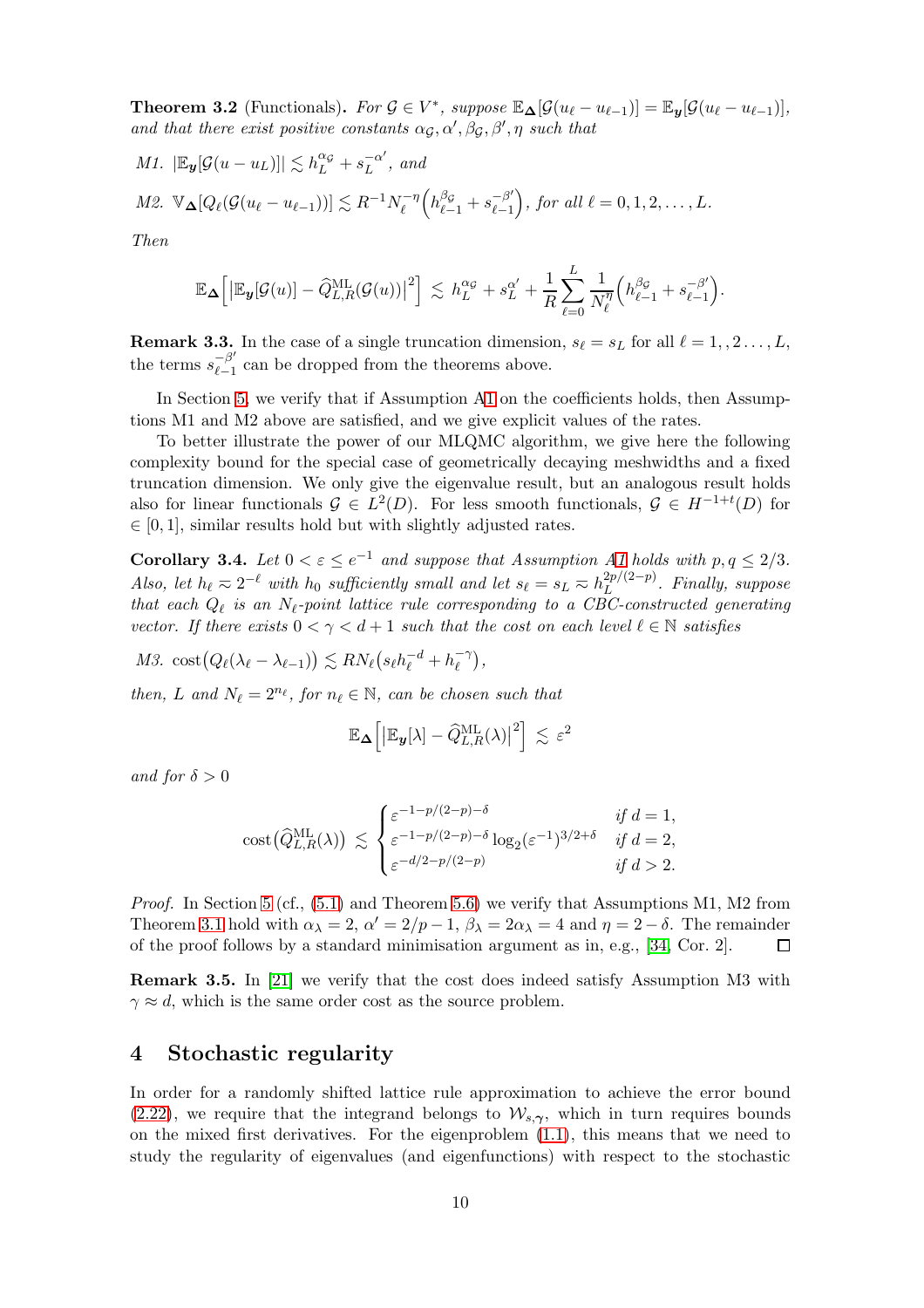<span id="page-9-0"></span>**Theorem 3.2** (Functionals). For  $G \in V^*$ , suppose  $\mathbb{E}_{\Delta}[\mathcal{G}(u_{\ell} - u_{\ell-1})] = \mathbb{E}_{\mathbf{y}}[\mathcal{G}(u_{\ell} - u_{\ell-1})],$ and that there exist positive constants  $\alpha_{\mathcal{G}}, \alpha', \beta_{\mathcal{G}}, \beta', \eta$  such that

M1. 
$$
|\mathbb{E}_{\mathbf{y}}[\mathcal{G}(u - u_L)]| \lesssim h_L^{\alpha\sigma} + s_L^{-\alpha'},
$$
 and  
M2.  $\mathbb{V}_{\mathbf{\Delta}}[Q_{\ell}(\mathcal{G}(u_{\ell} - u_{\ell-1}))] \lesssim R^{-1} N_{\ell}^{-\eta} \left( h_{\ell-1}^{\beta\sigma} + s_{\ell-1}^{-\beta'} \right)$ , for all  $\ell = 0, 1, 2, ..., L$ .

Then

$$
\mathbb{E}_{\boldsymbol{\Delta}}\Big[\big|\mathbb{E}_{\boldsymbol{y}}[\mathcal{G}(u)] - \widehat{Q}_{L,R}^{\textrm{ML}}(\mathcal{G}(u))\big|^2\Big] \,\lesssim\, h_L^{\alpha_{\mathcal{G}}} + s_L^{\alpha'} + \frac{1}{R}\sum_{\ell=0}^L \frac{1}{N_{\ell}^{\eta}}\Big(h_{\ell-1}^{\beta_{\mathcal{G}}} + s_{\ell-1}^{-\beta'}\Big).
$$

**Remark 3.3.** In the case of a single truncation dimension,  $s_{\ell} = s_L$  for all  $\ell = 1, 2, ..., L$ , the terms  $s_{\ell-1}^{-\beta'}$  $\frac{-p}{l-1}$  can be dropped from the theorems above.

In Section [5,](#page-13-0) we verify that if Assumption [A1](#page-2-1) on the coefficients holds, then Assumptions M1 and M2 above are satisfied, and we give explicit values of the rates.

To better illustrate the power of our MLQMC algorithm, we give here the following complexity bound for the special case of geometrically decaying meshwidths and a fixed truncation dimension. We only give the eigenvalue result, but an analogous result holds also for linear functionals  $\mathcal{G} \in L^2(D)$ . For less smooth functionals,  $\mathcal{G} \in H^{-1+t}(D)$  for  $\in [0, 1]$ , similar results hold but with slightly adjusted rates.

<span id="page-9-1"></span>**Corollary 3.4.** Let  $0 < \varepsilon \le e^{-1}$  and suppose that Assumption [A1](#page-2-1) holds with  $p, q \le 2/3$ . Also, let  $h_{\ell} \approx 2^{-\ell}$  with  $h_0$  sufficiently small and let  $s_{\ell} = s_L \approx h_L^{2p/(2-p)}$  $L^{2p/(2-p)}$ . Finally, suppose that each  $Q_{\ell}$  is an  $N_{\ell}$ -point lattice rule corresponding to a CBC-constructed generating vector. If there exists  $0 < \gamma < d+1$  such that the cost on each level  $\ell \in \mathbb{N}$  satisfies

M3. cost $(Q_{\ell}(\lambda_{\ell}-\lambda_{\ell-1})) \lesssim RN_{\ell}(s_{\ell}h_{\ell}^{-d}+h_{\ell}^{-\gamma})$  $\begin{pmatrix} -\gamma \\ \ell \end{pmatrix}$ 

then, L and  $N_{\ell} = 2^{n_{\ell}}$ , for  $n_{\ell} \in \mathbb{N}$ , can be chosen such that

$$
\mathbb{E}_{\boldsymbol{\Delta}}\Big[\big|\mathbb{E}_{\boldsymbol{y}}[\lambda] - \widehat{Q}_{L,R}^{\textrm{ML}}(\lambda)\big|^2\Big] \lesssim \varepsilon^2
$$

and for  $\delta > 0$ 

$$
\text{cost}(\widehat{Q}_{L,R}^{\text{ML}}(\lambda)) \lesssim \begin{cases} \varepsilon^{-1-p/(2-p)-\delta} & \text{if } d = 1, \\ \varepsilon^{-1-p/(2-p)-\delta} \log_2(\varepsilon^{-1})^{3/2+\delta} & \text{if } d = 2, \\ \varepsilon^{-d/2-p/(2-p)} & \text{if } d > 2. \end{cases}
$$

Proof. In Section [5](#page-13-0) (cf.,  $(5.1)$  and Theorem [5.6\)](#page-19-0) we verify that Assumptions M1, M2 from Theorem [3.1](#page-8-0) hold with  $\alpha_{\lambda} = 2$ ,  $\alpha' = 2/p - 1$ ,  $\beta_{\lambda} = 2\alpha_{\lambda} = 4$  and  $\eta = 2 - \delta$ . The remainder of the proof follows by a standard minimisation argument as in, e.g., [\[34,](#page-25-2) Cor. 2].

Remark 3.5. In [\[21\]](#page-24-9) we verify that the cost does indeed satisfy Assumption M3 with  $\gamma \approx d$ , which is the same order cost as the source problem.

### <span id="page-9-2"></span>4 Stochastic regularity

In order for a randomly shifted lattice rule approximation to achieve the error bound [\(2.22\)](#page-7-0), we require that the integrand belongs to  $\mathcal{W}_{s, \gamma}$ , which in turn requires bounds on the mixed first derivatives. For the eigenproblem [\(1.1\)](#page-0-0), this means that we need to study the regularity of eigenvalues (and eigenfunctions) with respect to the stochastic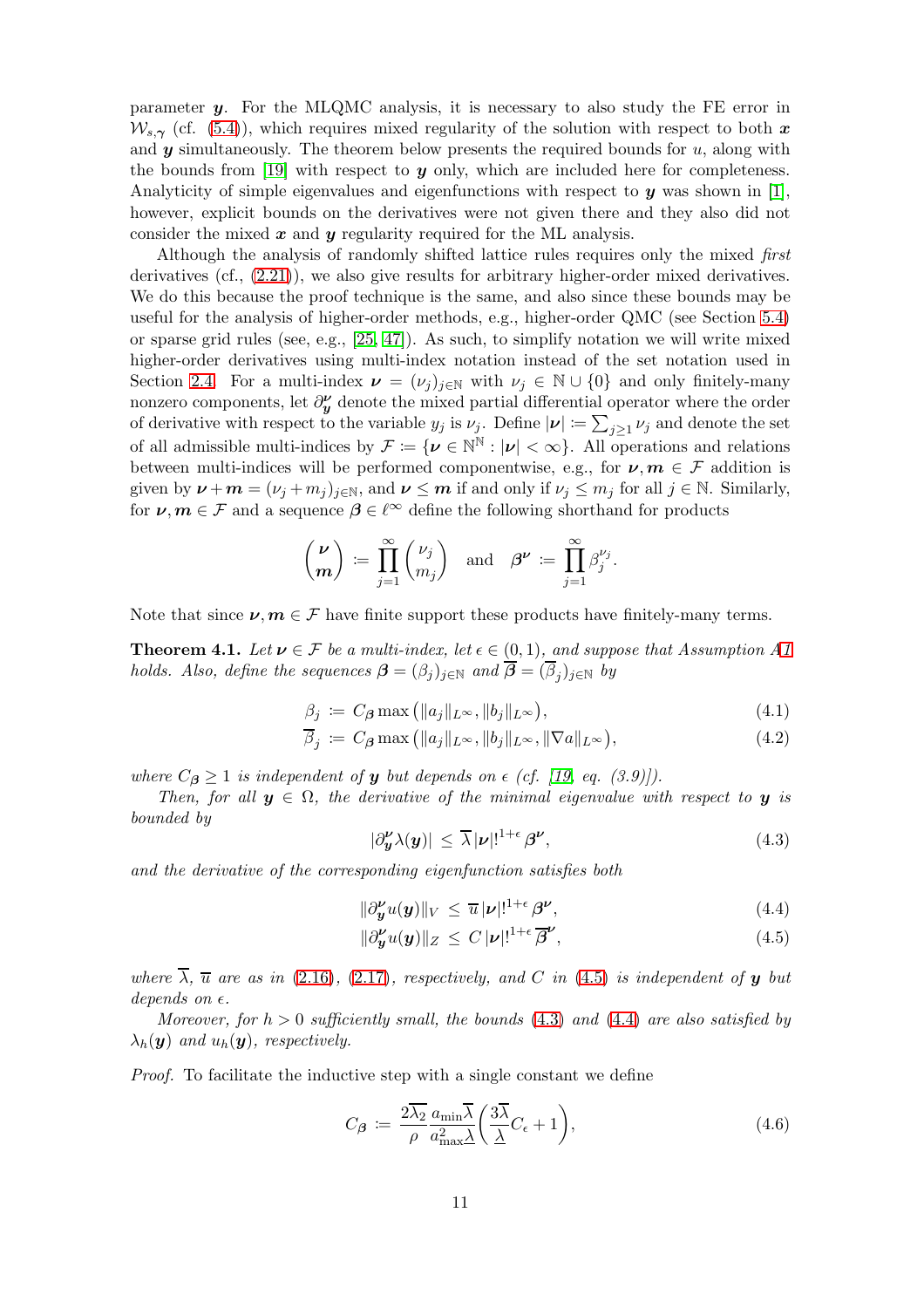parameter y. For the MLQMC analysis, it is necessary to also study the FE error in  $W_{s\gamma}$  (cf. [\(5.4\)](#page-14-1)), which requires mixed regularity of the solution with respect to both x and  $y$  simultaneously. The theorem below presents the required bounds for  $u$ , along with the bounds from  $[19]$  with respect to y only, which are included here for completeness. Analyticity of simple eigenvalues and eigenfunctions with respect to  $y$  was shown in [\[1\]](#page-23-1), however, explicit bounds on the derivatives were not given there and they also did not consider the mixed  $x$  and  $y$  regularity required for the ML analysis.

Although the analysis of randomly shifted lattice rules requires only the mixed first derivatives (cf., [\(2.21\)](#page-7-1)), we also give results for arbitrary higher-order mixed derivatives. We do this because the proof technique is the same, and also since these bounds may be useful for the analysis of higher-order methods, e.g., higher-order QMC (see Section [5.4\)](#page-21-1) or sparse grid rules (see, e.g.,  $[25, 47]$  $[25, 47]$ ). As such, to simplify notation we will write mixed higher-order derivatives using multi-index notation instead of the set notation used in Section [2.4.](#page-6-1) For a multi-index  $\nu = (\nu_j)_{j \in \mathbb{N}}$  with  $\nu_j \in \mathbb{N} \cup \{0\}$  and only finitely-many nonzero components, let  $\partial_{\mathbf{y}}^{\nu}$  denote the mixed partial differential operator where the order of derivative with respect to the variable  $y_j$  is  $\nu_j$ . Define  $|\nu| := \sum_{j\geq 1} \nu_j$  and denote the set of all admissible multi-indices by  $\mathcal{F} := \{ \nu \in \mathbb{N}^{\mathbb{N}} : |\nu| < \infty \}$ . All operations and relations between multi-indices will be performed componentwise, e.g., for  $\nu, m \in \mathcal{F}$  addition is given by  $\boldsymbol{\nu} + \boldsymbol{m} = (\nu_j + m_j)_{j \in \mathbb{N}}$ , and  $\boldsymbol{\nu} \leq \boldsymbol{m}$  if and only if  $\nu_j \leq m_j$  for all  $j \in \mathbb{N}$ . Similarly, for  $\nu, m \in \mathcal{F}$  and a sequence  $\beta \in \ell^{\infty}$  define the following shorthand for products

$$
\binom{\boldsymbol{\nu}}{\boldsymbol{m}}\coloneqq\prod_{j=1}^{\infty}\binom{\nu_j}{m_j}\quad\text{and}\quad\boldsymbol{\beta}^{\boldsymbol{\nu}}\coloneqq\prod_{j=1}^{\infty}\beta_j^{\nu_j}.
$$

Note that since  $\nu, m \in \mathcal{F}$  have finite support these products have finitely-many terms.

<span id="page-10-0"></span>**Theorem 4.1.** Let  $v \in \mathcal{F}$  be a multi-index, let  $\epsilon \in (0,1)$ , and suppose that Assumption [A1](#page-2-1) holds. Also, define the sequences  $\boldsymbol{\beta}=(\beta_j)_{j\in\mathbb{N}}$  and  $\boldsymbol{\beta}=(\beta_j)_{j\in\mathbb{N}}$  by

$$
\beta_j := C_{\beta} \max\left( \|a_j\|_{L^{\infty}}, \|b_j\|_{L^{\infty}} \right),\tag{4.1}
$$

$$
\overline{\beta}_j := C_{\beta} \max \left( \|a_j\|_{L^{\infty}}, \|b_j\|_{L^{\infty}}, \|\nabla a\|_{L^{\infty}} \right),\tag{4.2}
$$

where  $C_{\beta} \ge 1$  is independent of y but depends on  $\epsilon$  (cf. [\[19,](#page-24-4) eq. (3.9)]).

Then, for all  $y \in \Omega$ , the derivative of the minimal eigenvalue with respect to y is bounded by

<span id="page-10-5"></span><span id="page-10-4"></span><span id="page-10-3"></span><span id="page-10-2"></span>
$$
|\partial_{\boldsymbol{y}}^{\boldsymbol{\nu}}\lambda(\boldsymbol{y})| \leq \overline{\lambda}|\boldsymbol{\nu}|^{1+\epsilon} \beta^{\boldsymbol{\nu}},\tag{4.3}
$$

and the derivative of the corresponding eigenfunction satisfies both

<span id="page-10-1"></span>
$$
\|\partial_{\mathbf{y}}^{\mathbf{\nu}}u(\mathbf{y})\|_{V} \leq \overline{u}|\mathbf{\nu}|!^{1+\epsilon}\beta^{\mathbf{\nu}},\tag{4.4}
$$

$$
\|\partial_{\boldsymbol{y}}^{\boldsymbol{\nu}}u(\boldsymbol{y})\|_{Z} \leq C |\boldsymbol{\nu}|^{1+\epsilon} \overline{\beta}^{\boldsymbol{\nu}},\tag{4.5}
$$

where  $\overline{\lambda}$ ,  $\overline{u}$  are as in [\(2.16\)](#page-6-2), [\(2.17\)](#page-6-3), respectively, and C in [\(4.5\)](#page-10-1) is independent of y but depends on  $\epsilon$ .

Moreover, for  $h > 0$  sufficiently small, the bounds [\(4.3\)](#page-10-2) and [\(4.4\)](#page-10-3) are also satisfied by  $\lambda_h(\mathbf{y})$  and  $u_h(\mathbf{y})$ , respectively.

Proof. To facilitate the inductive step with a single constant we define

$$
C_{\beta} := \frac{2\overline{\lambda_2}}{\rho} \frac{a_{\min} \overline{\lambda}}{a_{\max}^2} \left( \frac{3\overline{\lambda}}{\underline{\lambda}} C_{\epsilon} + 1 \right), \tag{4.6}
$$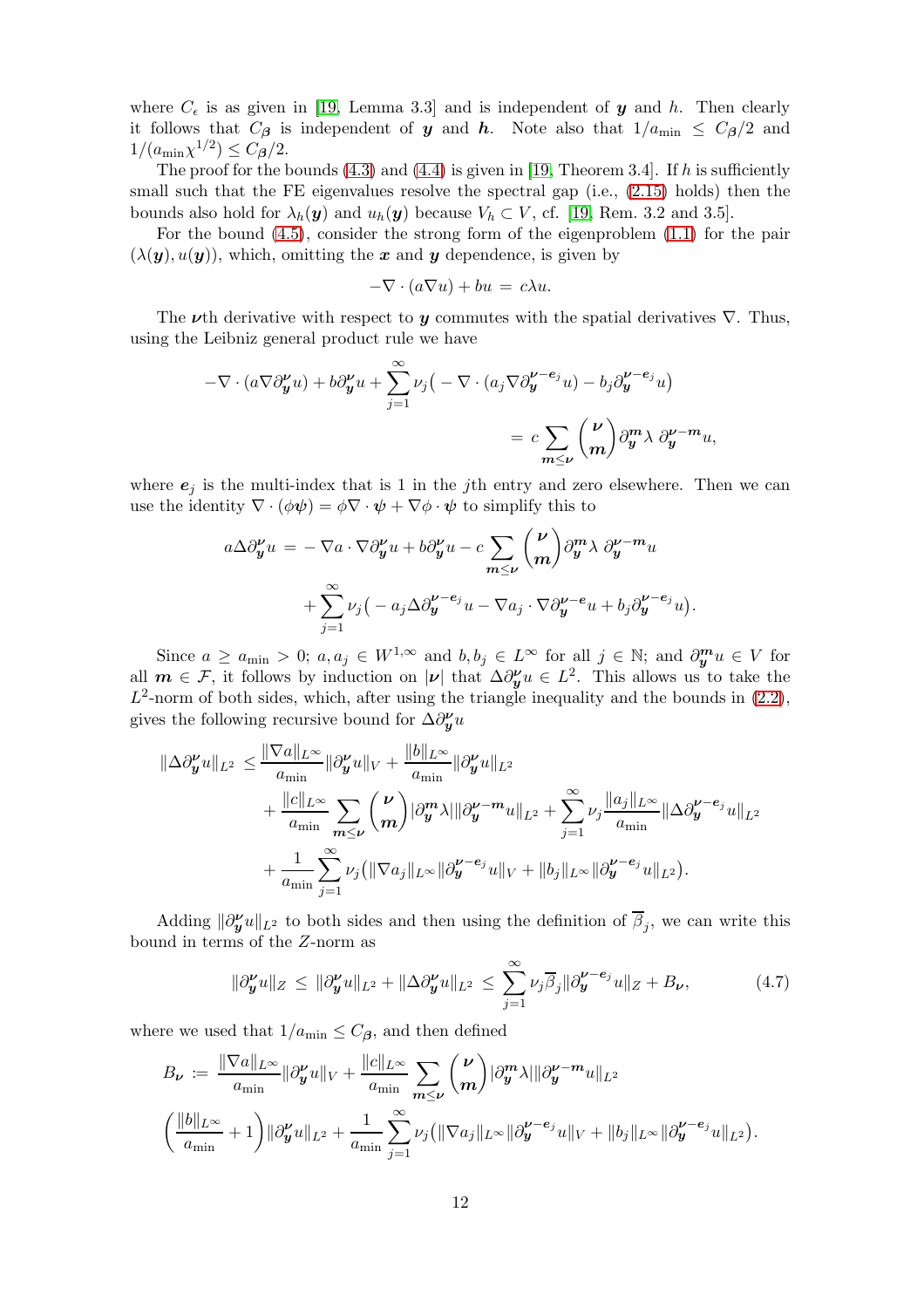where  $C_{\epsilon}$  is as given in [\[19,](#page-24-4) Lemma 3.3] and is independent of y and h. Then clearly it follows that  $C_{\beta}$  is independent of y and h. Note also that  $1/a_{\text{min}} \leq C_{\beta}/2$  and  $1/(a_{\min} \chi^{1/2}) \leq C_{\beta}/2.$ 

The proof for the bounds  $(4.3)$  and  $(4.4)$  is given in [\[19,](#page-24-4) Theorem 3.4]. If h is sufficiently small such that the FE eigenvalues resolve the spectral gap (i.e., [\(2.15\)](#page-5-2) holds) then the bounds also hold for  $\lambda_h(\mathbf{y})$  and  $u_h(\mathbf{y})$  because  $V_h \subset V$ , cf. [\[19,](#page-24-4) Rem. 3.2 and 3.5].

For the bound [\(4.5\)](#page-10-1), consider the strong form of the eigenproblem [\(1.1\)](#page-0-0) for the pair  $(\lambda(\mathbf{y}), u(\mathbf{y}))$ , which, omitting the x and y dependence, is given by

$$
-\nabla \cdot (a\nabla u) + bu = c\lambda u.
$$

The  $\nu$ th derivative with respect to  $\nu$  commutes with the spatial derivatives  $\nabla$ . Thus, using the Leibniz general product rule we have

$$
-\nabla \cdot (a\nabla \partial_y^{\nu} u) + b \partial_y^{\nu} u + \sum_{j=1}^{\infty} \nu_j \left( -\nabla \cdot (a_j \nabla \partial_y^{\nu - e_j} u) - b_j \partial_y^{\nu - e_j} u \right)
$$
  

$$
= c \sum_{m \le \nu} {\nu \choose m} \partial_y^m \lambda \partial_y^{\nu - m} u,
$$

where  $e_i$  is the multi-index that is 1 in the jth entry and zero elsewhere. Then we can use the identity  $\nabla \cdot (\phi \psi) = \phi \nabla \cdot \psi + \nabla \phi \cdot \psi$  to simplify this to

$$
a\Delta \partial_y^{\nu} u = -\nabla a \cdot \nabla \partial_y^{\nu} u + b \partial_y^{\nu} u - c \sum_{m \leq \nu} {\nu \choose m} \partial_y^m \lambda \partial_y^{\nu - m} u
$$
  
+ 
$$
\sum_{j=1}^{\infty} \nu_j \big( -a_j \Delta \partial_y^{\nu - e_j} u - \nabla a_j \cdot \nabla \partial_y^{\nu - e_j} u + b_j \partial_y^{\nu - e_j} u \big).
$$

Since  $a \ge a_{\min} > 0$ ;  $a, a_j \in W^{1,\infty}$  and  $b, b_j \in L^{\infty}$  for all  $j \in \mathbb{N}$ ; and  $\partial_{\bm{y}}^{\bm{m}} u \in V$  for all  $m \in \mathcal{F}$ , it follows by induction on  $|\nu|$  that  $\Delta \partial_y^{\nu} u \in L^2$ . This allows us to take the  $L^2$ -norm of both sides, which, after using the triangle inequality and the bounds in  $(2.2)$ , gives the following recursive bound for  $\Delta \partial_y^{\nu} u$ 

$$
\begin{split} \|\Delta \partial_{\boldsymbol{y}}^{\nu}u\|_{L^{2}} &\leq \frac{\|\nabla a\|_{L^{\infty}}}{a_{\min}} \|\partial_{\boldsymbol{y}}^{\nu}u\|_{V} + \frac{\|b\|_{L^{\infty}}}{a_{\min}} \|\partial_{\boldsymbol{y}}^{\nu}u\|_{L^{2}} \\ &+ \frac{\|c\|_{L^{\infty}}}{a_{\min}} \sum_{m\leq \nu} {\nu \choose m} |\partial_{\boldsymbol{y}}^{m} \lambda| \|\partial_{\boldsymbol{y}}^{\nu-m}u\|_{L^{2}} + \sum_{j=1}^{\infty} \nu_{j} \frac{\|a_{j}\|_{L^{\infty}}}{a_{\min}} \|\Delta \partial_{\boldsymbol{y}}^{\nu-e_{j}}u\|_{L^{2}} \\ &+ \frac{1}{a_{\min}} \sum_{j=1}^{\infty} \nu_{j} (\|\nabla a_{j}\|_{L^{\infty}} \|\partial_{\boldsymbol{y}}^{\nu-e_{j}}u\|_{V} + \|b_{j}\|_{L^{\infty}} \|\partial_{\boldsymbol{y}}^{\nu-e_{j}}u\|_{L^{2}}). \end{split}
$$

Adding  $\|\partial_{\bm{y}}^{\nu}u\|_{L^2}$  to both sides and then using the definition of  $\overline{\beta}_j$ , we can write this bound in terms of the Z-norm as

<span id="page-11-0"></span>
$$
\|\partial_{\boldsymbol{y}}^{\boldsymbol{\nu}}u\|_{Z} \leq \|\partial_{\boldsymbol{y}}^{\boldsymbol{\nu}}u\|_{L^{2}} + \|\Delta \partial_{\boldsymbol{y}}^{\boldsymbol{\nu}}u\|_{L^{2}} \leq \sum_{j=1}^{\infty} \nu_{j} \overline{\beta}_{j} \|\partial_{\boldsymbol{y}}^{\boldsymbol{\nu}-\boldsymbol{e}_{j}}u\|_{Z} + B_{\boldsymbol{\nu}},
$$
(4.7)

where we used that  $1/a_{\text{min}} \leq C_{\beta}$ , and then defined

$$
B_{\nu} := \frac{\|\nabla a\|_{L^{\infty}}}{a_{\min}} \|\partial_{\mathbf{y}}^{\nu} u\|_{V} + \frac{\|c\|_{L^{\infty}}}{a_{\min}} \sum_{m \leq \nu} {\nu \choose m} |\partial_{\mathbf{y}}^{m} \lambda| \|\partial_{\mathbf{y}}^{\nu-m} u\|_{L^{2}} \left(\frac{\|b\|_{L^{\infty}}}{a_{\min}} + 1\right) \|\partial_{\mathbf{y}}^{\nu} u\|_{L^{2}} + \frac{1}{a_{\min}} \sum_{j=1}^{\infty} \nu_{j} \left(\|\nabla a_{j}\|_{L^{\infty}} \|\partial_{\mathbf{y}}^{\nu-\mathbf{e}_{j}} u\|_{V} + \|b_{j}\|_{L^{\infty}} \|\partial_{\mathbf{y}}^{\nu-\mathbf{e}_{j}} u\|_{L^{2}}\right).
$$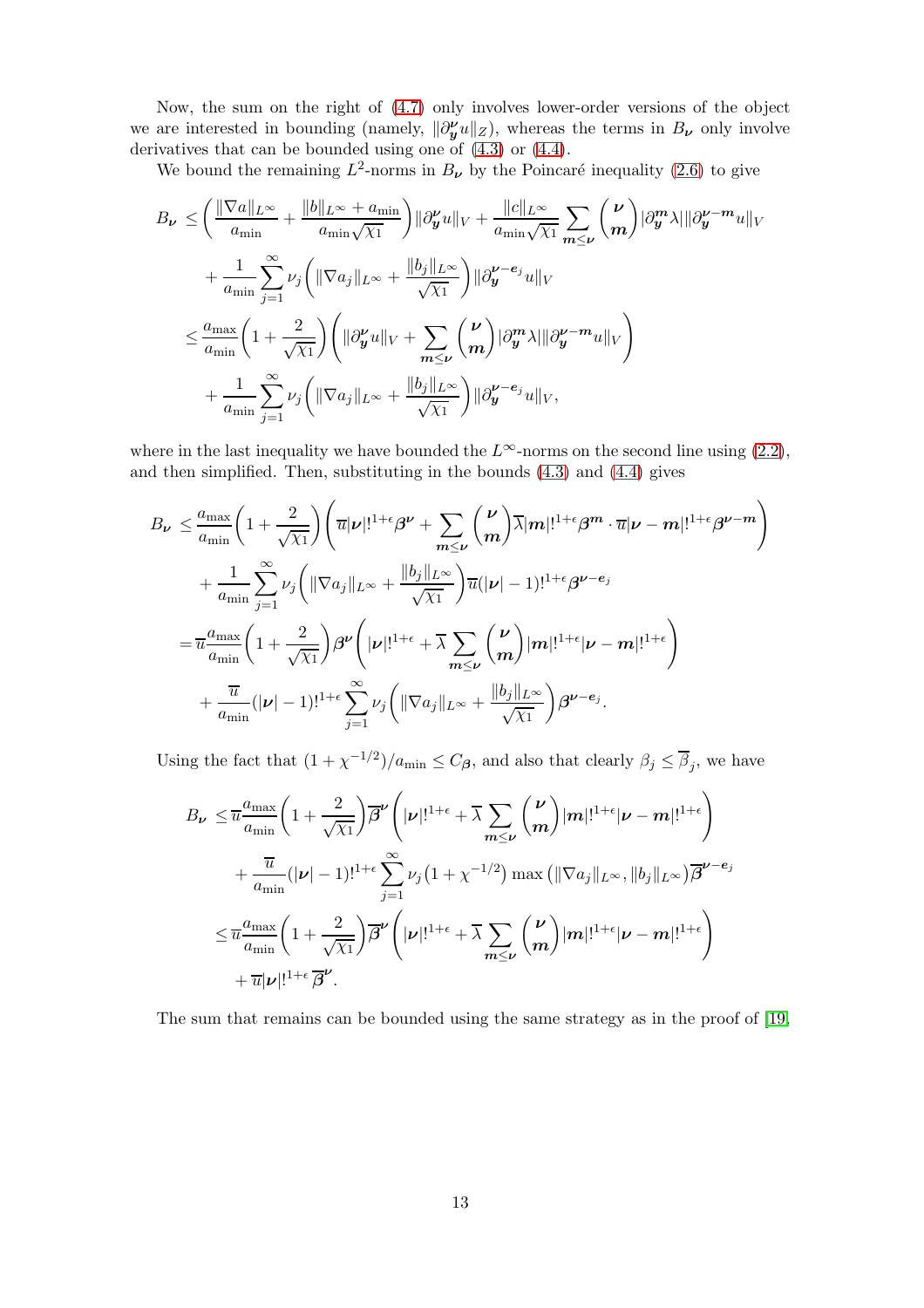Now, the sum on the right of [\(4.7\)](#page-11-0) only involves lower-order versions of the object we are interested in bounding (namely,  $\|\partial_{\bm{y}}^{\nu}u\|_{Z}$ ), whereas the terms in  $B_{\bm{\nu}}$  only involve derivatives that can be bounded using one of [\(4.3\)](#page-10-2) or [\(4.4\)](#page-10-3).

We bound the remaining  $L^2$ -norms in  $B_{\nu}$  by the Poincaré inequality [\(2.6\)](#page-4-0) to give

$$
B_{\nu} \leq \left(\frac{\|\nabla a\|_{L^{\infty}}}{a_{\min}} + \frac{\|b\|_{L^{\infty}} + a_{\min}}{a_{\min}\sqrt{\chi_1}}\right) \|\partial_{\mathbf{y}}^{\nu}u\|_{V} + \frac{\|c\|_{L^{\infty}}}{a_{\min}\sqrt{\chi_1}} \sum_{m \leq \nu} {\nu \choose m} |\partial_{\mathbf{y}}^{m} \lambda| \|\partial_{\mathbf{y}}^{\nu-m}u\|_{V} + \frac{1}{a_{\min}} \sum_{j=1}^{\infty} \nu_{j} \left( \|\nabla a_{j}\|_{L^{\infty}} + \frac{\|b_{j}\|_{L^{\infty}}}{\sqrt{\chi_1}} \right) \|\partial_{\mathbf{y}}^{\nu-e_{j}}u\|_{V} \leq \frac{a_{\max}}{a_{\min}} \left(1 + \frac{2}{\sqrt{\chi_1}}\right) \left( \|\partial_{\mathbf{y}}^{\nu}u\|_{V} + \sum_{m \leq \nu} {\nu \choose m} |\partial_{\mathbf{y}}^{m} \lambda| \|\partial_{\mathbf{y}}^{\nu-m}u\|_{V} \right) + \frac{1}{a_{\min}} \sum_{j=1}^{\infty} \nu_{j} \left( \|\nabla a_{j}\|_{L^{\infty}} + \frac{\|b_{j}\|_{L^{\infty}}}{\sqrt{\chi_1}} \right) \|\partial_{\mathbf{y}}^{\nu-e_{j}}u\|_{V},
$$

where in the last inequality we have bounded the  $L^{\infty}$ -norms on the second line using [\(2.2\)](#page-3-1), and then simplified. Then, substituting in the bounds [\(4.3\)](#page-10-2) and [\(4.4\)](#page-10-3) gives

$$
B_{\nu} \leq \frac{a_{\max}}{a_{\min}} \left( 1 + \frac{2}{\sqrt{\chi_1}} \right) \left( \overline{u} |\nu|!^{1+\epsilon} \beta^{\nu} + \sum_{m \leq \nu} {\nu \choose m} \overline{\lambda} |m|!^{1+\epsilon} \beta^m \cdot \overline{u} |\nu - m|!^{1+\epsilon} \beta^{\nu - m} \right) + \frac{1}{a_{\min}} \sum_{j=1}^{\infty} \nu_j \left( \|\nabla a_j\|_{L^{\infty}} + \frac{\|b_j\|_{L^{\infty}}}{\sqrt{\chi_1}} \right) \overline{u}(|\nu| - 1)!^{1+\epsilon} \beta^{\nu - e_j} = \overline{u} \frac{a_{\max}}{a_{\min}} \left( 1 + \frac{2}{\sqrt{\chi_1}} \right) \beta^{\nu} \left( |\nu|!^{1+\epsilon} + \overline{\lambda} \sum_{m \leq \nu} {\nu \choose m} |m|!^{1+\epsilon} |\nu - m|!^{1+\epsilon} \right) + \frac{\overline{u}}{a_{\min}} (|\nu| - 1)!^{1+\epsilon} \sum_{j=1}^{\infty} \nu_j \left( \|\nabla a_j\|_{L^{\infty}} + \frac{\|b_j\|_{L^{\infty}}}{\sqrt{\chi_1}} \right) \beta^{\nu - e_j}.
$$

Using the fact that  $(1 + \chi^{-1/2})/a_{\min} \leq C_{\beta}$ , and also that clearly  $\beta_j \leq \overline{\beta}_j$ , we have

$$
B_{\nu} \leq \overline{u} \frac{a_{\max}}{a_{\min}} \left( 1 + \frac{2}{\sqrt{\chi_1}} \right) \overline{\beta}^{\nu} \left( |\nu|!^{1+\epsilon} + \overline{\lambda} \sum_{m \leq \nu} {\nu \choose m} |m|!^{1+\epsilon} |\nu - m|!^{1+\epsilon} \right) + \frac{\overline{u}}{a_{\min}} (|\nu| - 1)!^{1+\epsilon} \sum_{j=1}^{\infty} \nu_j (1 + \chi^{-1/2}) \max \left( \|\nabla a_j\|_{L^{\infty}}, \|b_j\|_{L^{\infty}} \right) \overline{\beta}^{\nu - e_j} \leq \overline{u} \frac{a_{\max}}{a_{\min}} \left( 1 + \frac{2}{\sqrt{\chi_1}} \right) \overline{\beta}^{\nu} \left( |\nu|!^{1+\epsilon} + \overline{\lambda} \sum_{m \leq \nu} {\nu \choose m} |m|!^{1+\epsilon} |\nu - m|!^{1+\epsilon} \right) + \overline{u} |\nu|!^{1+\epsilon} \overline{\beta}^{\nu}.
$$

The sum that remains can be bounded using the same strategy as in the proof of [\[19,](#page-24-4)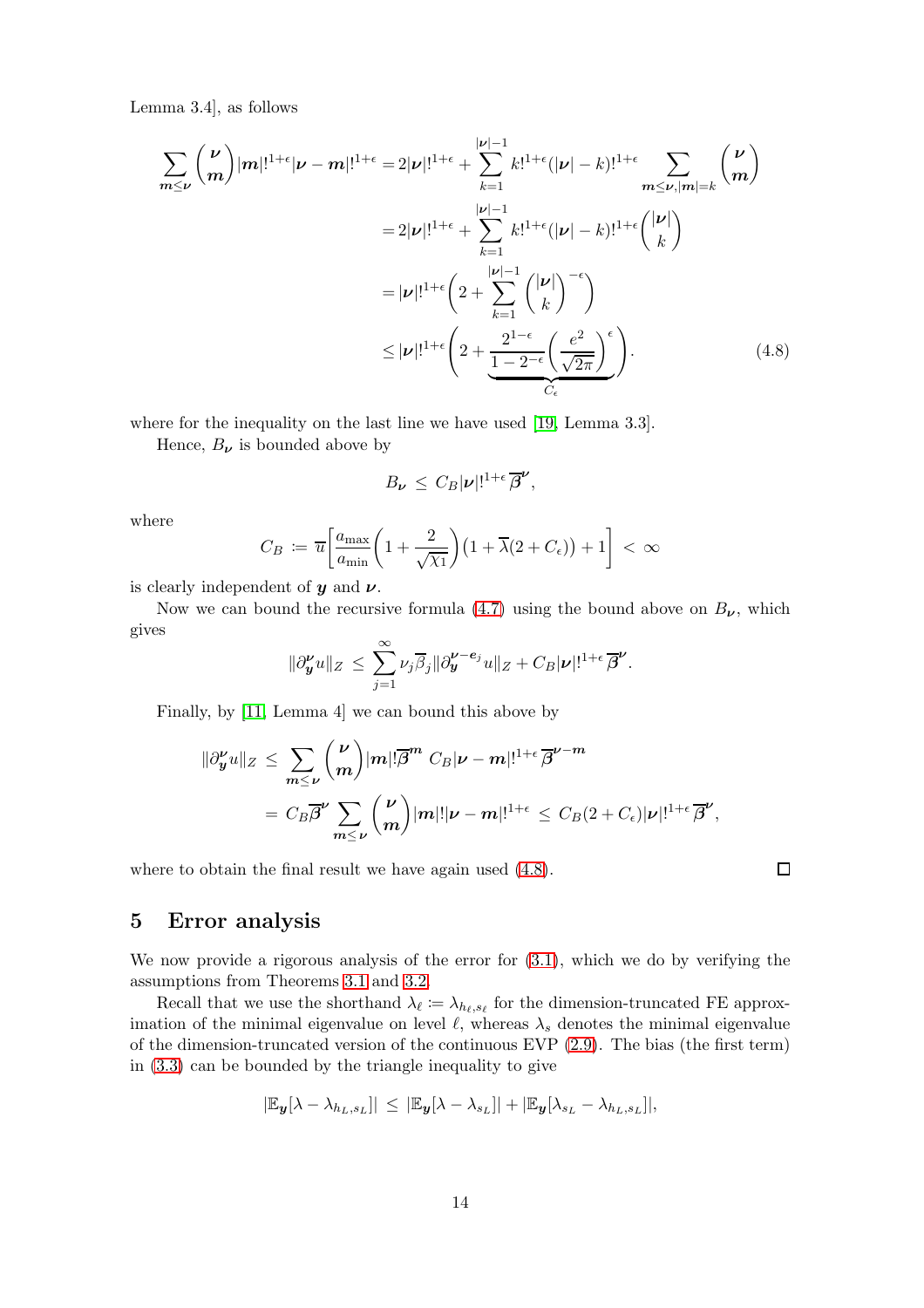Lemma 3.4], as follows

$$
\sum_{m\leq \nu} {\nu \choose m} |m|!^{1+\epsilon} |\nu-m|!^{1+\epsilon} = 2|\nu|!^{1+\epsilon} + \sum_{k=1}^{|\nu|-1} k!^{1+\epsilon} (|\nu|-k)!^{1+\epsilon} \sum_{m\leq \nu, |m|=k} {\nu \choose m}
$$

$$
= 2|\nu|!^{1+\epsilon} + \sum_{k=1}^{|\nu|-1} k!^{1+\epsilon} (|\nu|-k)!^{1+\epsilon} {\nu \choose k}
$$

$$
= |\nu|!^{1+\epsilon} \left(2 + \sum_{k=1}^{|\nu|-1} {\nu \choose k}^{-\epsilon} \right)
$$

$$
\leq |\nu|!^{1+\epsilon} \left(2 + \frac{2^{1-\epsilon}}{1-2^{-\epsilon}} \left(\frac{e^2}{\sqrt{2\pi}}\right)^{\epsilon}\right).
$$
(4.8)

where for the inequality on the last line we have used [\[19,](#page-24-4) Lemma 3.3].

Hence,  $B_{\nu}$  is bounded above by

<span id="page-13-1"></span>
$$
B_{\nu} \leq C_B |\nu|!^{1+\epsilon} \overline{\beta}^{\nu},
$$

where

$$
C_B := \overline{u} \left[ \frac{a_{\max}}{a_{\min}} \left( 1 + \frac{2}{\sqrt{\chi_1}} \right) \left( 1 + \overline{\lambda} (2 + C_{\epsilon}) \right) + 1 \right] < \infty
$$

is clearly independent of  $y$  and  $\nu$ .

Now we can bound the recursive formula [\(4.7\)](#page-11-0) using the bound above on  $B_{\nu}$ , which gives

$$
\|\partial_{\boldsymbol{y}}^{\boldsymbol{\nu}}u\|_{Z} \leq \sum_{j=1}^{\infty} \nu_{j} \overline{\beta}_{j} \|\partial_{\boldsymbol{y}}^{\boldsymbol{\nu}-\boldsymbol{e}_{j}}u\|_{Z} + C_{B}|\boldsymbol{\nu}|!^{1+\epsilon} \overline{\boldsymbol{\beta}}^{\boldsymbol{\nu}}.
$$

Finally, by [\[11,](#page-24-8) Lemma 4] we can bound this above by

$$
\begin{aligned}\n\|\partial_y^{\nu}u\|_{Z} &\leq \sum_{m\leq \nu} \binom{\nu}{m} |m|! \overline{\beta}^m C_B |\nu - m|!^{1+\epsilon} \overline{\beta}^{\nu - m} \\
&= C_B \overline{\beta}^{\nu} \sum_{m\leq \nu} \binom{\nu}{m} |m|! |\nu - m|!^{1+\epsilon} \leq C_B (2+C_{\epsilon}) |\nu|!^{1+\epsilon} \overline{\beta}^{\nu},\n\end{aligned}
$$

where to obtain the final result we have again used [\(4.8\)](#page-13-1).

 $\Box$ 

### <span id="page-13-0"></span>5 Error analysis

We now provide a rigorous analysis of the error for  $(3.1)$ , which we do by verifying the assumptions from Theorems [3.1](#page-8-0) and [3.2.](#page-9-0)

Recall that we use the shorthand  $\lambda_{\ell} := \lambda_{h_{\ell}, s_{\ell}}$  for the dimension-truncated FE approximation of the minimal eigenvalue on level  $\ell$ , whereas  $\lambda_s$  denotes the minimal eigenvalue of the dimension-truncated version of the continuous EVP [\(2.9\)](#page-4-1). The bias (the first term) in [\(3.3\)](#page-8-2) can be bounded by the triangle inequality to give

$$
|\mathbb{E}_{\boldsymbol{y}}[\lambda-\lambda_{h_L,s_L}]|\,\leq\,|\mathbb{E}_{\boldsymbol{y}}[\lambda-\lambda_{s_L}]|+|\mathbb{E}_{\boldsymbol{y}}[\lambda_{s_L}-\lambda_{h_L,s_L}]|,
$$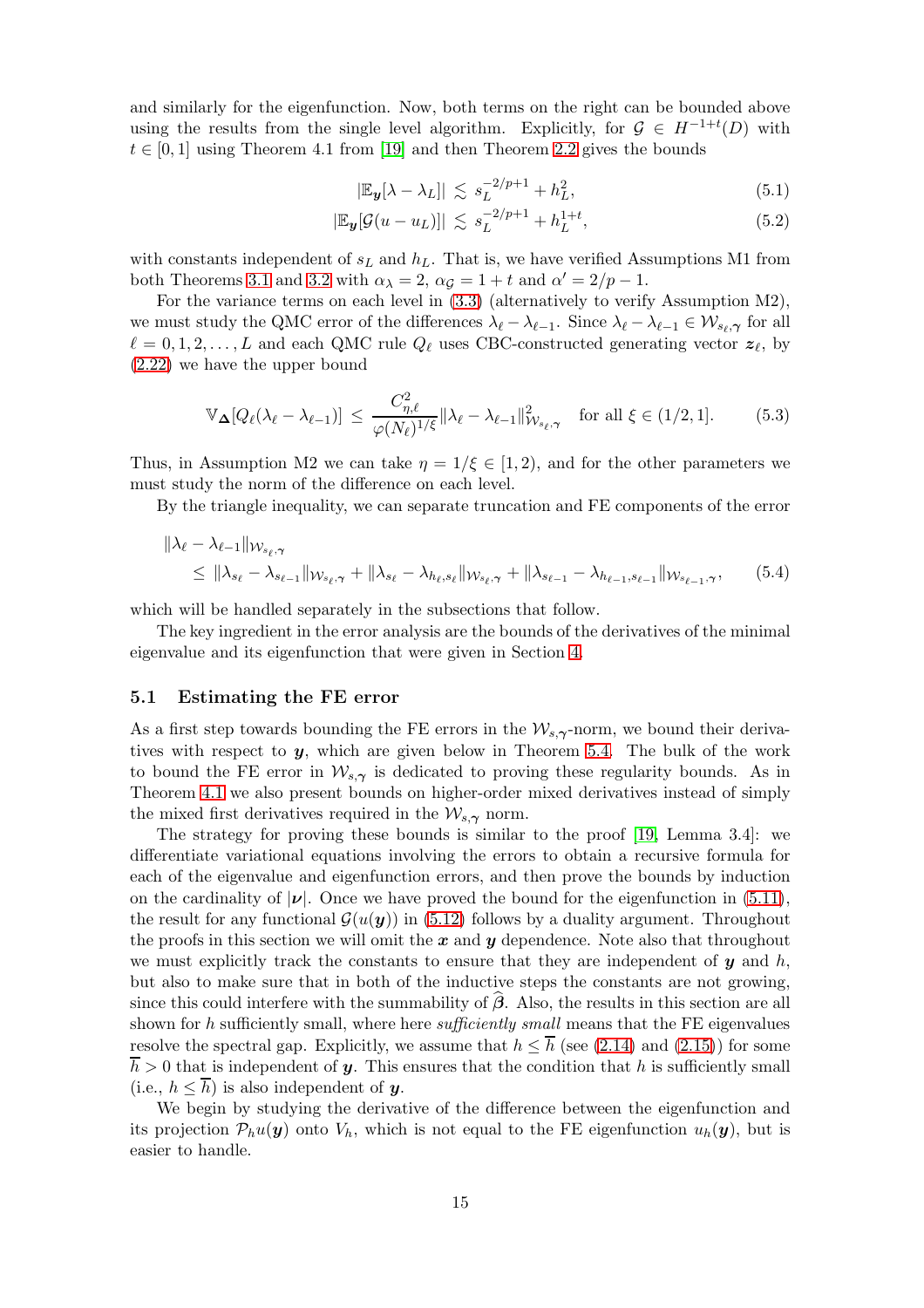and similarly for the eigenfunction. Now, both terms on the right can be bounded above using the results from the single level algorithm. Explicitly, for  $\mathcal{G} \in H^{-1+t}(D)$  with  $t \in [0, 1]$  using Theorem 4.1 from [\[19\]](#page-24-4) and then Theorem [2.2](#page-5-3) gives the bounds

<span id="page-14-0"></span>
$$
|\mathbb{E}_{\mathbf{y}}[\lambda - \lambda_L]| \lesssim s_L^{-2/p+1} + h_L^2,
$$
\n(5.1)

<span id="page-14-1"></span>
$$
|\mathbb{E}_{\mathbf{y}}[\mathcal{G}(u - u_L)]| \lesssim s_L^{-2/p+1} + h_L^{1+t},\tag{5.2}
$$

with constants independent of  $s<sub>L</sub>$  and  $h<sub>L</sub>$ . That is, we have verified Assumptions M1 from both Theorems [3.1](#page-8-0) and [3.2](#page-9-0) with  $\alpha_{\lambda} = 2$ ,  $\alpha_{\mathcal{G}} = 1 + t$  and  $\alpha' = 2/p - 1$ .

For the variance terms on each level in [\(3.3\)](#page-8-2) (alternatively to verify Assumption M2), we must study the QMC error of the differences  $\lambda_{\ell} - \lambda_{\ell-1}$ . Since  $\lambda_{\ell} - \lambda_{\ell-1} \in \mathcal{W}_{s_{\ell}, \gamma}$  for all  $\ell = 0, 1, 2, \ldots, L$  and each QMC rule  $Q_{\ell}$  uses CBC-constructed generating vector  $z_{\ell}$ , by [\(2.22\)](#page-7-0) we have the upper bound

<span id="page-14-2"></span>
$$
\mathbb{V}_{\mathbf{\Delta}}[Q_{\ell}(\lambda_{\ell}-\lambda_{\ell-1})] \leq \frac{C_{\eta,\ell}^2}{\varphi(N_{\ell})^{1/\xi}} \|\lambda_{\ell}-\lambda_{\ell-1}\|_{\mathcal{W}_{s_{\ell},\gamma}}^2 \quad \text{for all } \xi \in (1/2,1]. \tag{5.3}
$$

Thus, in Assumption M2 we can take  $\eta = 1/\xi \in [1, 2)$ , and for the other parameters we must study the norm of the difference on each level.

By the triangle inequality, we can separate truncation and FE components of the error

$$
\|\lambda_{\ell} - \lambda_{\ell-1}\|_{\mathcal{W}_{s_{\ell},\gamma}}\n\leq \|\lambda_{s_{\ell}} - \lambda_{s_{\ell-1}}\|_{\mathcal{W}_{s_{\ell},\gamma}} + \|\lambda_{s_{\ell}} - \lambda_{h_{\ell},s_{\ell}}\|_{\mathcal{W}_{s_{\ell},\gamma}} + \|\lambda_{s_{\ell-1}} - \lambda_{h_{\ell-1},s_{\ell-1}}\|_{\mathcal{W}_{s_{\ell-1},\gamma}},\n\tag{5.4}
$$

which will be handled separately in the subsections that follow.

The key ingredient in the error analysis are the bounds of the derivatives of the minimal eigenvalue and its eigenfunction that were given in Section [4.](#page-9-2)

#### <span id="page-14-3"></span>5.1 Estimating the FE error

As a first step towards bounding the FE errors in the  $\mathcal{W}_{s,\gamma}$ -norm, we bound their derivatives with respect to  $y$ , which are given below in Theorem [5.4.](#page-16-0) The bulk of the work to bound the FE error in  $W_{s,\gamma}$  is dedicated to proving these regularity bounds. As in Theorem [4.1](#page-10-0) we also present bounds on higher-order mixed derivatives instead of simply the mixed first derivatives required in the  $\mathcal{W}_{s,\gamma}$  norm.

The strategy for proving these bounds is similar to the proof [\[19,](#page-24-4) Lemma 3.4]: we differentiate variational equations involving the errors to obtain a recursive formula for each of the eigenvalue and eigenfunction errors, and then prove the bounds by induction on the cardinality of  $|\nu|$ . Once we have proved the bound for the eigenfunction in [\(5.11\)](#page-16-1), the result for any functional  $\mathcal{G}(u(\mathbf{y}))$  in [\(5.12\)](#page-16-2) follows by a duality argument. Throughout the proofs in this section we will omit the  $x$  and  $y$  dependence. Note also that throughout we must explicitly track the constants to ensure that they are independent of  $y$  and  $h$ , but also to make sure that in both of the inductive steps the constants are not growing, since this could interfere with the summability of  $\beta$ . Also, the results in this section are all shown for h sufficiently small, where here *sufficiently small* means that the FE eigenvalues resolve the spectral gap. Explicitly, we assume that  $h \leq \overline{h}$  (see [\(2.14\)](#page-5-4) and [\(2.15\)](#page-5-2)) for some  $\overline{h} > 0$  that is independent of y. This ensures that the condition that h is sufficiently small (i.e.,  $h \leq \overline{h}$ ) is also independent of y.

We begin by studying the derivative of the difference between the eigenfunction and its projection  $\mathcal{P}_h u(\mathbf{y})$  onto  $V_h$ , which is not equal to the FE eigenfunction  $u_h(\mathbf{y})$ , but is easier to handle.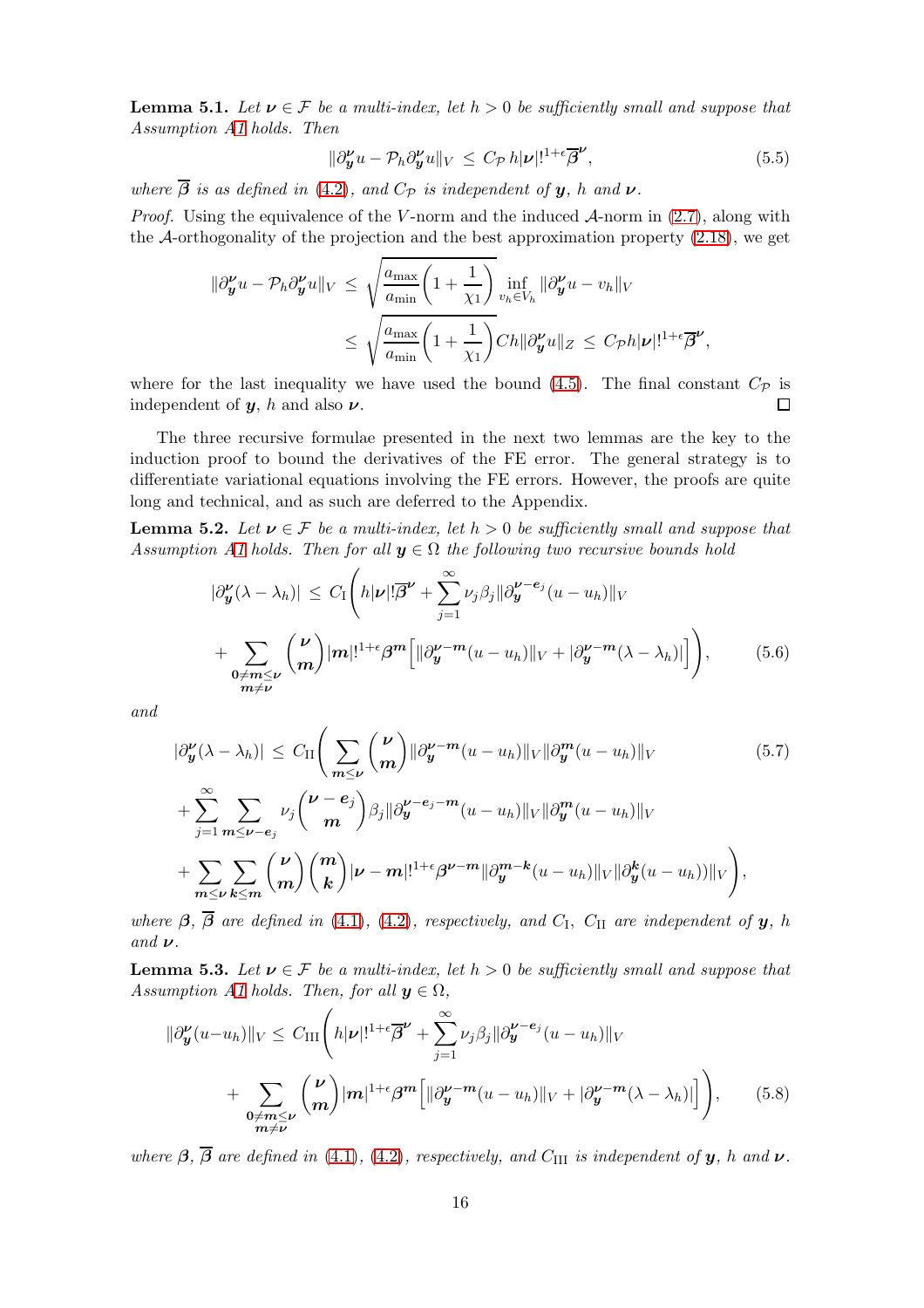**Lemma 5.1.** Let  $v \in \mathcal{F}$  be a multi-index, let  $h > 0$  be sufficiently small and suppose that Assumption [A1](#page-2-1) holds. Then

<span id="page-15-5"></span>
$$
\|\partial_{\boldsymbol{y}}^{\boldsymbol{\nu}}u - \mathcal{P}_h \partial_{\boldsymbol{y}}^{\boldsymbol{\nu}}u\|_V \le C_{\mathcal{P}} h|\boldsymbol{\nu}|!^{1+\epsilon} \overline{\beta}^{\boldsymbol{\nu}},\tag{5.5}
$$

where  $\overline{\beta}$  is as defined in [\(4.2\)](#page-10-4), and  $C_{\mathcal{P}}$  is independent of **y**, h and **v**.

*Proof.* Using the equivalence of the V-norm and the induced  $\mathcal{A}$ -norm in [\(2.7\)](#page-4-2), along with the  $\mathcal{A}$ -orthogonality of the projection and the best approximation property [\(2.18\)](#page-6-4), we get

$$
\|\partial_{\boldsymbol{y}}^{\boldsymbol{\nu}}u - \mathcal{P}_{h}\partial_{\boldsymbol{y}}^{\boldsymbol{\nu}}u\|_{V} \leq \sqrt{\frac{a_{\max}}{a_{\min}}\left(1 + \frac{1}{\chi_{1}}\right)} \inf_{v_{h} \in V_{h}} \|\partial_{\boldsymbol{y}}^{\boldsymbol{\nu}}u - v_{h}\|_{V}
$$
  

$$
\leq \sqrt{\frac{a_{\max}}{a_{\min}}\left(1 + \frac{1}{\chi_{1}}\right)} Ch\|\partial_{\boldsymbol{y}}^{\boldsymbol{\nu}}u\|_{Z} \leq C_{\mathcal{P}}h|\boldsymbol{\nu}|!^{1 + \epsilon}\overline{\boldsymbol{\beta}}^{\boldsymbol{\nu}},
$$

where for the last inequality we have used the bound [\(4.5\)](#page-10-1). The final constant  $C_{\mathcal{P}}$  is independent of  $y$ , h and also  $\nu$ .  $\Box$ 

The three recursive formulae presented in the next two lemmas are the key to the induction proof to bound the derivatives of the FE error. The general strategy is to differentiate variational equations involving the FE errors. However, the proofs are quite long and technical, and as such are deferred to the Appendix.

<span id="page-15-3"></span>**Lemma 5.2.** Let  $v \in \mathcal{F}$  be a multi-index, let  $h > 0$  be sufficiently small and suppose that Assumption [A1](#page-2-1) holds. Then for all  $y \in \Omega$  the following two recursive bounds hold

<span id="page-15-1"></span><span id="page-15-0"></span>
$$
|\partial_{\mathbf{y}}^{\nu}(\lambda - \lambda_{h})| \leq C_{I} \left( h|\nu|!\overline{\beta}^{\nu} + \sum_{j=1}^{\infty} \nu_{j}\beta_{j}||\partial_{\mathbf{y}}^{\nu - e_{j}}(u - u_{h})||_{V} + \sum_{\substack{\mathbf{0} \neq \mathbf{m} \leq \nu \\ \mathbf{m} \neq \nu}} \binom{\nu}{m} |m|!^{1 + \epsilon} \beta^{m} \left[ ||\partial_{\mathbf{y}}^{\nu - m}(u - u_{h})||_{V} + |\partial_{\mathbf{y}}^{\nu - m}(\lambda - \lambda_{h})| \right] \right), \tag{5.6}
$$

and

$$
|\partial_{\mathbf{y}}^{\nu}(\lambda - \lambda_{h})| \leq C_{\mathrm{II}} \Bigg(\sum_{m \leq \nu} {\nu \choose m} ||\partial_{\mathbf{y}}^{\nu - m}(u - u_{h})||_{V} ||\partial_{\mathbf{y}}^{m}(u - u_{h})||_{V} + \sum_{j=1}^{\infty} \sum_{m \leq \nu - e_{j}} \nu_{j} {\nu - e_{j} \choose m} \beta_{j} ||\partial_{\mathbf{y}}^{\nu - e_{j} - m}(u - u_{h})||_{V} ||\partial_{\mathbf{y}}^{m}(u - u_{h})||_{V} + \sum_{m \leq \nu} \sum_{k \leq m} {\nu \choose m} {\binom{m}{k}} |\nu - m|!^{1 + \epsilon} \beta^{\nu - m} ||\partial_{\mathbf{y}}^{m - k}(u - u_{h})||_{V} ||\partial_{\mathbf{y}}^{k}(u - u_{h})||_{V} \Bigg), \qquad (5.7)
$$

where  $\beta$ ,  $\beta$  are defined in [\(4.1\)](#page-10-5), [\(4.2\)](#page-10-4), respectively, and  $C_I$ ,  $C_{II}$  are independent of **y**, h and  $\nu$ .

<span id="page-15-4"></span>**Lemma 5.3.** Let  $v \in \mathcal{F}$  be a multi-index, let  $h > 0$  be sufficiently small and suppose that Assumption [A1](#page-2-1) holds. Then, for all  $y \in \Omega$ ,

<span id="page-15-2"></span>
$$
\|\partial_{\mathbf{y}}^{\mathbf{\nu}}(u-u_h)\|_{V} \leq C_{\text{III}}\left(h|\mathbf{\nu}|!^{1+\epsilon}\overline{\beta}^{\mathbf{\nu}} + \sum_{j=1}^{\infty} \nu_j \beta_j \|\partial_{\mathbf{y}}^{\mathbf{\nu}-\mathbf{e}_j}(u-u_h)\|_{V} \right) + \sum_{\substack{\mathbf{0}\neq \mathbf{m}\leq \mathbf{\nu} \\ \mathbf{m}\neq \mathbf{\nu}}} \binom{\mathbf{\nu}}{\mathbf{m}} |\mathbf{m}|^{1+\epsilon} \beta^{\mathbf{m}} \Big[\|\partial_{\mathbf{y}}^{\mathbf{\nu}-\mathbf{m}}(u-u_h)\|_{V} + |\partial_{\mathbf{y}}^{\mathbf{\nu}-\mathbf{m}}(\lambda-\lambda_h)|\Big]\Big],\tag{5.8}
$$

where  $\beta$ ,  $\overline{\beta}$  are defined in [\(4.1\)](#page-10-5), [\(4.2\)](#page-10-4), respectively, and C<sub>III</sub> is independent of **y**, h and  $\nu$ .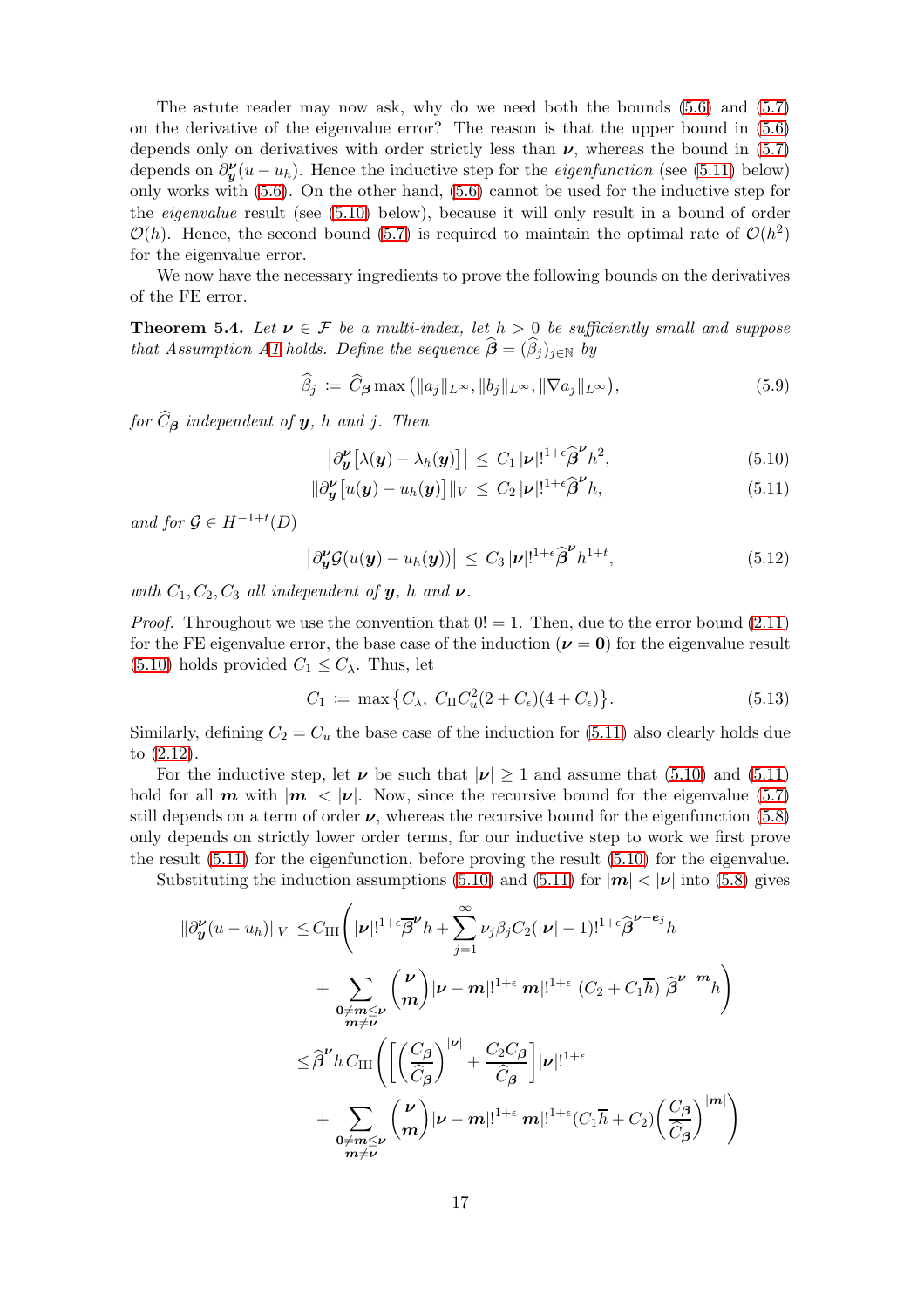The astute reader may now ask, why do we need both the bounds [\(5.6\)](#page-15-0) and [\(5.7\)](#page-15-1) on the derivative of the eigenvalue error? The reason is that the upper bound in [\(5.6\)](#page-15-0) depends only on derivatives with order strictly less than  $\nu$ , whereas the bound in [\(5.7\)](#page-15-1) depends on  $\partial_{\mathbf{y}}^{\mathbf{v}}(u - u_h)$ . Hence the inductive step for the *eigenfunction* (see [\(5.11\)](#page-16-1) below) only works with [\(5.6\)](#page-15-0). On the other hand, [\(5.6\)](#page-15-0) cannot be used for the inductive step for the eigenvalue result (see [\(5.10\)](#page-16-3) below), because it will only result in a bound of order  $\mathcal{O}(h)$ . Hence, the second bound [\(5.7\)](#page-15-1) is required to maintain the optimal rate of  $\mathcal{O}(h^2)$ for the eigenvalue error.

We now have the necessary ingredients to prove the following bounds on the derivatives of the FE error.

<span id="page-16-0"></span>**Theorem 5.4.** Let  $v \in \mathcal{F}$  be a multi-index, let  $h > 0$  be sufficiently small and suppose that Assumption [A1](#page-2-1) holds. Define the sequence  $\boldsymbol{\beta} = (\beta_j)_{j \in \mathbb{N}}$  by

<span id="page-16-4"></span>
$$
\widehat{\beta}_j \coloneqq \widehat{C}_{\beta} \max\left( \|a_j\|_{L^{\infty}}, \|b_j\|_{L^{\infty}}, \|\nabla a_j\|_{L^{\infty}} \right),\tag{5.9}
$$

for  $C_{\boldsymbol{\beta}}$  independent of  $\boldsymbol{y}$ , h and j. Then

<span id="page-16-3"></span><span id="page-16-1"></span>
$$
\left|\partial_{\boldsymbol{y}}^{\boldsymbol{\nu}}\left[\lambda(\boldsymbol{y})-\lambda_{h}(\boldsymbol{y})\right]\right| \leq C_{1} |\boldsymbol{\nu}|!^{1+\epsilon} \widehat{\boldsymbol{\beta}}^{\boldsymbol{\nu}} h^{2},\tag{5.10}
$$

$$
\|\partial_{\boldsymbol{y}}^{\boldsymbol{\nu}}\big[u(\boldsymbol{y})-u_h(\boldsymbol{y})\big]\|_V \leq C_2 |\boldsymbol{\nu}|^{1+\epsilon} \widehat{\boldsymbol{\beta}}^{\boldsymbol{\nu}} h,\tag{5.11}
$$

and for  $\mathcal{G} \in H^{-1+t}(D)$ 

k∂

<span id="page-16-2"></span>
$$
\left|\partial_{\boldsymbol{y}}^{\boldsymbol{\nu}}\mathcal{G}(u(\boldsymbol{y})-u_h(\boldsymbol{y}))\right| \leq C_3 |\boldsymbol{\nu}|!^{1+\epsilon} \widehat{\boldsymbol{\beta}}^{\boldsymbol{\nu}} h^{1+t}, \tag{5.12}
$$

with  $C_1, C_2, C_3$  all independent of  $y$ , h and  $\nu$ .

*Proof.* Throughout we use the convention that  $0! = 1$ . Then, due to the error bound  $(2.11)$ for the FE eigenvalue error, the base case of the induction  $(\nu = 0)$  for the eigenvalue result  $(5.10)$  holds provided  $C_1 \leq C_{\lambda}$ . Thus, let

<span id="page-16-5"></span>
$$
C_1 := \max\left\{C_{\lambda}, \ C_{\text{II}}C_u^2(2 + C_{\epsilon})(4 + C_{\epsilon})\right\}.
$$
 (5.13)

Similarly, defining  $C_2 = C_u$  the base case of the induction for [\(5.11\)](#page-16-1) also clearly holds due to [\(2.12\)](#page-5-5).

For the inductive step, let  $\nu$  be such that  $|\nu| > 1$  and assume that [\(5.10\)](#page-16-3) and [\(5.11\)](#page-16-1) hold for all **m** with  $|m| < |\nu|$ . Now, since the recursive bound for the eigenvalue [\(5.7\)](#page-15-1) still depends on a term of order  $\nu$ , whereas the recursive bound for the eigenfunction [\(5.8\)](#page-15-2) only depends on strictly lower order terms, for our inductive step to work we first prove the result  $(5.11)$  for the eigenfunction, before proving the result  $(5.10)$  for the eigenvalue.

Substituting the induction assumptions [\(5.10\)](#page-16-3) and [\(5.11\)](#page-16-1) for  $|m| < |\nu|$  into [\(5.8\)](#page-15-2) gives

$$
\begin{split} |\partial_{\boldsymbol{y}}^{\nu}(u-u_h)||_V &\leq C_{\text{III}} \Bigg( |\nu|!^{1+\epsilon} \overline{\beta}^{\nu} h + \sum_{j=1}^{\infty} \nu_j \beta_j C_2 (|\nu|-1)!^{1+\epsilon} \widehat{\beta}^{\nu-e_j} h \\ &+ \sum_{\substack{\mathbf{0}\neq \mathbf{m}\leq \nu \\ \mathbf{m}\neq \nu}} \binom{\nu}{\mathbf{m}} |\nu-\mathbf{m}|!^{1+\epsilon} |\mathbf{m}|!^{1+\epsilon} (C_2 + C_1 \overline{h}) \widehat{\beta}^{\nu-\mathbf{m}} h \Bigg) \\ &\leq \widehat{\beta}^{\nu} h \, C_{\text{III}} \Bigg( \Bigg[ \left( \frac{C_{\beta}}{\widehat{C}_{\beta}} \right)^{|\nu|} + \frac{C_2 C_{\beta}}{\widehat{C}_{\beta}} \Bigg] |\nu|!^{1+\epsilon} \\ &+ \sum_{\substack{\mathbf{0}\neq \mathbf{m}\leq \nu \\ \mathbf{m}\neq \nu}} \binom{\nu}{\mathbf{m}} |\nu-\mathbf{m}|!^{1+\epsilon} |\mathbf{m}|!^{1+\epsilon} (C_1 \overline{h} + C_2) \left( \frac{C_{\beta}}{\widehat{C}_{\beta}} \right)^{|\mathbf{m}|} \Bigg) \end{split}
$$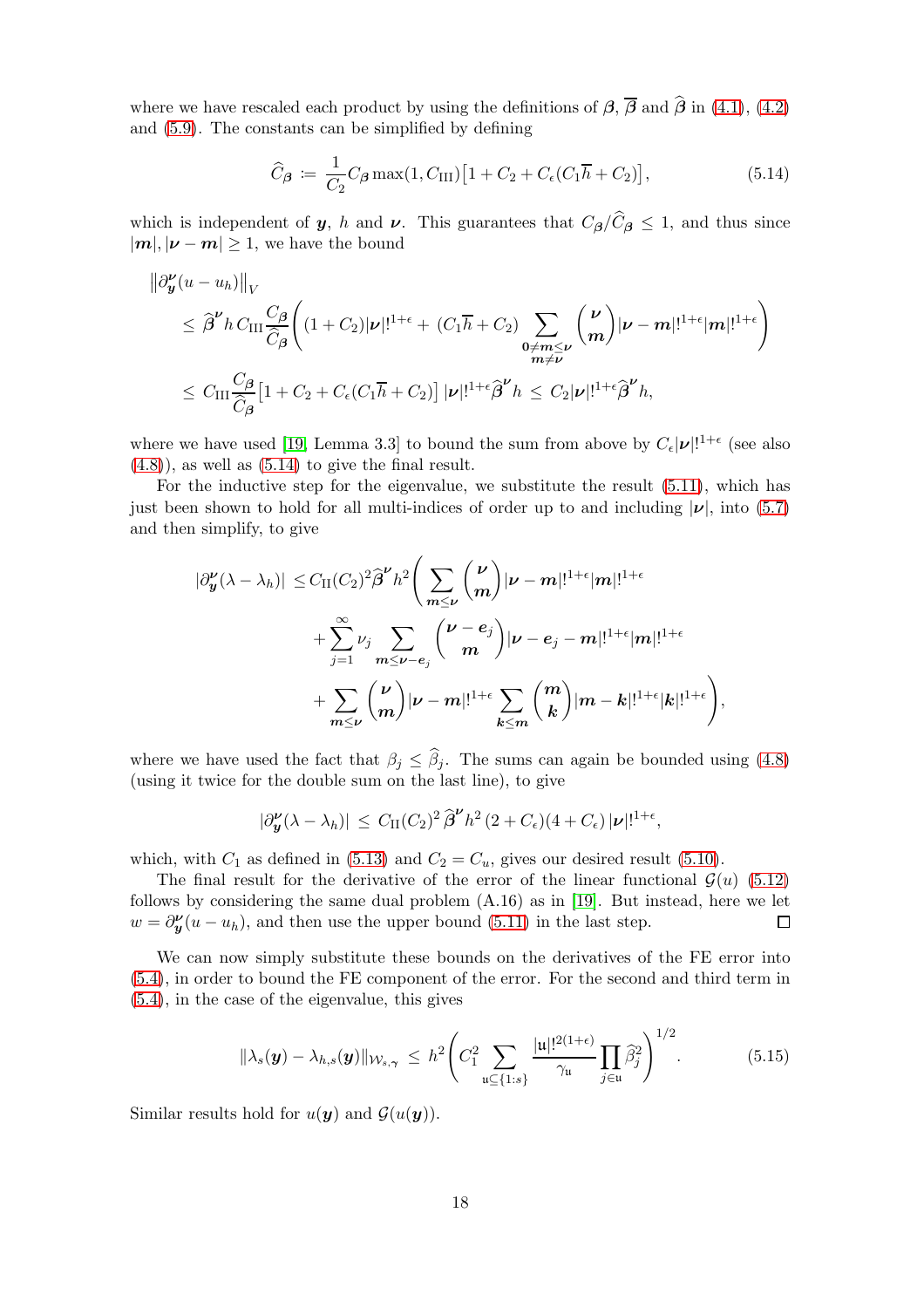where we have rescaled each product by using the definitions of  $\beta$ ,  $\overline{\beta}$  and  $\hat{\beta}$  in [\(4.1\)](#page-10-5), [\(4.2\)](#page-10-4) and [\(5.9\)](#page-16-4). The constants can be simplified by defining

<span id="page-17-0"></span>
$$
\widehat{C}_{\beta} := \frac{1}{C_2} C_{\beta} \max(1, C_{\text{III}}) \left[ 1 + C_2 + C_{\epsilon} (C_1 \overline{h} + C_2) \right],\tag{5.14}
$$

which is independent of y, h and  $\nu$ . This guarantees that  $C_{\beta}/C_{\beta} \leq 1$ , and thus since  $|m|, |\nu - m| \geq 1$ , we have the bound

$$
\|\partial_{\mathbf{y}}^{\nu}(u-u_{h})\|_{V} \n\leq \widehat{\beta}^{\nu} h C_{\text{III}} \frac{C_{\beta}}{\widehat{C}_{\beta}} \bigg( (1+C_{2})|\nu|!^{1+\epsilon} + (C_{1}\overline{h}+C_{2}) \sum_{\substack{\mathbf{0}\neq \mathbf{m}\leq \nu \\ \mathbf{m}\neq \nu}} \binom{\nu}{\mathbf{m}} |\nu-\mathbf{m}|!^{1+\epsilon}|\mathbf{m}|!^{1+\epsilon} \bigg) \n\leq C_{\text{III}} \frac{C_{\beta}}{\widehat{C}_{\beta}} \big[ 1 + C_{2} + C_{\epsilon}(C_{1}\overline{h}+C_{2}) \big] |\nu|!^{1+\epsilon} \widehat{\beta}^{\nu} h \leq C_{2} |\nu|!^{1+\epsilon} \widehat{\beta}^{\nu} h,
$$

where we have used [\[19,](#page-24-4) Lemma 3.3] to bound the sum from above by  $C_{\epsilon}|\nu|!^{1+\epsilon}$  (see also  $(4.8)$ , as well as  $(5.14)$  to give the final result.

For the inductive step for the eigenvalue, we substitute the result [\(5.11\)](#page-16-1), which has just been shown to hold for all multi-indices of order up to and including  $|\nu|$ , into [\(5.7\)](#page-15-1) and then simplify, to give

$$
\begin{aligned} |\partial_{\boldsymbol{y}}^{\boldsymbol{\nu}}(\lambda-\lambda_h)|\,\leq &\,C_{\mathrm{II}}(C_2)^2\widehat{\boldsymbol{\beta}}^{\boldsymbol{\nu}}h^2\Bigg(\sum_{\boldsymbol{m}\leq \boldsymbol{\nu}}\binom{\boldsymbol{\nu}}{\boldsymbol{m}}|\boldsymbol{\nu}-\boldsymbol{m}|!^{1+\epsilon}|\boldsymbol{m}|!^{1+\epsilon} \\ &+\sum_{j=1}^{\infty}\nu_j\sum_{\boldsymbol{m}\leq \boldsymbol{\nu}-\boldsymbol{e}_j}\binom{\boldsymbol{\nu}-\boldsymbol{e}_j}{\boldsymbol{m}}|\boldsymbol{\nu}-\boldsymbol{e}_j-\boldsymbol{m}|!^{1+\epsilon}|\boldsymbol{m}|!^{1+\epsilon} \\ &+\sum_{\boldsymbol{m}\leq \boldsymbol{\nu}}\binom{\boldsymbol{\nu}}{\boldsymbol{m}}|\boldsymbol{\nu}-\boldsymbol{m}|!^{1+\epsilon}\sum_{\boldsymbol{k}\leq \boldsymbol{m}}\binom{\boldsymbol{m}}{\boldsymbol{k}}|\boldsymbol{m}-\boldsymbol{k}|!^{1+\epsilon}|\boldsymbol{k}|!^{1+\epsilon}\Bigg), \end{aligned}
$$

where we have used the fact that  $\beta_j \leq \beta_j$ . The sums can again be bounded using [\(4.8\)](#page-13-1) (using it twice for the double sum on the last line), to give

$$
|\partial_{\mathbf{y}}^{\mathbf{\nu}}(\lambda-\lambda_h)| \leq C_{\mathrm{II}}(C_2)^2 \widehat{\boldsymbol{\beta}}^{\mathbf{\nu}} h^2 (2+C_{\epsilon})(4+C_{\epsilon}) |\mathbf{\nu}|!^{1+\epsilon},
$$

which, with  $C_1$  as defined in [\(5.13\)](#page-16-5) and  $C_2 = C_u$ , gives our desired result [\(5.10\)](#page-16-3).

The final result for the derivative of the error of the linear functional  $\mathcal{G}(u)$  [\(5.12\)](#page-16-2) follows by considering the same dual problem (A.16) as in [\[19\]](#page-24-4). But instead, here we let  $w = \partial_{\mathbf{y}}^{\mathbf{v}}(u - u_h)$ , and then use the upper bound [\(5.11\)](#page-16-1) in the last step.  $\Box$ 

We can now simply substitute these bounds on the derivatives of the FE error into [\(5.4\)](#page-14-1), in order to bound the FE component of the error. For the second and third term in [\(5.4\)](#page-14-1), in the case of the eigenvalue, this gives

<span id="page-17-1"></span>
$$
\|\lambda_s(\boldsymbol{y}) - \lambda_{h,s}(\boldsymbol{y})\|_{\mathcal{W}_{s,\boldsymbol{\gamma}}} \leq h^2 \Biggl(C_1^2 \sum_{\mathfrak{u} \subseteq \{1:s\}} \frac{|\mathfrak{u}|!^{2(1+\epsilon)}}{\gamma_{\mathfrak{u}}} \prod_{j \in \mathfrak{u}} \widehat{\beta}_j^2\Biggr)^{1/2}.
$$
 (5.15)

Similar results hold for  $u(\mathbf{y})$  and  $\mathcal{G}(u(\mathbf{y}))$ .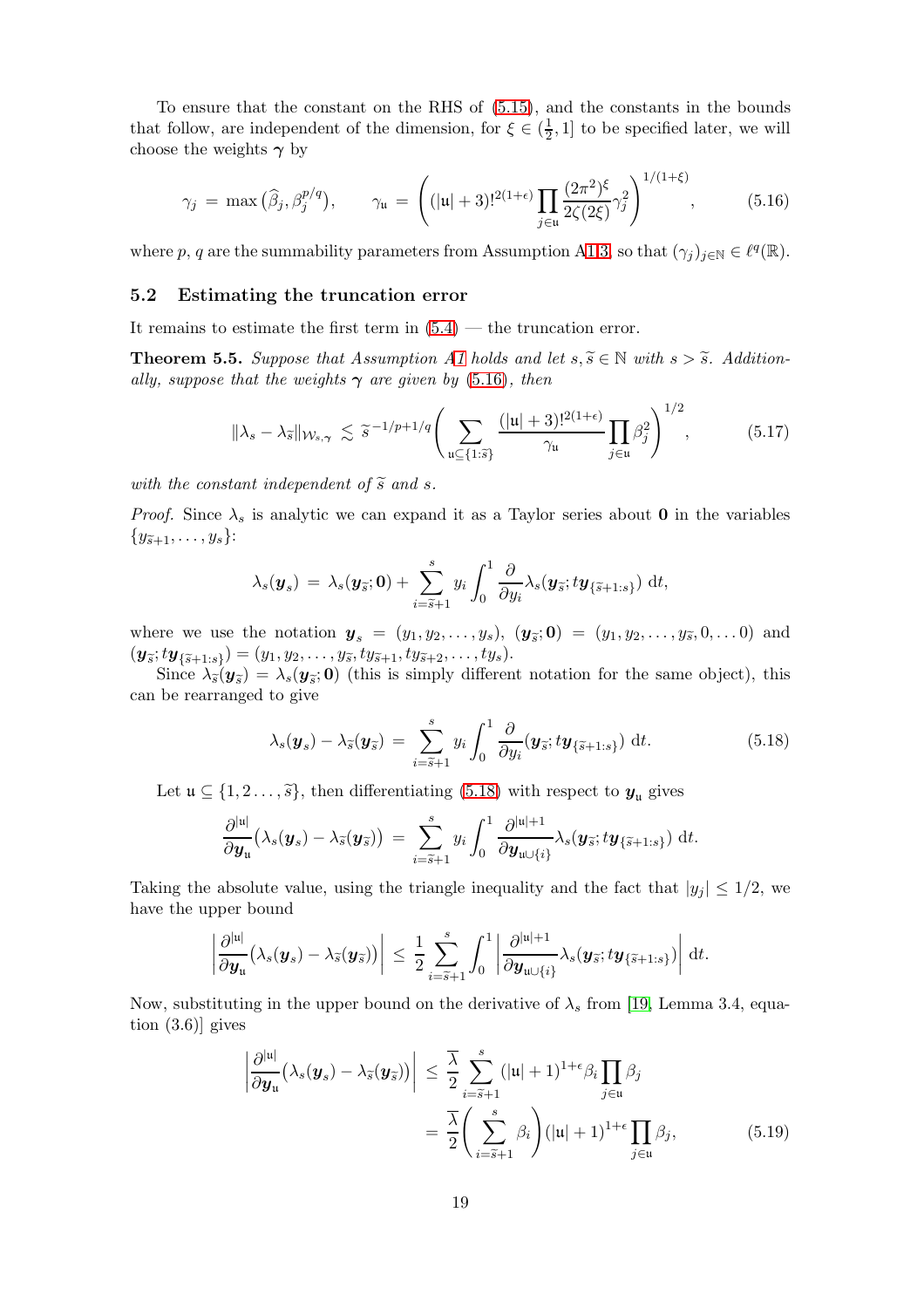To ensure that the constant on the RHS of [\(5.15\)](#page-17-1), and the constants in the bounds that follow, are independent of the dimension, for  $\xi \in (\frac{1}{2})$  $\frac{1}{2}$ , 1] to be specified later, we will choose the weights  $\gamma$  by

<span id="page-18-0"></span>
$$
\gamma_j = \max(\widehat{\beta}_j, \beta_j^{p/q}), \qquad \gamma_{\mathfrak{u}} = \left( (|\mathfrak{u}| + 3)!^{2(1+\epsilon)} \prod_{j \in \mathfrak{u}} \frac{(2\pi^2)^{\xi}}{2\zeta(2\xi)} \gamma_j^2 \right)^{1/(1+\xi)}, \tag{5.16}
$$

where p, q are the summability parameters from Assumption [A1](#page-2-1)[.3,](#page-3-2) so that  $(\gamma_j)_{j\in\mathbb{N}}\in\ell^q(\mathbb{R})$ .

#### 5.2 Estimating the truncation error

It remains to estimate the first term in  $(5.4)$  — the truncation error.

<span id="page-18-4"></span>**Theorem 5.5.** Suppose that Assumption [A1](#page-2-1) holds and let  $s, \tilde{s} \in \mathbb{N}$  with  $s > \tilde{s}$ . Additionally, suppose that the weights  $\gamma$  are given by [\(5.16\)](#page-18-0), then

<span id="page-18-3"></span>
$$
\|\lambda_s - \lambda_{\widetilde{s}}\|_{\mathcal{W}_{s,\gamma}} \lesssim \widetilde{s}^{-1/p+1/q} \Bigg( \sum_{\mathfrak{u} \subseteq \{1:\widetilde{s}\}} \frac{(|\mathfrak{u}|+3)!^{2(1+\epsilon)}}{\gamma_{\mathfrak{u}}} \prod_{j \in \mathfrak{u}} \beta_j^2 \Bigg)^{1/2},\tag{5.17}
$$

with the constant independent of  $\tilde{s}$  and s.

*Proof.* Since  $\lambda_s$  is analytic we can expand it as a Taylor series about **0** in the variables  ${y_{\tilde{s}+1}, \ldots, y_s}$ :

$$
\lambda_s(\boldsymbol{y}_s) \,=\, \lambda_s(\boldsymbol{y}_{\widetilde{s}};\boldsymbol{0}) + \sum_{i=\widetilde{s}+1}^s y_i \int_0^1 \frac{\partial}{\partial y_i} \lambda_s(\boldsymbol{y}_{\widetilde{s}};\boldsymbol{t}\boldsymbol{y}_{\{\widetilde{s}+1:s\}}) \,\mathrm{d}\boldsymbol{t},
$$

where we use the notation  $y_s = (y_1, y_2, \ldots, y_s), (y_{\tilde{s}}; 0) = (y_1, y_2, \ldots, y_{\tilde{s}}, 0, \ldots, 0)$  and  $(\bm{y}_{\widetilde{s}}; t\bm{y}_{\{\widetilde{s}+1:s\}}) = (y_1, y_2, \ldots, y_{\widetilde{s}}, ty_{\widetilde{s}+1}, ty_{\widetilde{s}+2}, \ldots, ty_s).$ 

Since  $\lambda_{\widetilde{\delta}}(\bm{y}_{\widetilde{\delta}}) = \lambda_s(\bm{y}_{\widetilde{\delta}}; \bm{0})$  (this is simply different notation for the same object), this can be rearranged to give

<span id="page-18-1"></span>
$$
\lambda_s(\boldsymbol{y}_s) - \lambda_{\widetilde{s}}(\boldsymbol{y}_{\widetilde{s}}) = \sum_{i=\widetilde{s}+1}^s y_i \int_0^1 \frac{\partial}{\partial y_i} (\boldsymbol{y}_{\widetilde{s}}; t \boldsymbol{y}_{\{\widetilde{s}+1:s\}}) dt.
$$
 (5.18)

Let  $\mathfrak{u} \subseteq \{1, 2, \ldots, \tilde{s}\},$  then differentiating [\(5.18\)](#page-18-1) with respect to  $y_{\mathfrak{u}}$  gives

$$
\frac{\partial^{|\mathfrak{u}|}}{\partial \mathbf{y}_{\mathfrak{u}}}(\lambda_s(\mathbf{y}_s)-\lambda_{\widetilde{s}}(\mathbf{y}_{\widetilde{s}}))\;=\;\sum_{i=\widetilde{s}+1}^sy_i\int_0^1\frac{\partial^{|\mathfrak{u}|+1}}{\partial \mathbf{y}_{\mathfrak{u}\cup\{i\}}}\lambda_s(\mathbf{y}_{\widetilde{s}};t\mathbf{y}_{\{\widetilde{s}+1:s\}})\;\mathrm{d}t.
$$

Taking the absolute value, using the triangle inequality and the fact that  $|y_j| \leq 1/2$ , we have the upper bound

$$
\left|\frac{\partial^{|{\boldsymbol{u}}|}}{\partial {\boldsymbol{y}}_{{\boldsymbol{u}}}}\big(\lambda_s({\boldsymbol{y}}_s)-\lambda_{\widetilde{s}}({\boldsymbol{y}}_{\widetilde{s}})\big)\right|\,\leq\, \frac{1}{2}\sum_{i=\widetilde{s}+1}^s \int_0^1 \left|\frac{\partial^{|{\boldsymbol{u}}|+1}}{\partial {\boldsymbol{y}}_{\mathfrak{u}\cup\{i\}}}\lambda_s({\boldsymbol{y}}_{\widetilde{s}}; t{\boldsymbol{y}}_{\{\widetilde{s}+1:s\}})\right|\,\mathrm{d} t.
$$

Now, substituting in the upper bound on the derivative of  $\lambda_s$  from [\[19,](#page-24-4) Lemma 3.4, equation  $(3.6)$ ] gives

<span id="page-18-2"></span>
$$
\left| \frac{\partial^{|\mathfrak{u}|}}{\partial \mathbf{y}_{\mathfrak{u}}} (\lambda_s(\mathbf{y}_s) - \lambda_{\widetilde{s}}(\mathbf{y}_{\widetilde{s}})) \right| \leq \frac{\overline{\lambda}}{2} \sum_{i=\widetilde{s}+1}^s (|\mathfrak{u}|+1)^{1+\epsilon} \beta_i \prod_{j \in \mathfrak{u}} \beta_j
$$

$$
= \frac{\overline{\lambda}}{2} \left( \sum_{i=\widetilde{s}+1}^s \beta_i \right) (|\mathfrak{u}|+1)^{1+\epsilon} \prod_{j \in \mathfrak{u}} \beta_j, \tag{5.19}
$$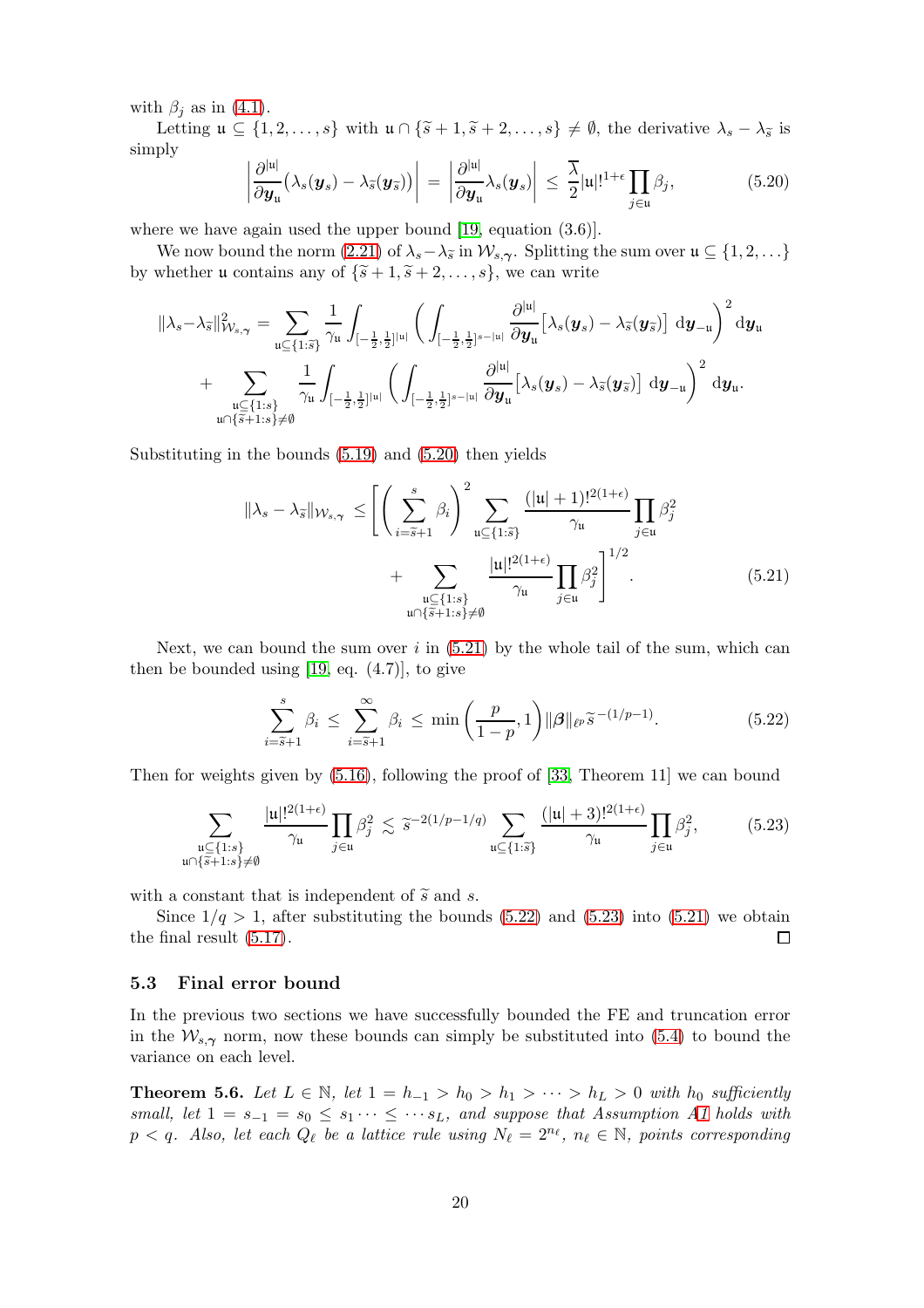with  $\beta_j$  as in [\(4.1\)](#page-10-5).

Letting  $\mathfrak{u} \subseteq \{1, 2, \ldots, s\}$  with  $\mathfrak{u} \cap \{\tilde{s} + 1, \tilde{s} + 2, \ldots, s\} \neq \emptyset$ , the derivative  $\lambda_s - \lambda_{\tilde{s}}$  is simply

<span id="page-19-1"></span>
$$
\left|\frac{\partial^{|u|}}{\partial \boldsymbol{y}_{u}}\left(\lambda_{s}(\boldsymbol{y}_{s})-\lambda_{\widetilde{s}}(\boldsymbol{y}_{\widetilde{s}})\right)\right| = \left|\frac{\partial^{|u|}}{\partial \boldsymbol{y}_{u}}\lambda_{s}(\boldsymbol{y}_{s})\right| \leq \frac{\overline{\lambda}}{2}|u|!^{1+\epsilon}\prod_{j\in u}\beta_{j},\tag{5.20}
$$

where we have again used the upper bound [\[19,](#page-24-4) equation  $(3.6)$ ].

We now bound the norm [\(2.21\)](#page-7-1) of  $\lambda_s - \lambda_{\widetilde{s}}$  in  $\mathcal{W}_{s,\gamma}$ . Splitting the sum over  $\mathfrak{u} \subseteq \{1,2,\ldots\}$ by whether **u** contains any of  $\{\tilde{s}+1, \tilde{s}+2, \ldots, s\}$ , we can write

$$
\begin{aligned}\|\lambda_s-\lambda_{\widetilde{s}}\|_{\mathcal{W}_{s,\boldsymbol{\gamma}}}^2&=\sum_{\mathfrak{u}\subseteq \{1:\widetilde{s}\}}\frac{1}{\gamma_{\mathfrak{u}}}\int_{[-\frac{1}{2},\frac{1}{2}]^{|\mathfrak{u}|}}\bigg(\int_{[-\frac{1}{2},\frac{1}{2}]^{s-|\mathfrak{u}|}}\frac{\partial^{|\mathfrak{u}|}}{\partial y_{\mathfrak{u}}}\big[\lambda_s(\pmb{y}_s)-\lambda_{\widetilde{s}}(\pmb{y}_{\widetilde{s}})\big]\;\mathrm{d}\pmb{y}_{-\mathfrak{u}}\bigg)^2\mathrm{d}\pmb{y}_{\mathfrak{u}}\\&+\sum_{\mathfrak{u}\subseteq \{1:s\}\atop \mathfrak{u}\cap\{\widetilde{s}+1:s\}\neq\emptyset}\frac{1}{\gamma_{\mathfrak{u}}}\int_{[-\frac{1}{2},\frac{1}{2}]^{|\mathfrak{u}|}}\bigg(\int_{[-\frac{1}{2},\frac{1}{2}]^{s-|\mathfrak{u}|}}\frac{\partial^{|\mathfrak{u}|}}{\partial \pmb{y}_{\mathfrak{u}}}\big[\lambda_s(\pmb{y}_s)-\lambda_{\widetilde{s}}(\pmb{y}_{\widetilde{s}})\big]\;\mathrm{d}\pmb{y}_{-\mathfrak{u}}\bigg)^2\;\mathrm{d}\pmb{y}_{\mathfrak{u}}.\end{aligned}
$$

Substituting in the bounds [\(5.19\)](#page-18-2) and [\(5.20\)](#page-19-1) then yields

$$
\|\lambda_s - \lambda_{\widetilde{s}}\|_{\mathcal{W}_{s,\gamma}} \le \left[ \left( \sum_{i=\widetilde{s}+1}^s \beta_i \right)^2 \sum_{\substack{\mathfrak{u} \subseteq \{1:\widetilde{s}\} \\ \gamma_{\mathfrak{u}}} \frac{(|\mathfrak{u}| + 1)!^{2(1+\epsilon)}}{\gamma_{\mathfrak{u}}} \prod_{j \in \mathfrak{u}} \beta_j^2 + \sum_{\substack{\mathfrak{u} \subseteq \{1:s\} \\ \mathfrak{u} \cap \{\widetilde{s}+1:s\} \neq \emptyset}} \frac{|\mathfrak{u}|^{2(1+\epsilon)}}{\gamma_{\mathfrak{u}}} \prod_{j \in \mathfrak{u}} \beta_j^2 \right]^{1/2} . \tag{5.21}
$$

Next, we can bound the sum over  $i$  in  $(5.21)$  by the whole tail of the sum, which can then be bounded using  $[19, \text{ eq. } (4.7)]$ , to give

<span id="page-19-3"></span><span id="page-19-2"></span>
$$
\sum_{i=\widetilde{s}+1}^{s} \beta_i \le \sum_{i=\widetilde{s}+1}^{\infty} \beta_i \le \min\left(\frac{p}{1-p}, 1\right) \|\boldsymbol{\beta}\|_{\ell^p} \widetilde{s}^{-(1/p-1)}.
$$
 (5.22)

Then for weights given by  $(5.16)$ , following the proof of [\[33,](#page-25-1) Theorem 11] we can bound

<span id="page-19-4"></span>
$$
\sum_{\substack{\mathfrak{u}\subseteq\{1:s\}\\ \mathfrak{u}\cap\{\tilde{s}+1:s\}\neq\emptyset}}\frac{|\mathfrak{u}|!^{2(1+\epsilon)}}{\gamma_{\mathfrak{u}}}\prod_{j\in\mathfrak{u}}\beta_j^2\lesssim \tilde{s}^{-2(1/p-1/q)}\sum_{\mathfrak{u}\subseteq\{1:\tilde{s}\}}\frac{(|\mathfrak{u}|+3)!^{2(1+\epsilon)}}{\gamma_{\mathfrak{u}}}\prod_{j\in\mathfrak{u}}\beta_j^2,\tag{5.23}
$$

with a constant that is independent of  $\tilde{s}$  and s.

Since  $1/q > 1$ , after substituting the bounds [\(5.22\)](#page-19-3) and [\(5.23\)](#page-19-4) into [\(5.21\)](#page-19-2) we obtain the final result [\(5.17\)](#page-18-3).  $\Box$ 

#### 5.3 Final error bound

In the previous two sections we have successfully bounded the FE and truncation error in the  $W_{s,\gamma}$  norm, now these bounds can simply be substituted into [\(5.4\)](#page-14-1) to bound the variance on each level.

<span id="page-19-0"></span>**Theorem 5.6.** Let  $L \in \mathbb{N}$ , let  $1 = h_{-1} > h_0 > h_1 > \cdots > h_L > 0$  with  $h_0$  sufficiently small, let  $1 = s_{-1} = s_0 \leq s_1 \cdots \leq s_{L}$ , and suppose that Assumption [A1](#page-2-1) holds with  $p < q$ . Also, let each  $Q_{\ell}$  be a lattice rule using  $N_{\ell} = 2^{n_{\ell}}$ ,  $n_{\ell} \in \mathbb{N}$ , points corresponding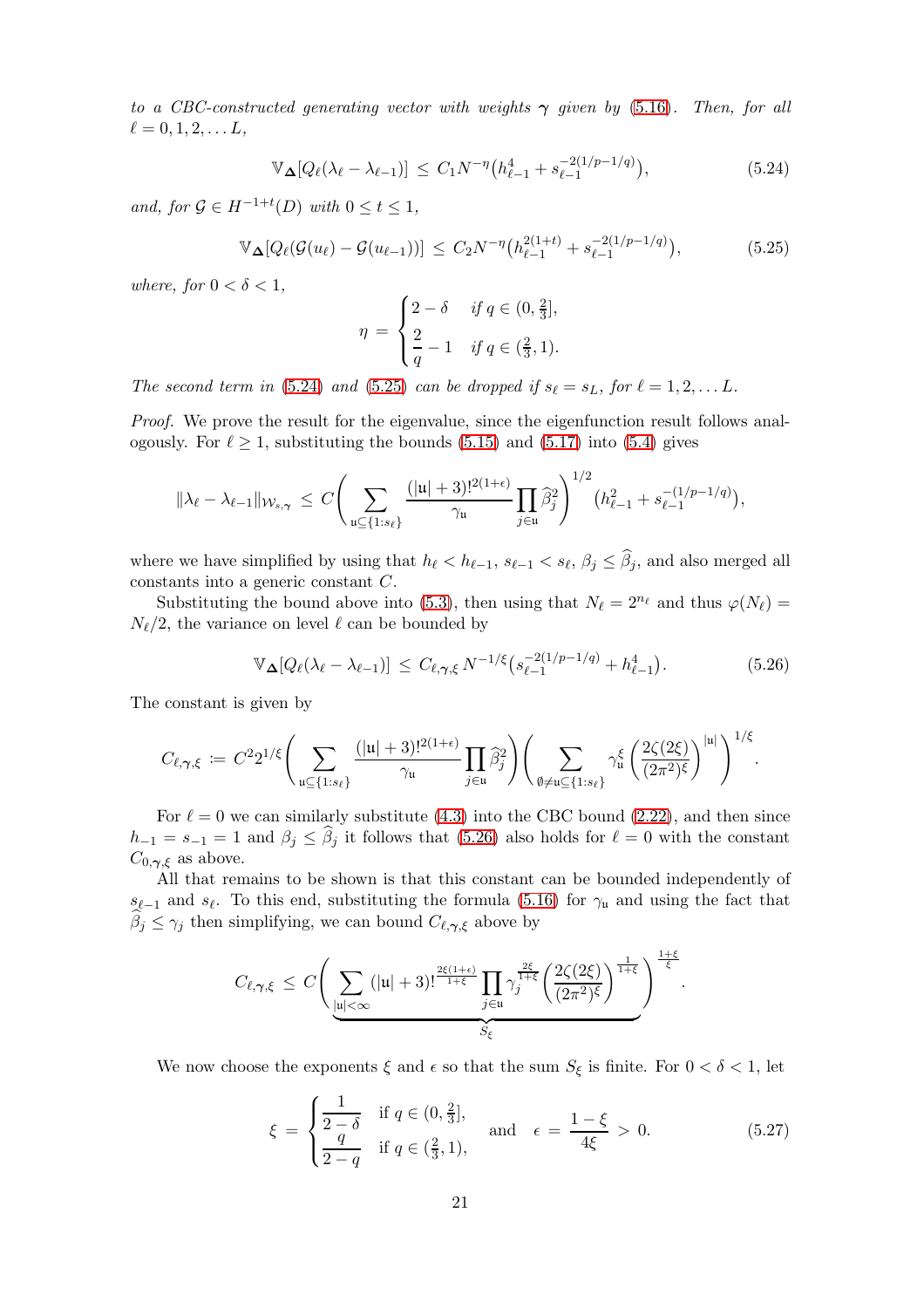to a CBC-constructed generating vector with weights  $\gamma$  given by [\(5.16\)](#page-18-0). Then, for all  $\ell = 0, 1, 2, \ldots L,$ 

<span id="page-20-0"></span>
$$
\mathbb{V}_{\Delta}[Q_{\ell}(\lambda_{\ell} - \lambda_{\ell-1})] \leq C_1 N^{-\eta} \big( h_{\ell-1}^4 + s_{\ell-1}^{-2(1/p - 1/q)} \big), \tag{5.24}
$$

and, for  $\mathcal{G} \in H^{-1+t}(D)$  with  $0 \le t \le 1$ ,

<span id="page-20-1"></span>
$$
\mathbb{V}_{\mathbf{\Delta}}[Q_{\ell}(\mathcal{G}(u_{\ell}) - \mathcal{G}(u_{\ell-1}))] \leq C_2 N^{-\eta} \big( h_{\ell-1}^{2(1+t)} + s_{\ell-1}^{-2(1/p-1/q)} \big), \tag{5.25}
$$

where, for  $0 < \delta < 1$ ,

$$
\eta = \begin{cases} 2 - \delta & \text{if } q \in (0, \frac{2}{3}], \\ \frac{2}{q} - 1 & \text{if } q \in (\frac{2}{3}, 1). \end{cases}
$$

The second term in [\(5.24\)](#page-20-0) and [\(5.25\)](#page-20-1) can be dropped if  $s_{\ell} = s_L$ , for  $\ell = 1, 2, \ldots L$ .

Proof. We prove the result for the eigenvalue, since the eigenfunction result follows analogously. For  $\ell \geq 1$ , substituting the bounds [\(5.15\)](#page-17-1) and [\(5.17\)](#page-18-3) into [\(5.4\)](#page-14-1) gives

$$
\|\lambda_{\ell}-\lambda_{\ell-1}\|_{\mathcal W_{s,\boldsymbol\gamma}}\,\leq\,C\Bigg(\sum_{\mathfrak u\subseteq\{1:s_{\ell}\}}\frac{(|\mathfrak u|+3)!^{2(1+\epsilon)}}{\gamma_{\mathfrak u}}\prod_{j\in\mathfrak u}\widehat\beta_j^2\Bigg)^{1/2}(h_{\ell-1}^2+s_{\ell-1}^{-(1/p-1/q)}),
$$

where we have simplified by using that  $h_{\ell} < h_{\ell-1}$ ,  $s_{\ell-1} < s_{\ell}$ ,  $\beta_j \leq \beta_j$ , and also merged all constants into a generic constant C.

Substituting the bound above into [\(5.3\)](#page-14-2), then using that  $N_{\ell} = 2^{n_{\ell}}$  and thus  $\varphi(N_{\ell}) =$  $N_{\ell}/2$ , the variance on level  $\ell$  can be bounded by

<span id="page-20-2"></span>
$$
\mathbb{V}_{\mathbf{\Delta}}[Q_{\ell}(\lambda_{\ell}-\lambda_{\ell-1})] \leq C_{\ell,\gamma,\xi} N^{-1/\xi} \big(s_{\ell-1}^{-2(1/p-1/q)} + h_{\ell-1}^4\big). \tag{5.26}
$$

The constant is given by

$$
C_{\ell,\gamma,\xi} \coloneqq C^2 2^{1/\xi} \Bigg( \sum_{\mathfrak{u} \subseteq \{1:s_{\ell}\}} \frac{(|\mathfrak{u}|+3)!^{2(1+\epsilon)}}{\gamma_{\mathfrak{u}}} \prod_{j \in \mathfrak{u}} \widehat{\beta}_j^2 \Bigg) \Bigg( \sum_{\emptyset \neq \mathfrak{u} \subseteq \{1:s_{\ell}\}} \gamma_{\mathfrak{u}}^{\xi} \left( \frac{2\zeta(2\xi)}{(2\pi^2)^{\xi}} \right)^{|\mathfrak{u}|} \Bigg)^{1/\xi}.
$$

For  $\ell = 0$  we can similarly substitute [\(4.3\)](#page-10-2) into the CBC bound [\(2.22\)](#page-7-0), and then since  $h_{-1} = s_{-1} = 1$  and  $\beta_j \leq \beta_j$  it follows that [\(5.26\)](#page-20-2) also holds for  $\ell = 0$  with the constant  $C_{0,\gamma,\xi}$  as above.

All that remains to be shown is that this constant can be bounded independently of  $s_{\ell-1}$  and  $s_{\ell}$ . To this end, substituting the formula [\(5.16\)](#page-18-0) for  $\gamma_{\mu}$  and using the fact that  $\beta_j \leq \gamma_j$  then simplifying, we can bound  $C_{\ell,\gamma,\xi}$  above by

$$
C_{\ell,\gamma,\xi} \, \leq \, C \Bigg( \underbrace{\sum_{|\mathfrak{u}| < \infty} (|\mathfrak{u}|+3)!^{\frac{2\xi(1+\epsilon)}{1+\xi}} \prod_{j \in \mathfrak{u}} \gamma_j^{\frac{2\xi}{1+\xi}} \Bigg( \frac{2 \zeta(2 \xi)}{(2 \pi^2)^{\xi}} \Bigg)^{\frac{1}{1+\xi}}}_{S_{\xi}} \Bigg)^{\frac{1+\xi}{\xi}}.
$$

We now choose the exponents  $\xi$  and  $\epsilon$  so that the sum  $S_{\xi}$  is finite. For  $0 < \delta < 1$ , let

<span id="page-20-3"></span>
$$
\xi = \begin{cases} \frac{1}{2-\delta} & \text{if } q \in (0, \frac{2}{3}],\\ \frac{q}{2-q} & \text{if } q \in (\frac{2}{3}, 1), \end{cases} \quad \text{and} \quad \epsilon = \frac{1-\xi}{4\xi} > 0. \tag{5.27}
$$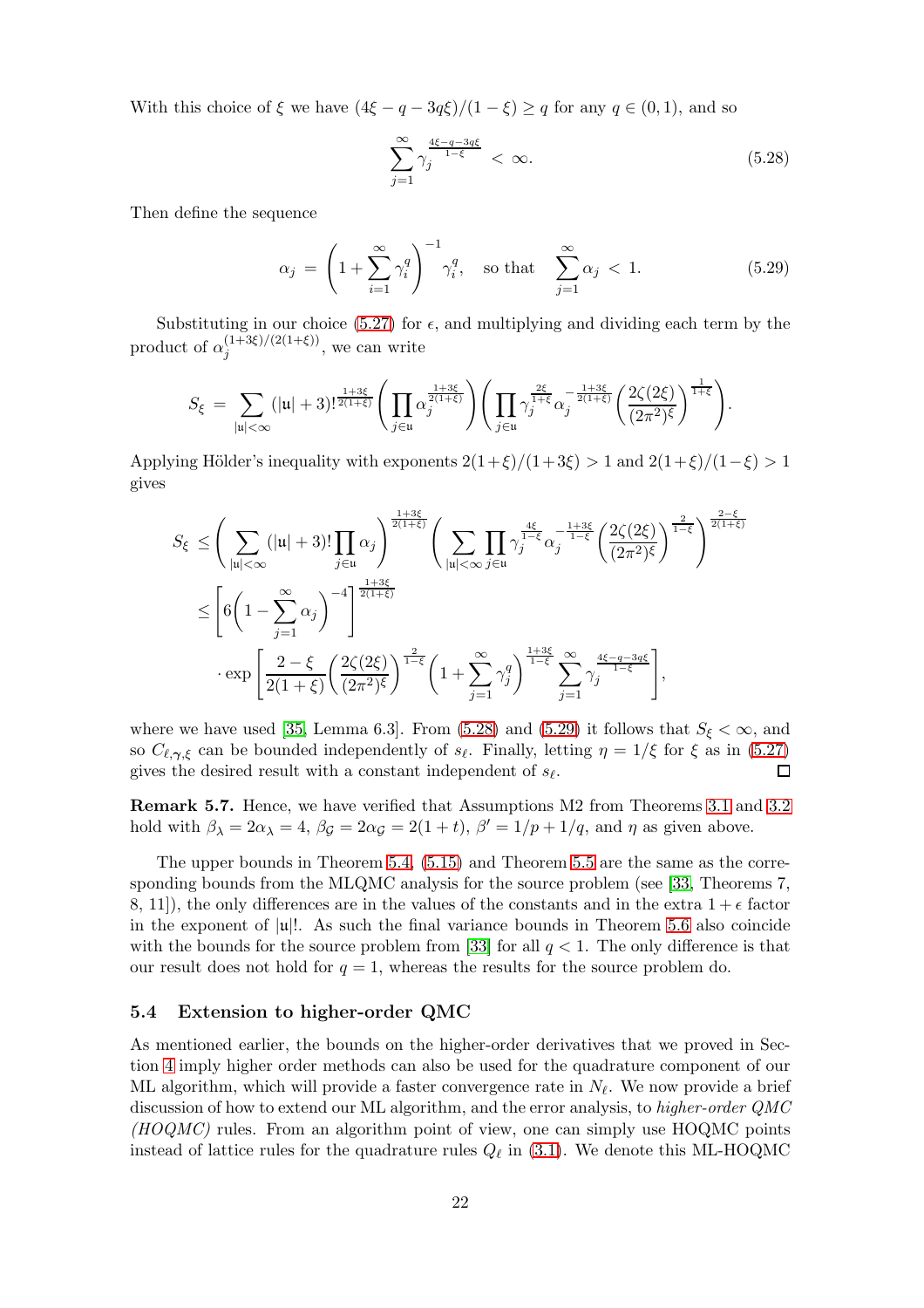With this choice of  $\xi$  we have  $(4\xi - q - 3q\xi)/(1 - \xi) \ge q$  for any  $q \in (0, 1)$ , and so

<span id="page-21-2"></span>
$$
\sum_{j=1}^{\infty} \gamma_j^{\frac{4\xi - q - 3q\xi}{1 - \xi}} < \infty. \tag{5.28}
$$

Then define the sequence

<span id="page-21-3"></span>
$$
\alpha_j = \left(1 + \sum_{i=1}^{\infty} \gamma_i^q\right)^{-1} \gamma_i^q, \quad \text{so that} \quad \sum_{j=1}^{\infty} \alpha_j < 1. \tag{5.29}
$$

Substituting in our choice [\(5.27\)](#page-20-3) for  $\epsilon$ , and multiplying and dividing each term by the product of  $\alpha_i^{(1+3\xi)/(2(1+\xi))}$  $j^{(1+3\zeta)/(2(1+\zeta))}$ , we can write

$$
S_{\xi} = \sum_{|\mathfrak{u}| < \infty} (|\mathfrak{u}| + 3)!^{\frac{1+3\xi}{2(1+\xi)}} \Bigg( \prod_{j \in \mathfrak{u}} \alpha_j^{\frac{1+3\xi}{2(1+\xi)}} \Bigg) \Bigg( \prod_{j \in \mathfrak{u}} \gamma_j^{\frac{2\xi}{1+\xi}} \alpha_j^{-\frac{1+3\xi}{2(1+\xi)}} \Bigg( \frac{2\zeta(2\xi)}{(2\pi^2)^{\xi}} \Bigg)^{\frac{1}{1+\xi}} \Bigg).
$$

Applying Hölder's inequality with exponents  $2(1+\xi)/(1+3\xi) > 1$  and  $2(1+\xi)/(1-\xi) > 1$ gives

$$
S_{\xi} \leq \left(\sum_{|\mathfrak{u}|<\infty}(|\mathfrak{u}|+3)!\prod_{j\in\mathfrak{u}}\alpha_j\right)^{\frac{1+3\xi}{2(1+\xi)}} \left(\sum_{|\mathfrak{u}|<\infty}\prod_{j\in\mathfrak{u}}\gamma_j^{\frac{4\xi}{1-\xi}}\alpha_j^{-\frac{1+3\xi}{1-\xi}}\left(\frac{2\zeta(2\xi)}{(2\pi^2)\xi}\right)^{\frac{2}{1-\xi}}\right)^{\frac{2-\xi}{2(1+\xi)}}
$$
  

$$
\leq \left[6\left(1-\sum_{j=1}^{\infty}\alpha_j\right)^{-4}\right]^{\frac{1+3\xi}{2(1+\xi)}}
$$

$$
\cdot \exp\left[\frac{2-\xi}{2(1+\xi)}\left(\frac{2\zeta(2\xi)}{(2\pi^2)\xi}\right)^{\frac{2}{1-\xi}}\left(1+\sum_{j=1}^{\infty}\gamma_j^q\right)^{\frac{1+3\xi}{1-\xi}}\sum_{j=1}^{\infty}\gamma_j^{\frac{4\xi-q-3q\xi}{1-\xi}}\right],
$$

where we have used [\[35,](#page-25-19) Lemma 6.3]. From [\(5.28\)](#page-21-2) and [\(5.29\)](#page-21-3) it follows that  $S_{\xi} < \infty$ , and so  $C_{\ell,\gamma,\xi}$  can be bounded independently of  $s_{\ell}$ . Finally, letting  $\eta = 1/\xi$  for  $\xi$  as in [\(5.27\)](#page-20-3) gives the desired result with a constant independent of  $s_{\ell}$ .  $\Box$ 

<span id="page-21-0"></span>Remark 5.7. Hence, we have verified that Assumptions M2 from Theorems [3.1](#page-8-0) and [3.2](#page-9-0) hold with  $\beta_{\lambda} = 2\alpha_{\lambda} = 4$ ,  $\beta_{\mathcal{G}} = 2\alpha_{\mathcal{G}} = 2(1+t)$ ,  $\beta' = 1/p + 1/q$ , and  $\eta$  as given above.

The upper bounds in Theorem [5.4,](#page-16-0) [\(5.15\)](#page-17-1) and Theorem [5.5](#page-18-4) are the same as the corresponding bounds from the MLQMC analysis for the source problem (see [\[33,](#page-25-1) Theorems 7, 8, 11), the only differences are in the values of the constants and in the extra  $1 + \epsilon$  factor in the exponent of  $|u|$ !. As such the final variance bounds in Theorem [5.6](#page-19-0) also coincide with the bounds for the source problem from [\[33\]](#page-25-1) for all  $q < 1$ . The only difference is that our result does not hold for  $q = 1$ , whereas the results for the source problem do.

### <span id="page-21-1"></span>5.4 Extension to higher-order QMC

As mentioned earlier, the bounds on the higher-order derivatives that we proved in Section [4](#page-9-2) imply higher order methods can also be used for the quadrature component of our ML algorithm, which will provide a faster convergence rate in  $N_{\ell}$ . We now provide a brief discussion of how to extend our ML algorithm, and the error analysis, to higher-order QMC  $(HOQMC)$  rules. From an algorithm point of view, one can simply use HOQMC points instead of lattice rules for the quadrature rules  $Q_{\ell}$  in [\(3.1\)](#page-8-3). We denote this ML-HOQMC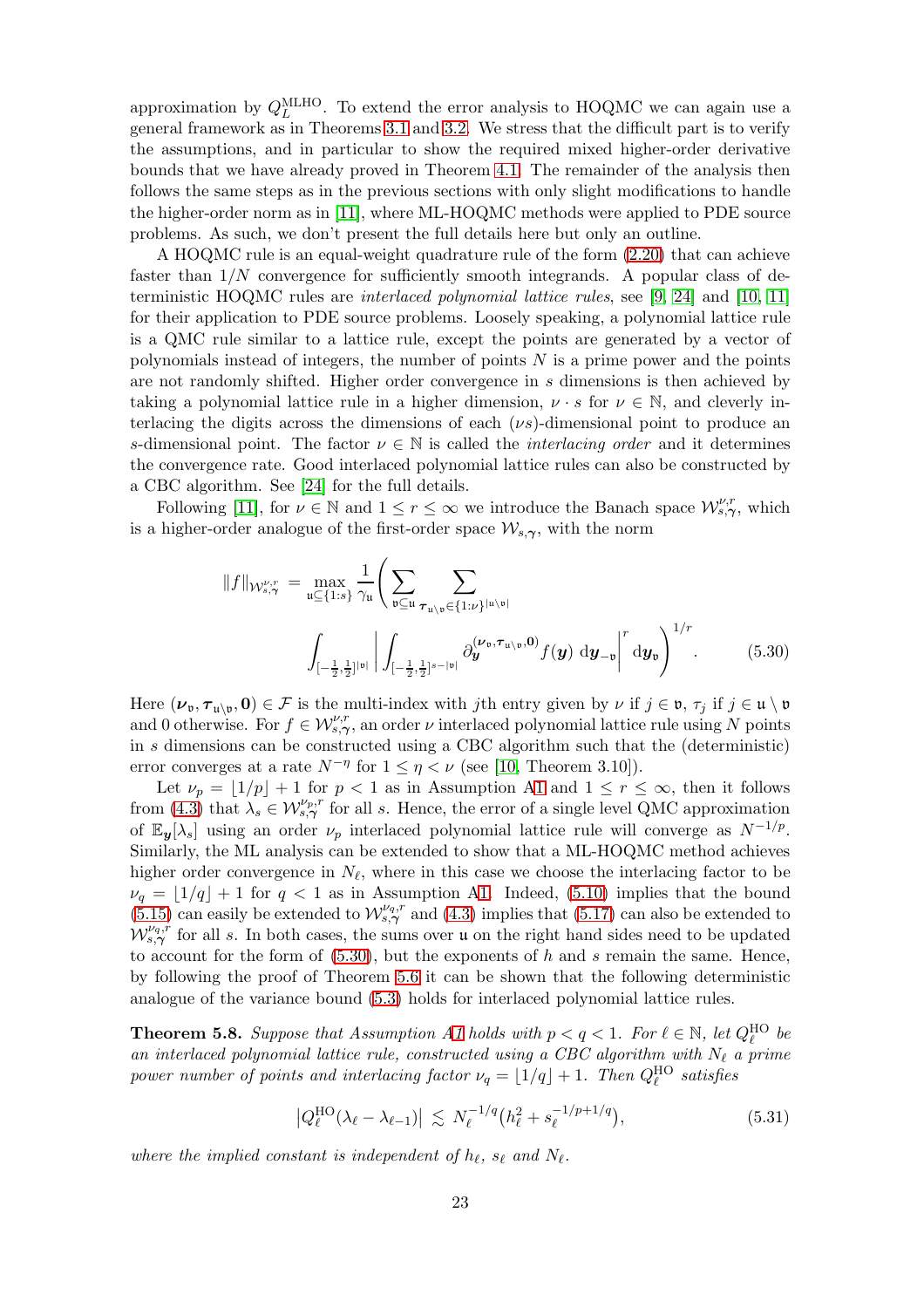approximation by  $Q_L^{\text{MLHO}}$ . To extend the error analysis to HOQMC we can again use a general framework as in Theorems [3.1](#page-8-0) and [3.2.](#page-9-0) We stress that the difficult part is to verify the assumptions, and in particular to show the required mixed higher-order derivative bounds that we have already proved in Theorem [4.1.](#page-10-0) The remainder of the analysis then follows the same steps as in the previous sections with only slight modifications to handle the higher-order norm as in [\[11\]](#page-24-8), where ML-HOQMC methods were applied to PDE source problems. As such, we don't present the full details here but only an outline.

A HOQMC rule is an equal-weight quadrature rule of the form [\(2.20\)](#page-6-0) that can achieve faster than  $1/N$  convergence for sufficiently smooth integrands. A popular class of deterministic HOQMC rules are interlaced polynomial lattice rules, see [\[9,](#page-24-5) [24\]](#page-24-6) and [\[10,](#page-24-7) [11\]](#page-24-8) for their application to PDE source problems. Loosely speaking, a polynomial lattice rule is a QMC rule similar to a lattice rule, except the points are generated by a vector of polynomials instead of integers, the number of points  $N$  is a prime power and the points are not randomly shifted. Higher order convergence in s dimensions is then achieved by taking a polynomial lattice rule in a higher dimension,  $\nu \cdot s$  for  $\nu \in \mathbb{N}$ , and cleverly interlacing the digits across the dimensions of each  $(\nu s)$ -dimensional point to produce an s-dimensional point. The factor  $\nu \in \mathbb{N}$  is called the *interlacing order* and it determines the convergence rate. Good interlaced polynomial lattice rules can also be constructed by a CBC algorithm. See [\[24\]](#page-24-6) for the full details.

Following [\[11\]](#page-24-8), for  $\nu \in \mathbb{N}$  and  $1 \le r \le \infty$  we introduce the Banach space  $\mathcal{W}^{\nu,r}_{s,\gamma}$ , which is a higher-order analogue of the first-order space  $\mathcal{W}_{s,\gamma}$ , with the norm

<span id="page-22-0"></span>
$$
||f||_{\mathcal{W}^{\nu,r}_{s,\gamma}} = \max_{\mathfrak{u} \subseteq \{1:s\}} \frac{1}{\gamma_{\mathfrak{u}}} \Bigg( \sum_{\mathfrak{v} \subseteq \mathfrak{u}} \sum_{\tau_{\mathfrak{u} \setminus \mathfrak{v}} \in \{1:\nu\}^{|\mathfrak{u} \setminus \mathfrak{v}|}} \Bigg( \sum_{\mathfrak{v} \subseteq \mathfrak{u}} \sum_{\tau_{\mathfrak{u} \setminus \mathfrak{v}} \in \{1:\nu\}^{|\mathfrak{u} \setminus \mathfrak{v}|}} \partial_{\mathbf{y}}^{(\nu_{\mathfrak{v}}, \tau_{\mathfrak{u} \setminus \mathfrak{v}}, \mathbf{0})} f(\mathbf{y}) \, d\mathbf{y}_{-\mathfrak{v}} \Bigg|^{r} d\mathbf{y}_{\mathfrak{v}} \Bigg)^{1/r}.
$$
 (5.30)

Here  $(\nu_{\mathfrak{v}}, \tau_{\mathfrak{u}\setminus \mathfrak{v}}, 0) \in \mathcal{F}$  is the multi-index with jth entry given by  $\nu$  if  $j \in \mathfrak{v}, \tau_j$  if  $j \in \mathfrak{u} \setminus \mathfrak{v}$ and 0 otherwise. For  $f \in \mathcal{W}_{s,\gamma}^{\nu,r}$ , an order  $\nu$  interlaced polynomial lattice rule using N points in s dimensions can be constructed using a CBC algorithm such that the (deterministic) error converges at a rate  $N^{-\eta}$  for  $1 \leq \eta < \nu$  (see [\[10,](#page-24-7) Theorem 3.10]).

Let  $\nu_p = |1/p| + 1$  for  $p < 1$  as in Assumption [A1](#page-2-1) and  $1 \le r \le \infty$ , then it follows from [\(4.3\)](#page-10-2) that  $\lambda_s \in \mathcal{W}_{s,\gamma}^{\nu_p,r}$  for all s. Hence, the error of a single level QMC approximation of  $\mathbb{E}_{y}[\lambda_s]$  using an order  $\nu_p$  interlaced polynomial lattice rule will converge as  $N^{-1/p}$ . Similarly, the ML analysis can be extended to show that a ML-HOQMC method achieves higher order convergence in  $N_{\ell}$ , where in this case we choose the interlacing factor to be  $\nu_q = \lfloor 1/q \rfloor + 1$  for  $q < 1$  as in Assumption [A1.](#page-2-1) Indeed, [\(5.10\)](#page-16-3) implies that the bound  $(5.15)$  can easily be extended to  $W^{V_q,r}_{s,\gamma}$  and [\(4.3\)](#page-10-2) implies that [\(5.17\)](#page-18-3) can also be extended to  $W_{s,\gamma}^{\nu_q,r}$  for all s. In both cases, the sums over u on the right hand sides need to be updated to account for the form of  $(5.30)$ , but the exponents of h and s remain the same. Hence, by following the proof of Theorem [5.6](#page-19-0) it can be shown that the following deterministic analogue of the variance bound [\(5.3\)](#page-14-2) holds for interlaced polynomial lattice rules.

<span id="page-22-2"></span>**Theorem 5.8.** Suppose that Assumption [A1](#page-2-1) holds with  $p < q < 1$ . For  $\ell \in \mathbb{N}$ , let  $Q_{\ell}^{\text{HO}}$  be an interlaced polynomial lattice rule, constructed using a CBC algorithm with  $N_{\ell}$  a prime power number of points and interlacing factor  $\nu_q = \lfloor 1/q \rfloor + 1$ . Then  $Q_{\ell}^{\text{HO}}$  satisfies

<span id="page-22-1"></span>
$$
\left|Q_{\ell}^{\text{HO}}(\lambda_{\ell} - \lambda_{\ell-1})\right| \lesssim N_{\ell}^{-1/q} \left(h_{\ell}^2 + s_{\ell}^{-1/p+1/q}\right),\tag{5.31}
$$

where the implied constant is independent of  $h_{\ell}$ ,  $s_{\ell}$  and  $N_{\ell}$ .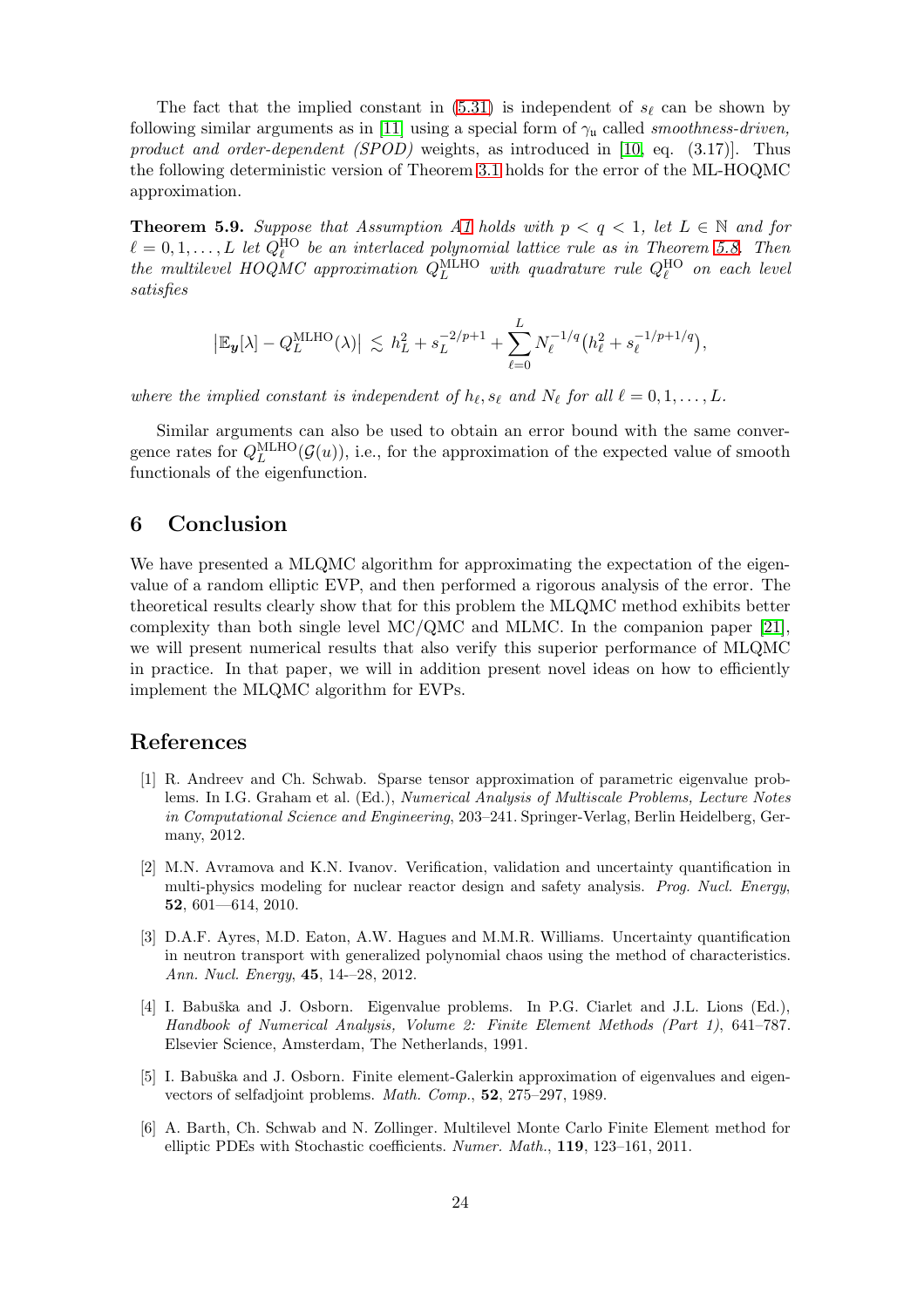The fact that the implied constant in [\(5.31\)](#page-22-1) is independent of  $s_{\ell}$  can be shown by following similar arguments as in [\[11\]](#page-24-8) using a special form of  $\gamma_u$  called *smoothness-driven*, product and order-dependent  $(SPOD)$  weights, as introduced in [\[10,](#page-24-7) eq. (3.17)]. Thus the following deterministic version of Theorem [3.1](#page-8-0) holds for the error of the ML-HOQMC approximation.

**Theorem 5.9.** Suppose that Assumption [A1](#page-2-1) holds with  $p < q < 1$ , let  $L \in \mathbb{N}$  and for  $\ell = 0, 1, \ldots, L$  let  $Q_{\ell}^{\text{HO}}$  be an interlaced polynomial lattice rule as in Theorem [5.8.](#page-22-2) Then the multilevel HOQMC approximation  $Q_L^{\text{MLHO}}$  with quadrature rule  $Q_{\ell}^{\text{HO}}$  on each level satisfies

$$
|\mathbb{E}_{\mathbf{y}}[\lambda] - Q_L^{\text{MLHO}}(\lambda)| \lesssim h_L^2 + s_L^{-2/p+1} + \sum_{\ell=0}^L N_{\ell}^{-1/q} (h_{\ell}^2 + s_{\ell}^{-1/p+1/q}),
$$

where the implied constant is independent of  $h_{\ell}$ ,  $s_{\ell}$  and  $N_{\ell}$  for all  $\ell = 0, 1, \ldots, L$ .

Similar arguments can also be used to obtain an error bound with the same convergence rates for  $Q_L^{\text{MLHO}}(\mathcal{G}(u))$ , i.e., for the approximation of the expected value of smooth functionals of the eigenfunction.

### 6 Conclusion

We have presented a MLQMC algorithm for approximating the expectation of the eigenvalue of a random elliptic EVP, and then performed a rigorous analysis of the error. The theoretical results clearly show that for this problem the MLQMC method exhibits better complexity than both single level MC/QMC and MLMC. In the companion paper [\[21\]](#page-24-9), we will present numerical results that also verify this superior performance of MLQMC in practice. In that paper, we will in addition present novel ideas on how to efficiently implement the MLQMC algorithm for EVPs.

### <span id="page-23-1"></span>References

- [1] R. Andreev and Ch. Schwab. Sparse tensor approximation of parametric eigenvalue problems. In I.G. Graham et al. (Ed.), Numerical Analysis of Multiscale Problems, Lecture Notes in Computational Science and Engineering, 203–241. Springer-Verlag, Berlin Heidelberg, Germany, 2012.
- <span id="page-23-2"></span>[2] M.N. Avramova and K.N. Ivanov. Verification, validation and uncertainty quantification in multi-physics modeling for nuclear reactor design and safety analysis. Prog. Nucl. Energy, 52, 601—614, 2010.
- <span id="page-23-3"></span>[3] D.A.F. Ayres, M.D. Eaton, A.W. Hagues and M.M.R. Williams. Uncertainty quantification in neutron transport with generalized polynomial chaos using the method of characteristics. Ann. Nucl. Energy, 45, 14-–28, 2012.
- <span id="page-23-4"></span>[4] I. Babuška and J. Osborn. Eigenvalue problems. In P.G. Ciarlet and J.L. Lions (Ed.), Handbook of Numerical Analysis, Volume 2: Finite Element Methods (Part 1), 641–787. Elsevier Science, Amsterdam, The Netherlands, 1991.
- <span id="page-23-5"></span>[5] I. Babuška and J. Osborn. Finite element-Galerkin approximation of eigenvalues and eigenvectors of selfadjoint problems. Math. Comp., 52, 275–297, 1989.
- <span id="page-23-0"></span>[6] A. Barth, Ch. Schwab and N. Zollinger. Multilevel Monte Carlo Finite Element method for elliptic PDEs with Stochastic coefficients. Numer. Math., 119, 123–161, 2011.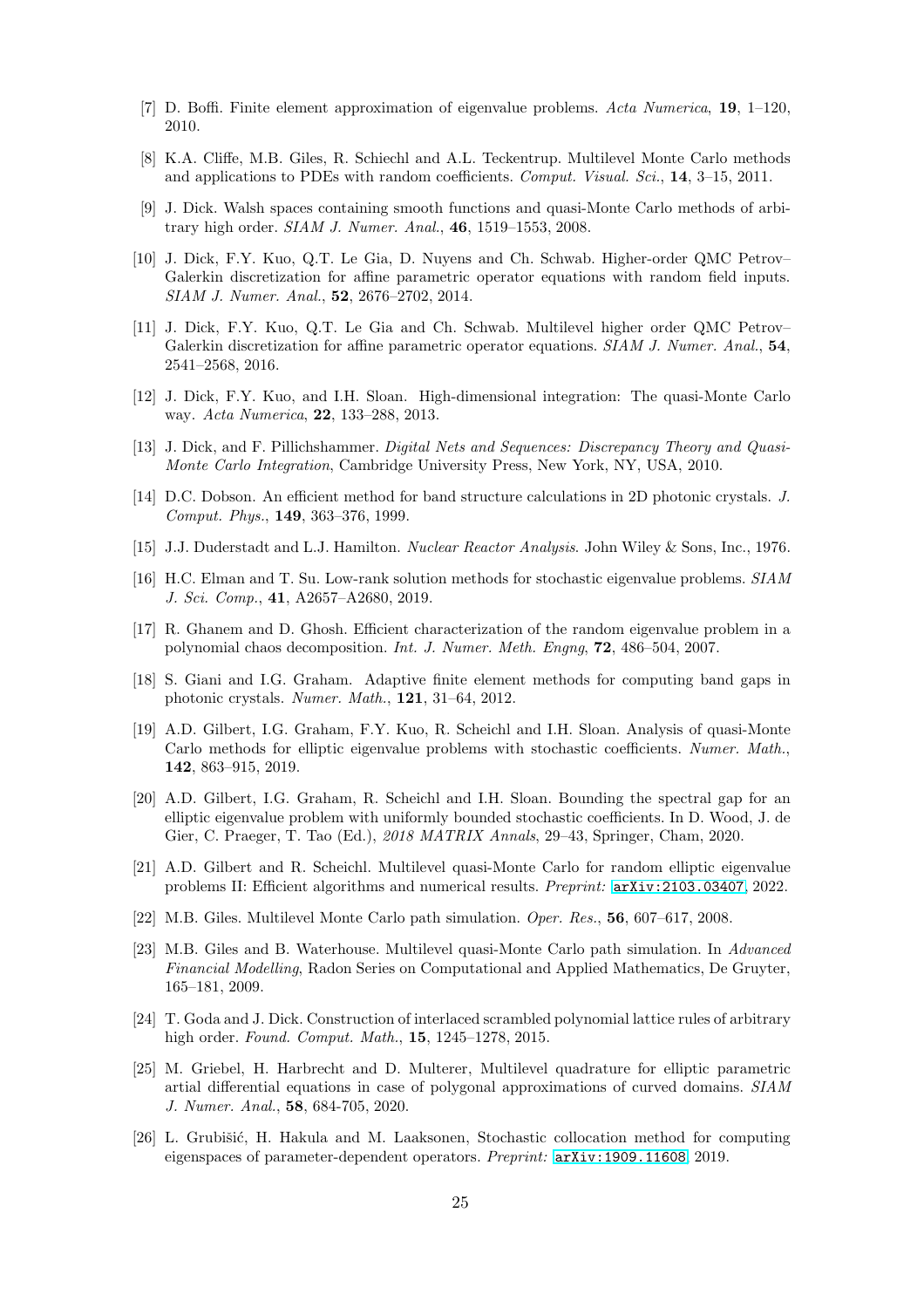- <span id="page-24-17"></span><span id="page-24-1"></span>[7] D. Boffi. Finite element approximation of eigenvalue problems. Acta Numerica, 19, 1–120, 2010.
- <span id="page-24-5"></span>[8] K.A. Cliffe, M.B. Giles, R. Schiechl and A.L. Teckentrup. Multilevel Monte Carlo methods and applications to PDEs with random coefficients. Comput. Visual. Sci., 14, 3–15, 2011.
- [9] J. Dick. Walsh spaces containing smooth functions and quasi-Monte Carlo methods of arbitrary high order. SIAM J. Numer. Anal., 46, 1519–1553, 2008.
- <span id="page-24-7"></span>[10] J. Dick, F.Y. Kuo, Q.T. Le Gia, D. Nuyens and Ch. Schwab. Higher-order QMC Petrov– Galerkin discretization for affine parametric operator equations with random field inputs. SIAM J. Numer. Anal., 52, 2676–2702, 2014.
- <span id="page-24-8"></span>[11] J. Dick, F.Y. Kuo, Q.T. Le Gia and Ch. Schwab. Multilevel higher order QMC Petrov– Galerkin discretization for affine parametric operator equations. SIAM J. Numer. Anal., 54, 2541–2568, 2016.
- <span id="page-24-2"></span>[12] J. Dick, F.Y. Kuo, and I.H. Sloan. High-dimensional integration: The quasi-Monte Carlo way. Acta Numerica, 22, 133–288, 2013.
- <span id="page-24-11"></span>[13] J. Dick, and F. Pillichshammer. Digital Nets and Sequences: Discrepancy Theory and Quasi-Monte Carlo Integration, Cambridge University Press, New York, NY, USA, 2010.
- <span id="page-24-10"></span>[14] D.C. Dobson. An efficient method for band structure calculations in 2D photonic crystals. J. Comput. Phys., 149, 363–376, 1999.
- <span id="page-24-14"></span>[15] J.J. Duderstadt and L.J. Hamilton. Nuclear Reactor Analysis. John Wiley & Sons, Inc., 1976.
- <span id="page-24-13"></span>[16] H.C. Elman and T. Su. Low-rank solution methods for stochastic eigenvalue problems. SIAM J. Sci. Comp., 41, A2657–A2680, 2019.
- [17] R. Ghanem and D. Ghosh. Efficient characterization of the random eigenvalue problem in a polynomial chaos decomposition. Int. J. Numer. Meth. Engng, 72, 486–504, 2007.
- <span id="page-24-12"></span>[18] S. Giani and I.G. Graham. Adaptive finite element methods for computing band gaps in photonic crystals. Numer. Math., 121, 31–64, 2012.
- <span id="page-24-4"></span>[19] A.D. Gilbert, I.G. Graham, F.Y. Kuo, R. Scheichl and I.H. Sloan. Analysis of quasi-Monte Carlo methods for elliptic eigenvalue problems with stochastic coefficients. Numer. Math., 142, 863–915, 2019.
- <span id="page-24-16"></span>[20] A.D. Gilbert, I.G. Graham, R. Scheichl and I.H. Sloan. Bounding the spectral gap for an elliptic eigenvalue problem with uniformly bounded stochastic coefficients. In D. Wood, J. de Gier, C. Praeger, T. Tao (Ed.), 2018 MATRIX Annals, 29–43, Springer, Cham, 2020.
- <span id="page-24-9"></span>[21] A.D. Gilbert and R. Scheichl. Multilevel quasi-Monte Carlo for random elliptic eigenvalue problems II: Efficient algorithms and numerical results. Preprint: [arXiv:2103.03407](https://arxiv.org/abs/2103.03407), 2022.
- <span id="page-24-3"></span><span id="page-24-0"></span>[22] M.B. Giles. Multilevel Monte Carlo path simulation. Oper. Res., 56, 607–617, 2008.
- [23] M.B. Giles and B. Waterhouse. Multilevel quasi-Monte Carlo path simulation. In Advanced Financial Modelling, Radon Series on Computational and Applied Mathematics, De Gruyter, 165–181, 2009.
- <span id="page-24-6"></span>[24] T. Goda and J. Dick. Construction of interlaced scrambled polynomial lattice rules of arbitrary high order. Found. Comput. Math., 15, 1245–1278, 2015.
- <span id="page-24-18"></span>[25] M. Griebel, H. Harbrecht and D. Multerer, Multilevel quadrature for elliptic parametric artial differential equations in case of polygonal approximations of curved domains. SIAM J. Numer. Anal., 58, 684-705, 2020.
- <span id="page-24-15"></span>[26] L. Grubišić, H. Hakula and M. Laaksonen, Stochastic collocation method for computing eigenspaces of parameter-dependent operators. Preprint: [arXiv:1909.11608](https://arxiv.org/abs/1909.11608), 2019.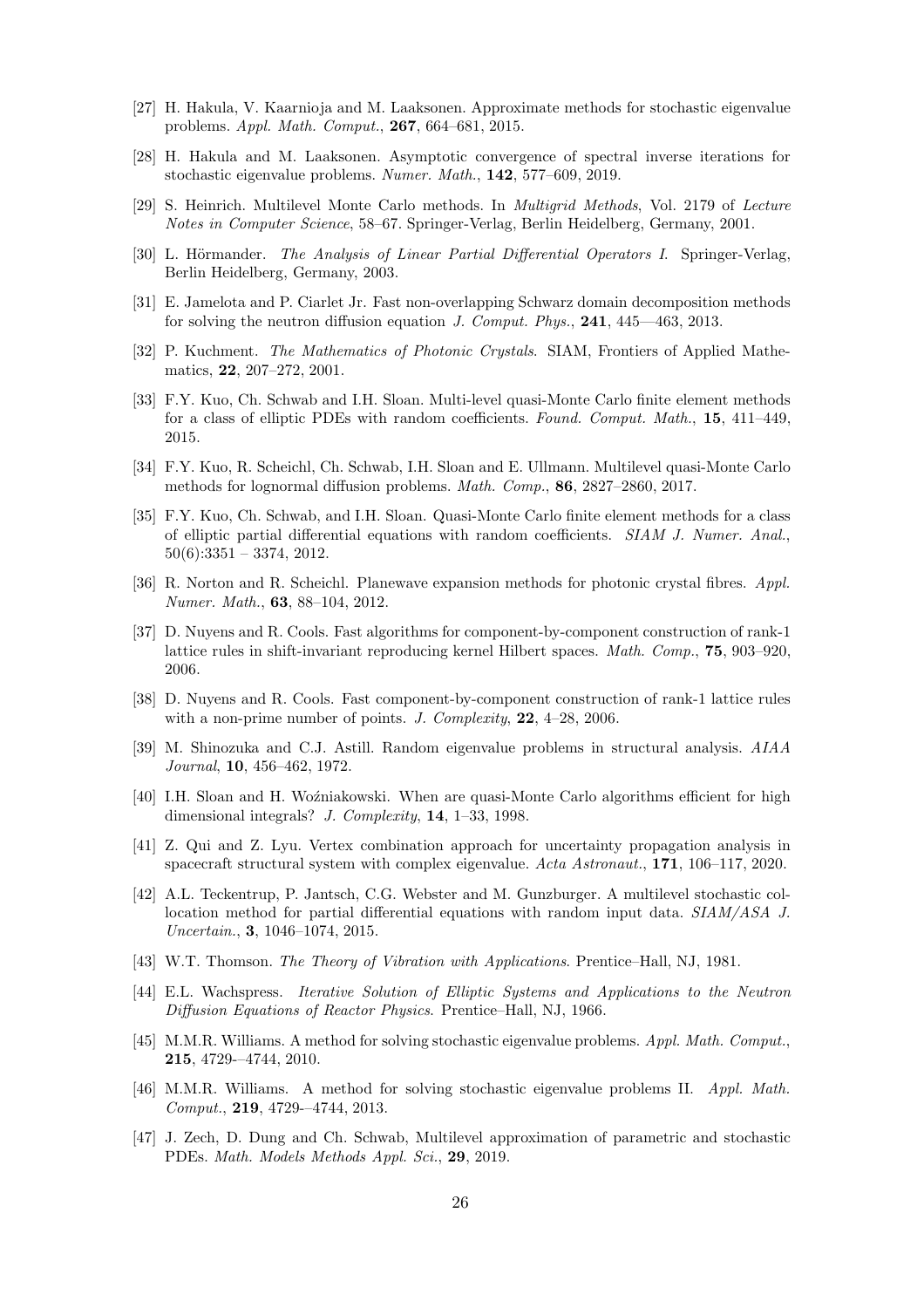- <span id="page-25-14"></span><span id="page-25-13"></span>[27] H. Hakula, V. Kaarnioja and M. Laaksonen. Approximate methods for stochastic eigenvalue problems. Appl. Math. Comput., 267, 664–681, 2015.
- <span id="page-25-0"></span>[28] H. Hakula and M. Laaksonen. Asymptotic convergence of spectral inverse iterations for stochastic eigenvalue problems. Numer. Math., 142, 577–609, 2019.
- [29] S. Heinrich. Multilevel Monte Carlo methods. In Multigrid Methods, Vol. 2179 of Lecture Notes in Computer Science, 58–67. Springer-Verlag, Berlin Heidelberg, Germany, 2001.
- [30] L. Hörmander. The Analysis of Linear Partial Differential Operators I. Springer-Verlag, Berlin Heidelberg, Germany, 2003.
- <span id="page-25-7"></span><span id="page-25-5"></span>[31] E. Jamelota and P. Ciarlet Jr. Fast non-overlapping Schwarz domain decomposition methods for solving the neutron diffusion equation J. Comput. Phys., 241, 445—463, 2013.
- [32] P. Kuchment. The Mathematics of Photonic Crystals. SIAM, Frontiers of Applied Mathematics, 22, 207–272, 2001.
- <span id="page-25-1"></span>[33] F.Y. Kuo, Ch. Schwab and I.H. Sloan. Multi-level quasi-Monte Carlo finite element methods for a class of elliptic PDEs with random coefficients. Found. Comput. Math., 15, 411–449, 2015.
- <span id="page-25-2"></span>[34] F.Y. Kuo, R. Scheichl, Ch. Schwab, I.H. Sloan and E. Ullmann. Multilevel quasi-Monte Carlo methods for lognormal diffusion problems. Math. Comp., 86, 2827–2860, 2017.
- <span id="page-25-19"></span>[35] F.Y. Kuo, Ch. Schwab, and I.H. Sloan. Quasi-Monte Carlo finite element methods for a class of elliptic partial differential equations with random coefficients. SIAM J. Numer. Anal.,  $50(6):3351 - 3374, 2012.$
- <span id="page-25-8"></span>[36] R. Norton and R. Scheichl. Planewave expansion methods for photonic crystal fibres. Appl. Numer. Math., 63, 88–104, 2012.
- <span id="page-25-16"></span>[37] D. Nuyens and R. Cools. Fast algorithms for component-by-component construction of rank-1 lattice rules in shift-invariant reproducing kernel Hilbert spaces. *Math. Comp.*, **75**, 903–920, 2006.
- <span id="page-25-17"></span>[38] D. Nuyens and R. Cools. Fast component-by-component construction of rank-1 lattice rules with a non-prime number of points. J. Complexity,  $22, 4-28, 2006$ .
- <span id="page-25-11"></span>[39] M. Shinozuka and C.J. Astill. Random eigenvalue problems in structural analysis. AIAA Journal, 10, 456–462, 1972.
- <span id="page-25-15"></span>[40] I.H. Sloan and H. Wo´zniakowski. When are quasi-Monte Carlo algorithms efficient for high dimensional integrals? J. Complexity, 14, 1–33, 1998.
- <span id="page-25-12"></span>[41] Z. Qui and Z. Lyu. Vertex combination approach for uncertainty propagation analysis in spacecraft structural system with complex eigenvalue. Acta Astronaut., 171, 106–117, 2020.
- <span id="page-25-3"></span>[42] A.L. Teckentrup, P. Jantsch, C.G. Webster and M. Gunzburger. A multilevel stochastic collocation method for partial differential equations with random input data. SIAM/ASA J. Uncertain., 3, 1046–1074, 2015.
- <span id="page-25-6"></span><span id="page-25-4"></span>[43] W.T. Thomson. The Theory of Vibration with Applications. Prentice–Hall, NJ, 1981.
- [44] E.L. Wachspress. Iterative Solution of Elliptic Systems and Applications to the Neutron Diffusion Equations of Reactor Physics. Prentice–Hall, NJ, 1966.
- <span id="page-25-9"></span>[45] M.M.R. Williams. A method for solving stochastic eigenvalue problems. Appl. Math. Comput., 215, 4729-–4744, 2010.
- <span id="page-25-10"></span>[46] M.M.R. Williams. A method for solving stochastic eigenvalue problems II. Appl. Math. Comput., 219, 4729-–4744, 2013.
- <span id="page-25-18"></span>[47] J. Zech, D. Dung and Ch. Schwab, Multilevel approximation of parametric and stochastic PDEs. Math. Models Methods Appl. Sci., 29, 2019.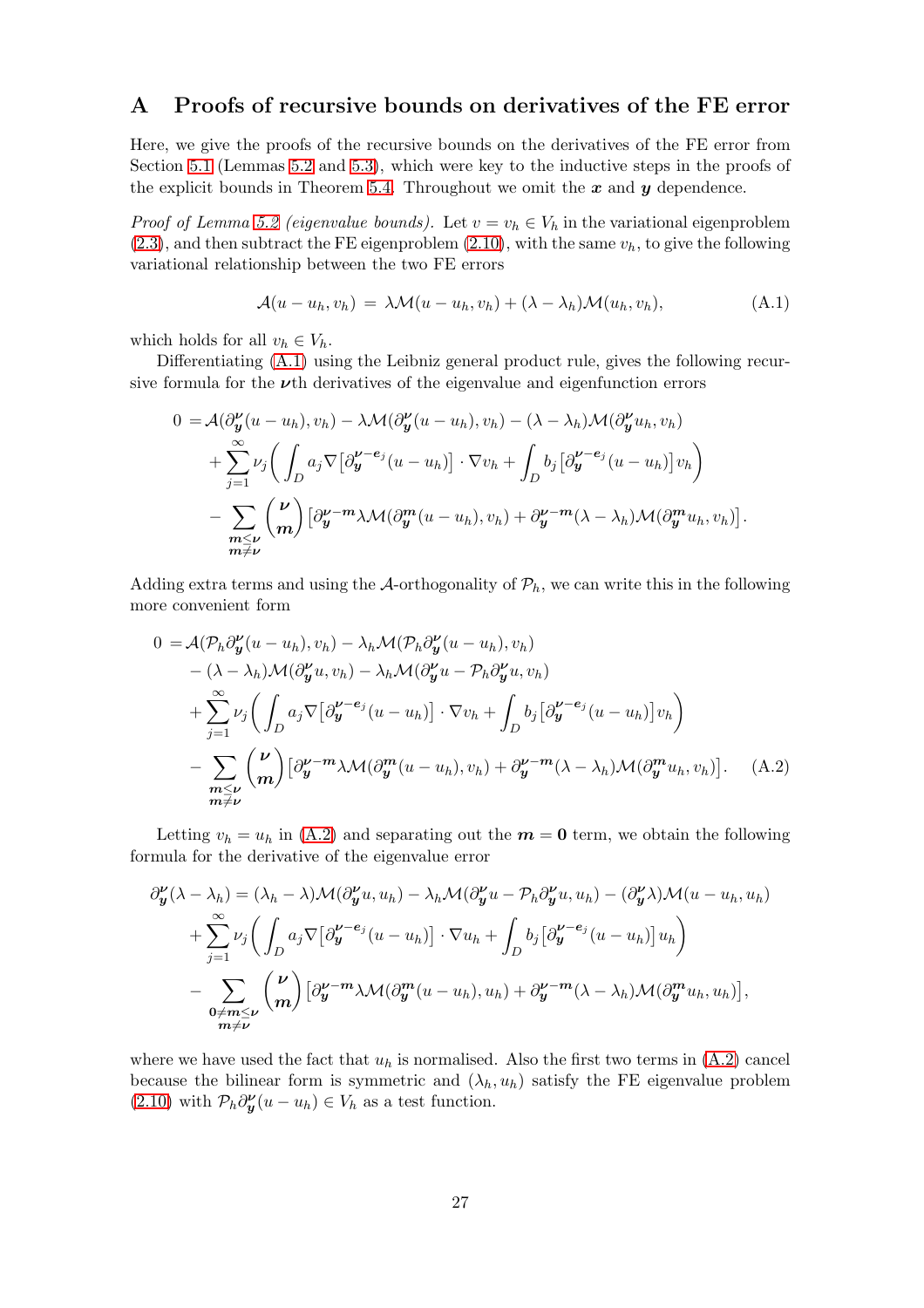## A Proofs of recursive bounds on derivatives of the FE error

Here, we give the proofs of the recursive bounds on the derivatives of the FE error from Section [5.1](#page-14-3) (Lemmas [5.2](#page-15-3) and [5.3\)](#page-15-4), which were key to the inductive steps in the proofs of the explicit bounds in Theorem [5.4.](#page-16-0) Throughout we omit the  $x$  and  $y$  dependence.

*Proof of Lemma [5.2](#page-15-3) (eigenvalue bounds)*. Let  $v = v_h \in V_h$  in the variational eigenproblem  $(2.3)$ , and then subtract the FE eigenproblem  $(2.10)$ , with the same  $v<sub>h</sub>$ , to give the following variational relationship between the two FE errors

<span id="page-26-0"></span>
$$
\mathcal{A}(u - u_h, v_h) = \lambda \mathcal{M}(u - u_h, v_h) + (\lambda - \lambda_h) \mathcal{M}(u_h, v_h), \tag{A.1}
$$

which holds for all  $v_h \in V_h$ .

Differentiating [\(A.1\)](#page-26-0) using the Leibniz general product rule, gives the following recursive formula for the  $\nu$ <sup>th</sup> derivatives of the eigenvalue and eigenfunction errors

$$
0 = \mathcal{A}(\partial_{\mathbf{y}}^{\nu}(u - u_h), v_h) - \lambda \mathcal{M}(\partial_{\mathbf{y}}^{\nu}(u - u_h), v_h) - (\lambda - \lambda_h) \mathcal{M}(\partial_{\mathbf{y}}^{\nu} u_h, v_h)
$$
  
+ 
$$
\sum_{j=1}^{\infty} \nu_j \bigg( \int_D a_j \nabla \big[ \partial_{\mathbf{y}}^{\nu - e_j} (u - u_h) \big] \cdot \nabla v_h + \int_D b_j \big[ \partial_{\mathbf{y}}^{\nu - e_j} (u - u_h) \big] v_h \bigg)
$$
  
- 
$$
\sum_{\substack{m \le \nu \\ m \ne \nu}} {\nu \choose m} \big[ \partial_{\mathbf{y}}^{\nu - m} \lambda \mathcal{M}(\partial_{\mathbf{y}}^m (u - u_h), v_h) + \partial_{\mathbf{y}}^{\nu - m} (\lambda - \lambda_h) \mathcal{M}(\partial_{\mathbf{y}}^m u_h, v_h) \big].
$$

Adding extra terms and using the A-orthogonality of  $P_h$ , we can write this in the following more convenient form

<span id="page-26-1"></span>
$$
0 = \mathcal{A}(\mathcal{P}_h \partial_y^{\nu}(u - u_h), v_h) - \lambda_h \mathcal{M}(\mathcal{P}_h \partial_y^{\nu}(u - u_h), v_h)
$$
  
-(\lambda - \lambda\_h) \mathcal{M}(\partial\_y^{\nu} u, v\_h) - \lambda\_h \mathcal{M}(\partial\_y^{\nu} u - \mathcal{P}\_h \partial\_y^{\nu} u, v\_h)  
+ 
$$
\sum_{j=1}^{\infty} \nu_j \left( \int_D a_j \nabla \left[ \partial_y^{\nu - e_j} (u - u_h) \right] \cdot \nabla v_h + \int_D b_j \left[ \partial_y^{\nu - e_j} (u - u_h) \right] v_h \right)
$$
  
- 
$$
\sum_{\substack{m \le \nu \\ m \ne \nu}} {\nu \choose m} \left[ \partial_y^{\nu - m} \lambda \mathcal{M}(\partial_y^m (u - u_h), v_h) + \partial_y^{\nu - m} (\lambda - \lambda_h) \mathcal{M}(\partial_y^m u_h, v_h) \right]. \quad (A.2)
$$

Letting  $v_h = u_h$  in [\(A.2\)](#page-26-1) and separating out the  $m = 0$  term, we obtain the following formula for the derivative of the eigenvalue error

$$
\partial_{\mathbf{y}}^{\nu}(\lambda - \lambda_h) = (\lambda_h - \lambda) \mathcal{M}(\partial_{\mathbf{y}}^{\nu} u, u_h) - \lambda_h \mathcal{M}(\partial_{\mathbf{y}}^{\nu} u - \mathcal{P}_h \partial_{\mathbf{y}}^{\nu} u, u_h) - (\partial_{\mathbf{y}}^{\nu} \lambda) \mathcal{M}(u - u_h, u_h) + \sum_{j=1}^{\infty} \nu_j \bigg( \int_D a_j \nabla \big[ \partial_{\mathbf{y}}^{\nu - e_j} (u - u_h) \big] \cdot \nabla u_h + \int_D b_j \big[ \partial_{\mathbf{y}}^{\nu - e_j} (u - u_h) \big] u_h \bigg) - \sum_{\substack{\mathbf{0} \neq \mathbf{m} \leq \nu \\ \mathbf{m} \neq \nu}} \binom{\nu}{\mathbf{m}} \big[ \partial_{\mathbf{y}}^{\nu - \mathbf{m}} \lambda \mathcal{M}(\partial_{\mathbf{y}}^{\mathbf{m}} (u - u_h), u_h) + \partial_{\mathbf{y}}^{\nu - \mathbf{m}} (\lambda - \lambda_h) \mathcal{M}(\partial_{\mathbf{y}}^{\mathbf{m}} u_h, u_h) \big],
$$

where we have used the fact that  $u_h$  is normalised. Also the first two terms in  $(A.2)$  cancel because the bilinear form is symmetric and  $(\lambda_h, u_h)$  satisfy the FE eigenvalue problem [\(2.10\)](#page-5-0) with  $\mathcal{P}_h \partial_{\mathbf{y}}^{\nu}(u - u_h) \in V_h$  as a test function.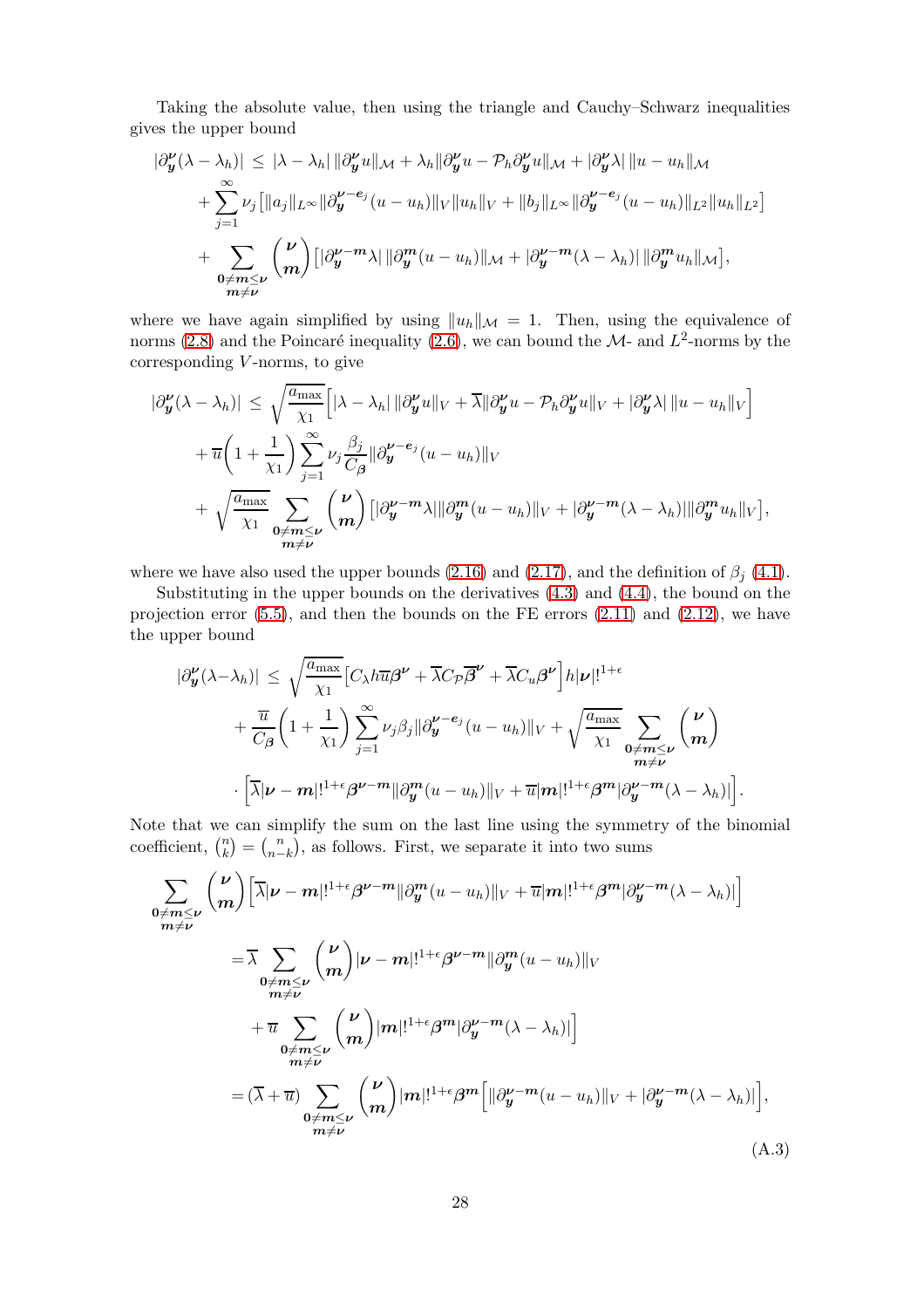Taking the absolute value, then using the triangle and Cauchy–Schwarz inequalities gives the upper bound

$$
\begin{split}\n|\partial_{\boldsymbol{y}}^{\boldsymbol{\nu}}(\lambda - \lambda_{h})| &\leq |\lambda - \lambda_{h}| \|\partial_{\boldsymbol{y}}^{\boldsymbol{\nu}} u\|_{\mathcal{M}} + \lambda_{h} \|\partial_{\boldsymbol{y}}^{\boldsymbol{\nu}} u - \mathcal{P}_{h} \partial_{\boldsymbol{y}}^{\boldsymbol{\nu}} u\|_{\mathcal{M}} + |\partial_{\boldsymbol{y}}^{\boldsymbol{\nu}} \lambda| \, \|u - u_{h}\|_{\mathcal{M}} \\
&+ \sum_{j=1}^{\infty} \nu_{j} \big[ \|a_{j}\|_{L^{\infty}} \|\partial_{\boldsymbol{y}}^{\boldsymbol{\nu}-e_{j}} (u - u_{h})\|_{V} \|u_{h}\|_{V} + \|b_{j}\|_{L^{\infty}} \|\partial_{\boldsymbol{y}}^{\boldsymbol{\nu}-e_{j}} (u - u_{h})\|_{L^{2}} \|u_{h}\|_{L^{2}} \big] \\
&+ \sum_{\substack{0 \neq m \leq \boldsymbol{\nu} \\ m \neq \boldsymbol{\nu}}} \binom{\boldsymbol{\nu}}{m} \big[ |\partial_{\boldsymbol{y}}^{\boldsymbol{\nu}} - m \lambda| \|\partial_{\boldsymbol{y}}^{m} (u - u_{h})\|_{\mathcal{M}} + |\partial_{\boldsymbol{y}}^{\boldsymbol{\nu}} - m(\lambda - \lambda_{h})| \|\partial_{\boldsymbol{y}}^{m} u_{h}\|_{\mathcal{M}} \big],\n\end{split}
$$

where we have again simplified by using  $||u_h||_{\mathcal{M}} = 1$ . Then, using the equivalence of norms [\(2.8\)](#page-4-3) and the Poincaré inequality [\(2.6\)](#page-4-0), we can bound the  $\mathcal{M}$ - and  $L^2$ -norms by the  $corresponding V-norms$ , to give

$$
\begin{split}\n|\partial_{\mathbf{y}}^{\nu}(\lambda - \lambda_{h})| &\leq \sqrt{\frac{a_{\max}}{\chi_{1}}} \Big[ |\lambda - \lambda_{h}| \, \|\partial_{\mathbf{y}}^{\nu} u\|_{V} + \overline{\lambda} \|\partial_{\mathbf{y}}^{\nu} u - \mathcal{P}_{h} \partial_{\mathbf{y}}^{\nu} u\|_{V} + |\partial_{\mathbf{y}}^{\nu} \lambda| \, \|u - u_{h}\|_{V} \Big] \\
&+ \overline{u} \bigg( 1 + \frac{1}{\chi_{1}} \bigg) \sum_{j=1}^{\infty} \nu_{j} \frac{\beta_{j}}{C_{\beta}} \, \|\partial_{\mathbf{y}}^{\nu - e_{j}} (u - u_{h})\|_{V} \\
&+ \sqrt{\frac{a_{\max}}{\chi_{1}}} \sum_{\substack{0 \neq m \leq \nu \\ m \neq \nu}} \binom{\nu}{m} \big[ |\partial_{\mathbf{y}}^{\nu - m} \lambda| \|\partial_{\mathbf{y}}^{m} (u - u_{h})\|_{V} + |\partial_{\mathbf{y}}^{\nu - m} (\lambda - \lambda_{h})| \|\partial_{\mathbf{y}}^{m} u_{h}\|_{V} \big],\n\end{split}
$$

where we have also used the upper bounds [\(2.16\)](#page-6-2) and [\(2.17\)](#page-6-3), and the definition of  $\beta_i$  [\(4.1\)](#page-10-5).

Substituting in the upper bounds on the derivatives [\(4.3\)](#page-10-2) and [\(4.4\)](#page-10-3), the bound on the projection error  $(5.5)$ , and then the bounds on the FE errors  $(2.11)$  and  $(2.12)$ , we have the upper bound

$$
\begin{split} |\partial_{\mathbf{y}}^{\nu}(\lambda-\lambda_{h})| &\leq \sqrt{\frac{a_{\max}}{\chi_{1}}} \Big[ C_{\lambda} h \overline{u} \beta^{\nu} + \overline{\lambda} C_{\mathcal{P}} \overline{\beta}^{\nu} + \overline{\lambda} C_{u} \beta^{\nu} \Big] h |\nu|!^{1+\epsilon} \\ &+ \frac{\overline{u}}{C_{\beta}} \bigg( 1 + \frac{1}{\chi_{1}} \bigg) \sum_{j=1}^{\infty} \nu_{j} \beta_{j} \|\partial_{\mathbf{y}}^{\nu-e_{j}}(u-u_{h})\|_{V} + \sqrt{\frac{a_{\max}}{\chi_{1}}} \sum_{\substack{0 \neq m \leq \nu \\ m \neq \nu}} \binom{\nu}{m} \\ &\cdot \Big[ \overline{\lambda} |\nu-m|!^{1+\epsilon} \beta^{\nu-m} \|\partial_{\mathbf{y}}^{m}(u-u_{h})\|_{V} + \overline{u} |m|!^{1+\epsilon} \beta^{m} |\partial_{\mathbf{y}}^{\nu-m}(\lambda-\lambda_{h})| \Big]. \end{split}
$$

Note that we can simplify the sum on the last line using the symmetry of the binomial coefficient,  $\binom{n}{k}$  $\binom{n}{k} = \binom{n}{n-1}$  $\binom{n}{n-k}$ , as follows. First, we separate it into two sums

<span id="page-27-0"></span>
$$
\sum_{\substack{0 \neq m \leq \nu \\ m \neq \nu}} {\binom{\nu}{m}} \left[ \overline{\lambda} |\nu - m|!^{1+\epsilon} \beta^{\nu - m} ||\partial_{y}^{m} (u - u_{h})||_{V} + \overline{u} |m|!^{1+\epsilon} \beta^{m} |\partial_{y}^{\nu - m} (\lambda - \lambda_{h})| \right]
$$
\n
$$
= \overline{\lambda} \sum_{\substack{0 \neq m \leq \nu \\ m \neq \nu}} {\binom{\nu}{m}} |\nu - m|!^{1+\epsilon} \beta^{\nu - m} ||\partial_{y}^{m} (u - u_{h})||_{V}
$$
\n
$$
+ \overline{u} \sum_{\substack{0 \neq m \leq \nu \\ m \neq \nu}} {\binom{\nu}{m}} |m|!^{1+\epsilon} \beta^{m} |\partial_{y}^{\nu - m} (\lambda - \lambda_{h})| ]
$$
\n
$$
= (\overline{\lambda} + \overline{u}) \sum_{\substack{0 \neq m \leq \nu \\ m \neq \nu}} {\binom{\nu}{m}} |m|!^{1+\epsilon} \beta^{m} \Big[ ||\partial_{y}^{\nu - m} (u - u_{h})||_{V} + |\partial_{y}^{\nu - m} (\lambda - \lambda_{h})| \Big], \tag{A.3}
$$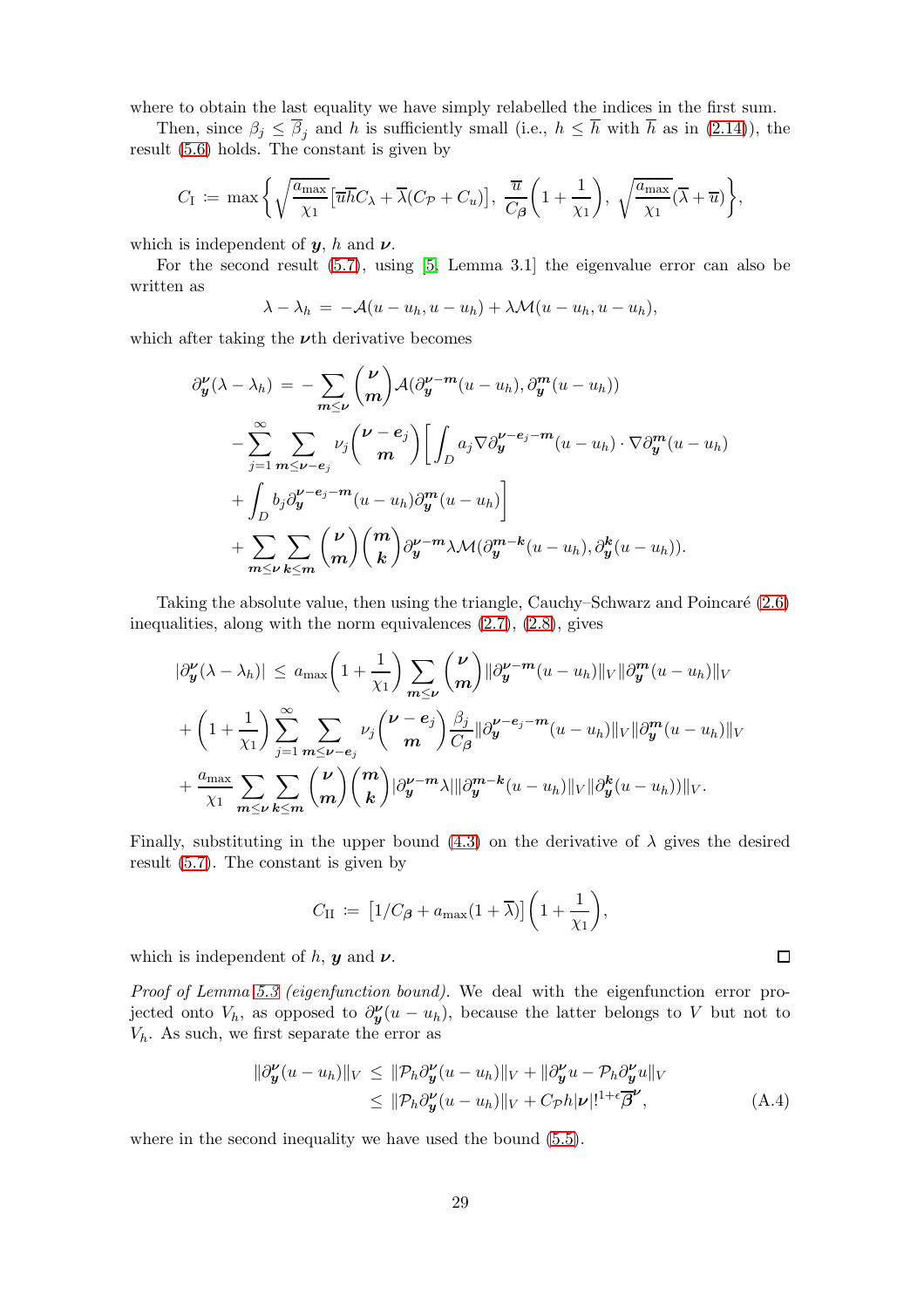where to obtain the last equality we have simply relabelled the indices in the first sum.

Then, since  $\beta_j \leq \overline{\beta}_j$  and h is sufficiently small (i.e.,  $h \leq \overline{h}$  with  $\overline{h}$  as in [\(2.14\)](#page-5-4)), the result [\(5.6\)](#page-15-0) holds. The constant is given by

$$
C_{\rm I} \coloneqq \max \bigg\{ \sqrt{\frac{a_{\max}}{\chi_1}} \big[ \overline{u} \overline{h} C_{\lambda} + \overline{\lambda} (C_{\mathcal{P}} + C_u) \big], \, \frac{\overline{u}}{C_{\beta}} \bigg( 1 + \frac{1}{\chi_1} \bigg), \, \sqrt{\frac{a_{\max}}{\chi_1}} (\overline{\lambda} + \overline{u}) \bigg\},
$$

which is independent of  $y$ , h and  $\nu$ .

For the second result [\(5.7\)](#page-15-1), using [\[5,](#page-23-5) Lemma 3.1] the eigenvalue error can also be written as

$$
\lambda - \lambda_h = -\mathcal{A}(u - u_h, u - u_h) + \lambda \mathcal{M}(u - u_h, u - u_h),
$$

which after taking the  $\nu$ th derivative becomes

$$
\partial_{y}^{\nu}(\lambda - \lambda_{h}) = -\sum_{m \leq \nu} { \nu \choose m} \mathcal{A}(\partial_{y}^{\nu-m}(u - u_{h}), \partial_{y}^{m}(u - u_{h}))
$$
  

$$
- \sum_{j=1}^{\infty} \sum_{m \leq \nu - e_{j}} \nu_{j} { \nu - e_{j} \choose m} \left[ \int_{D} a_{j} \nabla \partial_{y}^{\nu - e_{j} - m}(u - u_{h}) \cdot \nabla \partial_{y}^{m}(u - u_{h}) \right]
$$
  

$$
+ \int_{D} b_{j} \partial_{y}^{\nu - e_{j} - m}(u - u_{h}) \partial_{y}^{m}(u - u_{h}) \right]
$$
  

$$
+ \sum_{m \leq \nu} \sum_{k \leq m} { \nu \choose m} {m \choose k} \partial_{y}^{\nu - m} \lambda \mathcal{M}(\partial_{y}^{m-k}(u - u_{h}), \partial_{y}^{k}(u - u_{h})).
$$

Taking the absolute value, then using the triangle, Cauchy–Schwarz and Poincaré  $(2.6)$ inequalities, along with the norm equivalences [\(2.7\)](#page-4-2), [\(2.8\)](#page-4-3), gives

$$
\begin{split}\n|\partial_{\mathbf{y}}^{\nu}(\lambda - \lambda_{h})| &\leq a_{\max}\left(1 + \frac{1}{\chi_{1}}\right) \sum_{m \leq \nu} \binom{\nu}{m} \|\partial_{\mathbf{y}}^{\nu - m}(u - u_{h})\|_{V} \|\partial_{\mathbf{y}}^{m}(u - u_{h})\|_{V} \\
&+ \left(1 + \frac{1}{\chi_{1}}\right) \sum_{j=1}^{\infty} \sum_{m \leq \nu - e_{j}} \nu_{j} \binom{\nu - e_{j}}{m} \frac{\beta_{j}}{C_{\beta}} \|\partial_{\mathbf{y}}^{\nu - e_{j} - m}(u - u_{h})\|_{V} \|\partial_{\mathbf{y}}^{m}(u - u_{h})\|_{V} \\
&+ \frac{a_{\max}}{\chi_{1}} \sum_{m \leq \nu} \sum_{k \leq m} \binom{\nu}{m} \binom{m}{k} |\partial_{\mathbf{y}}^{\nu - m}\lambda| \|\partial_{\mathbf{y}}^{m-k}(u - u_{h})\|_{V} \|\partial_{\mathbf{y}}^{k}(u - u_{h})\|_{V}.\n\end{split}
$$

Finally, substituting in the upper bound  $(4.3)$  on the derivative of  $\lambda$  gives the desired result [\(5.7\)](#page-15-1). The constant is given by

$$
C_{\rm II} := \left[1/C_{\beta} + a_{\rm max}(1+\overline{\lambda})\right] \left(1 + \frac{1}{\chi_1}\right),\,
$$

which is independent of h,  $y$  and  $\nu$ .

Proof of Lemma [5.3](#page-15-4) (eigenfunction bound). We deal with the eigenfunction error projected onto  $V_h$ , as opposed to  $\partial_{\mathbf{y}}^{\mathbf{v}}(u - u_h)$ , because the latter belongs to V but not to  $V_h$ . As such, we first separate the error as

$$
\|\partial_{\mathbf{y}}^{\mathbf{\nu}}(u-u_h)\|_{V} \leq \|\mathcal{P}_h \partial_{\mathbf{y}}^{\mathbf{\nu}}(u-u_h)\|_{V} + \|\partial_{\mathbf{y}}^{\mathbf{\nu}}u - \mathcal{P}_h \partial_{\mathbf{y}}^{\mathbf{\nu}}u\|_{V}
$$
  
\n
$$
\leq \|\mathcal{P}_h \partial_{\mathbf{y}}^{\mathbf{\nu}}(u-u_h)\|_{V} + C_{\mathcal{P}}h|\mathbf{\nu}|^{1+\epsilon} \overline{\beta}^{\mathbf{\nu}}, \tag{A.4}
$$

<span id="page-28-0"></span> $\Box$ 

where in the second inequality we have used the bound [\(5.5\)](#page-15-5).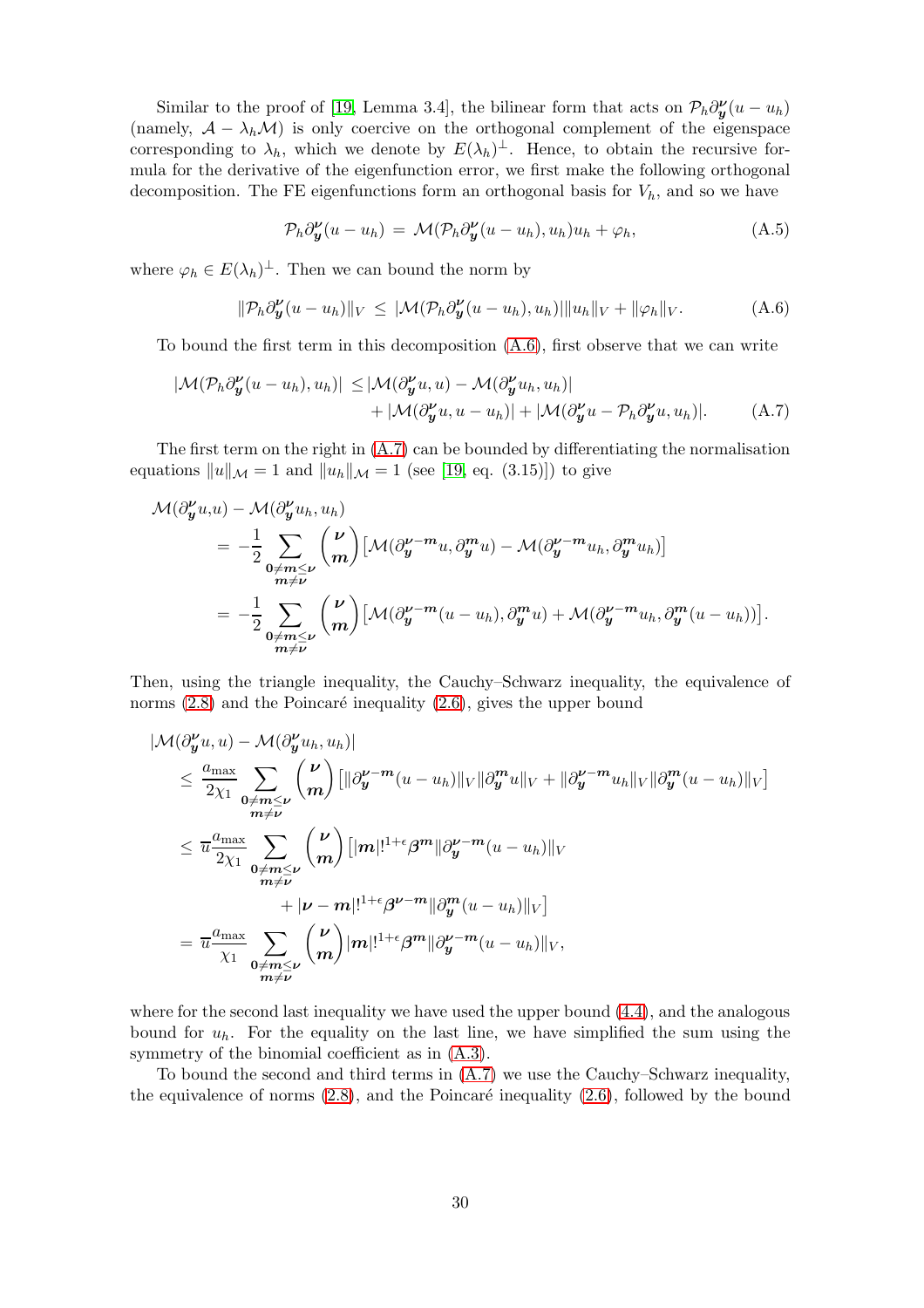Similar to the proof of [\[19,](#page-24-4) Lemma 3.4], the bilinear form that acts on  $\mathcal{P}_h \partial_{\mathbf{y}}^{\nu}(u - u_h)$ (namely,  $A - \lambda_h \mathcal{M}$ ) is only coercive on the orthogonal complement of the eigenspace corresponding to  $\lambda_h$ , which we denote by  $E(\lambda_h)^{\perp}$ . Hence, to obtain the recursive formula for the derivative of the eigenfunction error, we first make the following orthogonal decomposition. The FE eigenfunctions form an orthogonal basis for  $V_h$ , and so we have

<span id="page-29-2"></span><span id="page-29-1"></span>
$$
\mathcal{P}_h \partial_{\mathbf{y}}^{\mathbf{\nu}} (u - u_h) = \mathcal{M}(\mathcal{P}_h \partial_{\mathbf{y}}^{\mathbf{\nu}} (u - u_h), u_h) u_h + \varphi_h, \tag{A.5}
$$

where  $\varphi_h \in E(\lambda_h)^{\perp}$ . Then we can bound the norm by

<span id="page-29-0"></span>
$$
\|\mathcal{P}_h\partial_{\mathbf{y}}^{\nu}(u-u_h)\|_{V} \leq |\mathcal{M}(\mathcal{P}_h\partial_{\mathbf{y}}^{\nu}(u-u_h),u_h)| \|u_h\|_{V} + \|\varphi_h\|_{V}. \tag{A.6}
$$

To bound the first term in this decomposition [\(A.6\)](#page-29-0), first observe that we can write

$$
|\mathcal{M}(\mathcal{P}_h \partial_{\mathbf{y}}^{\mathbf{\nu}}(u - u_h), u_h)| \leq |\mathcal{M}(\partial_{\mathbf{y}}^{\mathbf{\nu}} u, u) - \mathcal{M}(\partial_{\mathbf{y}}^{\mathbf{\nu}} u_h, u_h)| + |\mathcal{M}(\partial_{\mathbf{y}}^{\mathbf{\nu}} u - \mathcal{P}_h \partial_{\mathbf{y}}^{\mathbf{\nu}} u, u_h)|.
$$
 (A.7)

The first term on the right in [\(A.7\)](#page-29-1) can be bounded by differentiating the normalisation equations  $||u||_{\mathcal{M}} = 1$  and  $||u_h||_{\mathcal{M}} = 1$  (see [\[19,](#page-24-4) eq. (3.15)]) to give

$$
\mathcal{M}(\partial_y^{\nu} u, u) - \mathcal{M}(\partial_y^{\nu} u_h, u_h)
$$
  
=  $-\frac{1}{2} \sum_{\substack{0 \neq m \leq \nu \\ m \neq \nu}} {\binom{\nu}{m}} \left[ \mathcal{M}(\partial_y^{\nu-m} u, \partial_y^m u) - \mathcal{M}(\partial_y^{\nu-m} u_h, \partial_y^m u_h) \right]$   
=  $-\frac{1}{2} \sum_{\substack{0 \neq m \leq \nu \\ m \neq \nu}} {\binom{\nu}{m}} \left[ \mathcal{M}(\partial_y^{\nu-m} (u - u_h), \partial_y^m u) + \mathcal{M}(\partial_y^{\nu-m} u_h, \partial_y^m (u - u_h)) \right].$ 

Then, using the triangle inequality, the Cauchy–Schwarz inequality, the equivalence of norms  $(2.8)$  and the Poincaré inequality  $(2.6)$ , gives the upper bound

$$
|\mathcal{M}(\partial_y^{\nu} u, u) - \mathcal{M}(\partial_y^{\nu} u_h, u_h)|
$$
  
\n
$$
\leq \frac{a_{\max}}{2\chi_1} \sum_{\substack{0 \neq m \leq \nu \\ m \neq \nu}} {\binom{\nu}{m}} [\|\partial_y^{\nu-m} (u - u_h)\|_V \|\partial_y^m u\|_V + \|\partial_y^{\nu-m} u_h\|_V \|\partial_y^m (u - u_h)\|_V]
$$
  
\n
$$
\leq \overline{u} \frac{a_{\max}}{2\chi_1} \sum_{\substack{0 \neq m \leq \nu \\ m \neq \nu}} {\binom{\nu}{m}} [\|m|!^{1+\epsilon} \beta^m \|\partial_y^{\nu-m} (u - u_h)\|_V
$$
  
\n
$$
+ |\nu - m|!^{1+\epsilon} \beta^{\nu-m} \|\partial_y^m (u - u_h)\|_V]
$$
  
\n
$$
= \overline{u} \frac{a_{\max}}{\chi_1} \sum_{\substack{0 \neq m \leq \nu \\ m \neq \nu}} {\binom{\nu}{m}} |m|!^{1+\epsilon} \beta^m \|\partial_y^{\nu-m} (u - u_h)\|_V,
$$

where for the second last inequality we have used the upper bound [\(4.4\)](#page-10-3), and the analogous bound for  $u_h$ . For the equality on the last line, we have simplified the sum using the symmetry of the binomial coefficient as in [\(A.3\)](#page-27-0).

To bound the second and third terms in [\(A.7\)](#page-29-1) we use the Cauchy–Schwarz inequality, the equivalence of norms  $(2.8)$ , and the Poincaré inequality  $(2.6)$ , followed by the bound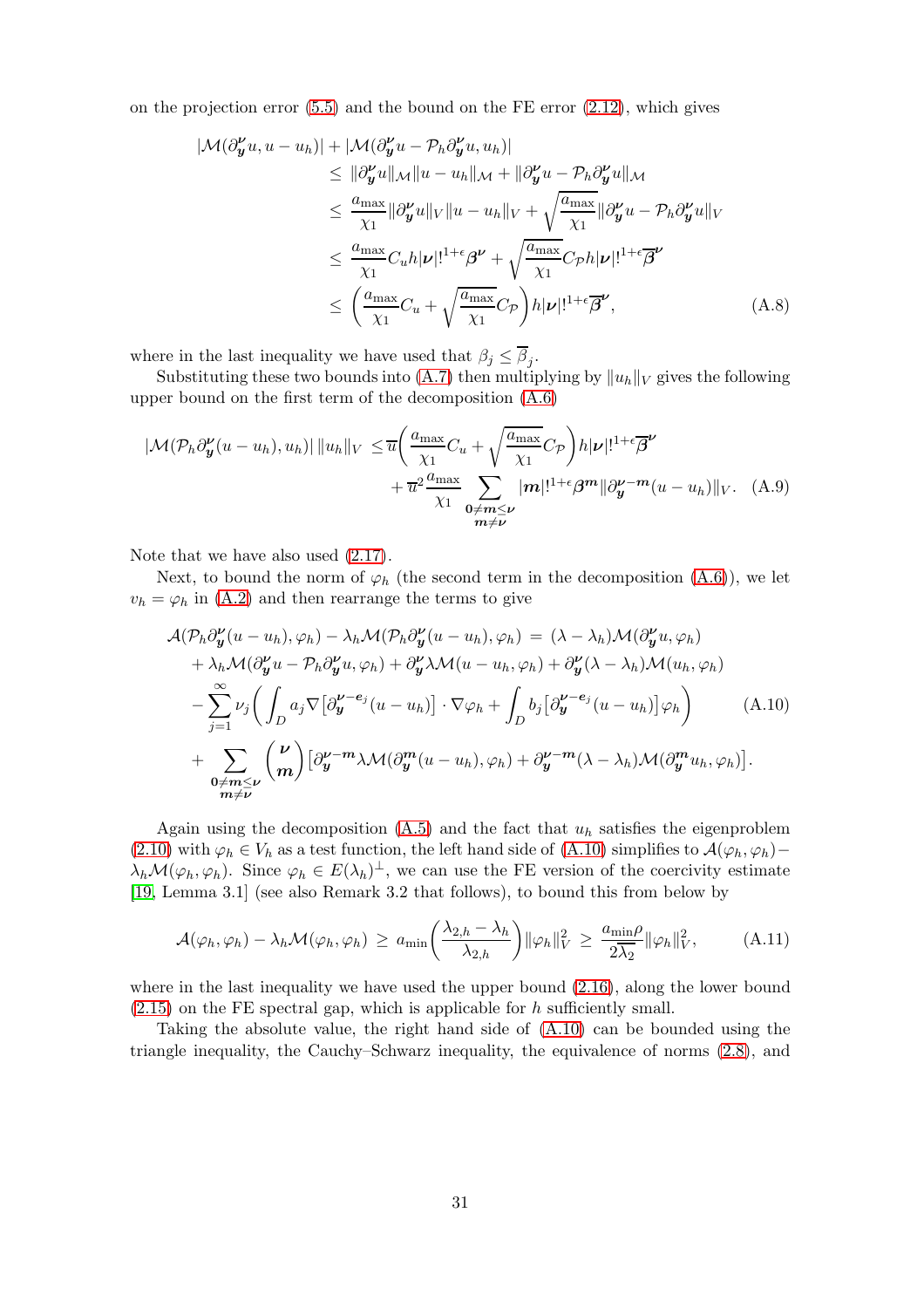on the projection error  $(5.5)$  and the bound on the FE error  $(2.12)$ , which gives

$$
|\mathcal{M}(\partial_{\boldsymbol{y}}^{\boldsymbol{\nu}} u, u - u_h)| + |\mathcal{M}(\partial_{\boldsymbol{y}}^{\boldsymbol{\nu}} u - \mathcal{P}_h \partial_{\boldsymbol{y}}^{\boldsymbol{\nu}} u, u_h)|
$$
  
\n
$$
\leq ||\partial_{\boldsymbol{y}}^{\boldsymbol{\nu}} u||_{\mathcal{M}} ||u - u_h||_{\mathcal{M}} + ||\partial_{\boldsymbol{y}}^{\boldsymbol{\nu}} u - \mathcal{P}_h \partial_{\boldsymbol{y}}^{\boldsymbol{\nu}} u||_{\mathcal{M}}
$$
  
\n
$$
\leq \frac{a_{\max}}{\chi_1} ||\partial_{\boldsymbol{y}}^{\boldsymbol{\nu}} u||_{V} ||u - u_h||_{V} + \sqrt{\frac{a_{\max}}{\chi_1}} ||\partial_{\boldsymbol{y}}^{\boldsymbol{\nu}} u - \mathcal{P}_h \partial_{\boldsymbol{y}}^{\boldsymbol{\nu}} u||_{V}
$$
  
\n
$$
\leq \frac{a_{\max}}{\chi_1} C_u h |\boldsymbol{\nu}|!^{1+\epsilon} \beta^{\boldsymbol{\nu}} + \sqrt{\frac{a_{\max}}{\chi_1}} C_{\mathcal{P}} h |\boldsymbol{\nu}|!^{1+\epsilon} \beta^{\boldsymbol{\nu}}
$$
  
\n
$$
\leq \left(\frac{a_{\max}}{\chi_1} C_u + \sqrt{\frac{a_{\max}}{\chi_1}} C_{\mathcal{P}} \right) h |\boldsymbol{\nu}|!^{1+\epsilon} \overline{\beta}^{\boldsymbol{\nu}}, \tag{A.8}
$$

where in the last inequality we have used that  $\beta_j \leq \beta_j$ .

Substituting these two bounds into [\(A.7\)](#page-29-1) then multiplying by  $||u_h||_V$  gives the following upper bound on the first term of the decomposition [\(A.6\)](#page-29-0)

$$
|\mathcal{M}(\mathcal{P}_h \partial_{\mathbf{y}}^{\nu}(u - u_h), u_h)| ||u_h||_V \leq \overline{u} \bigg( \frac{a_{\max}}{\chi_1} C_u + \sqrt{\frac{a_{\max}}{\chi_1}} C_{\mathcal{P}} \bigg) h |\nu|!^{1+\epsilon} \overline{\beta}^{\nu} + \overline{u}^2 \frac{a_{\max}}{\chi_1} \sum_{\substack{0 \neq m \leq \nu \\ m \neq \nu}} |m|!^{1+\epsilon} \beta^m ||\partial_{\mathbf{y}}^{\nu - m}(u - u_h)||_V. \tag{A.9}
$$

Note that we have also used  $(2.17)$ .

Next, to bound the norm of  $\varphi_h$  (the second term in the decomposition  $(A.6)$ ), we let  $v_h = \varphi_h$  in [\(A.2\)](#page-26-1) and then rearrange the terms to give

<span id="page-30-2"></span><span id="page-30-0"></span>
$$
\mathcal{A}(\mathcal{P}_{h}\partial_{\mathbf{y}}^{\nu}(u-u_{h}),\varphi_{h}) - \lambda_{h}\mathcal{M}(\mathcal{P}_{h}\partial_{\mathbf{y}}^{\nu}(u-u_{h}),\varphi_{h}) = (\lambda - \lambda_{h})\mathcal{M}(\partial_{\mathbf{y}}^{\nu}u,\varphi_{h}) + \lambda_{h}\mathcal{M}(\partial_{\mathbf{y}}^{\nu}u - \mathcal{P}_{h}\partial_{\mathbf{y}}^{\nu}u,\varphi_{h}) + \partial_{\mathbf{y}}^{\nu}\lambda\mathcal{M}(u-u_{h},\varphi_{h}) + \partial_{\mathbf{y}}^{\nu}(\lambda - \lambda_{h})\mathcal{M}(u_{h},\varphi_{h}) - \sum_{j=1}^{\infty} \nu_{j} \bigg(\int_{D} a_{j} \nabla \big[\partial_{\mathbf{y}}^{\nu-e_{j}}(u-u_{h})\big] \cdot \nabla \varphi_{h} + \int_{D} b_{j} \big[\partial_{\mathbf{y}}^{\nu-e_{j}}(u-u_{h})\big] \varphi_{h}\bigg) \qquad (A.10)+ \sum_{\substack{\mathbf{0}\neq m\leq \nu}} \binom{\nu}{m} \big[\partial_{\mathbf{y}}^{\nu-m} \lambda \mathcal{M}(\partial_{\mathbf{y}}^{\mathbf{m}}(u-u_{h}),\varphi_{h}) + \partial_{\mathbf{y}}^{\nu-m}(\lambda - \lambda_{h})\mathcal{M}(\partial_{\mathbf{y}}^{\mathbf{m}}u_{h},\varphi_{h})\big].
$$

Again using the decomposition  $(A.5)$  and the fact that  $u<sub>h</sub>$  satisfies the eigenproblem [\(2.10\)](#page-5-0) with  $\varphi_h \in V_h$  as a test function, the left hand side of [\(A.10\)](#page-30-0) simplifies to  $\mathcal{A}(\varphi_h, \varphi_h)$  –  $\lambda_h \mathcal{M}(\varphi_h, \varphi_h)$ . Since  $\varphi_h \in E(\lambda_h)^{\perp}$ , we can use the FE version of the coercivity estimate [\[19,](#page-24-4) Lemma 3.1] (see also Remark 3.2 that follows), to bound this from below by

<span id="page-30-1"></span>
$$
\mathcal{A}(\varphi_h, \varphi_h) - \lambda_h \mathcal{M}(\varphi_h, \varphi_h) \ge a_{\min} \left( \frac{\lambda_{2,h} - \lambda_h}{\lambda_{2,h}} \right) ||\varphi_h||_V^2 \ge \frac{a_{\min} \rho}{2\overline{\lambda_2}} ||\varphi_h||_V^2, \tag{A.11}
$$

where in the last inequality we have used the upper bound  $(2.16)$ , along the lower bound  $(2.15)$  on the FE spectral gap, which is applicable for h sufficiently small.

Taking the absolute value, the right hand side of [\(A.10\)](#page-30-0) can be bounded using the triangle inequality, the Cauchy–Schwarz inequality, the equivalence of norms [\(2.8\)](#page-4-3), and